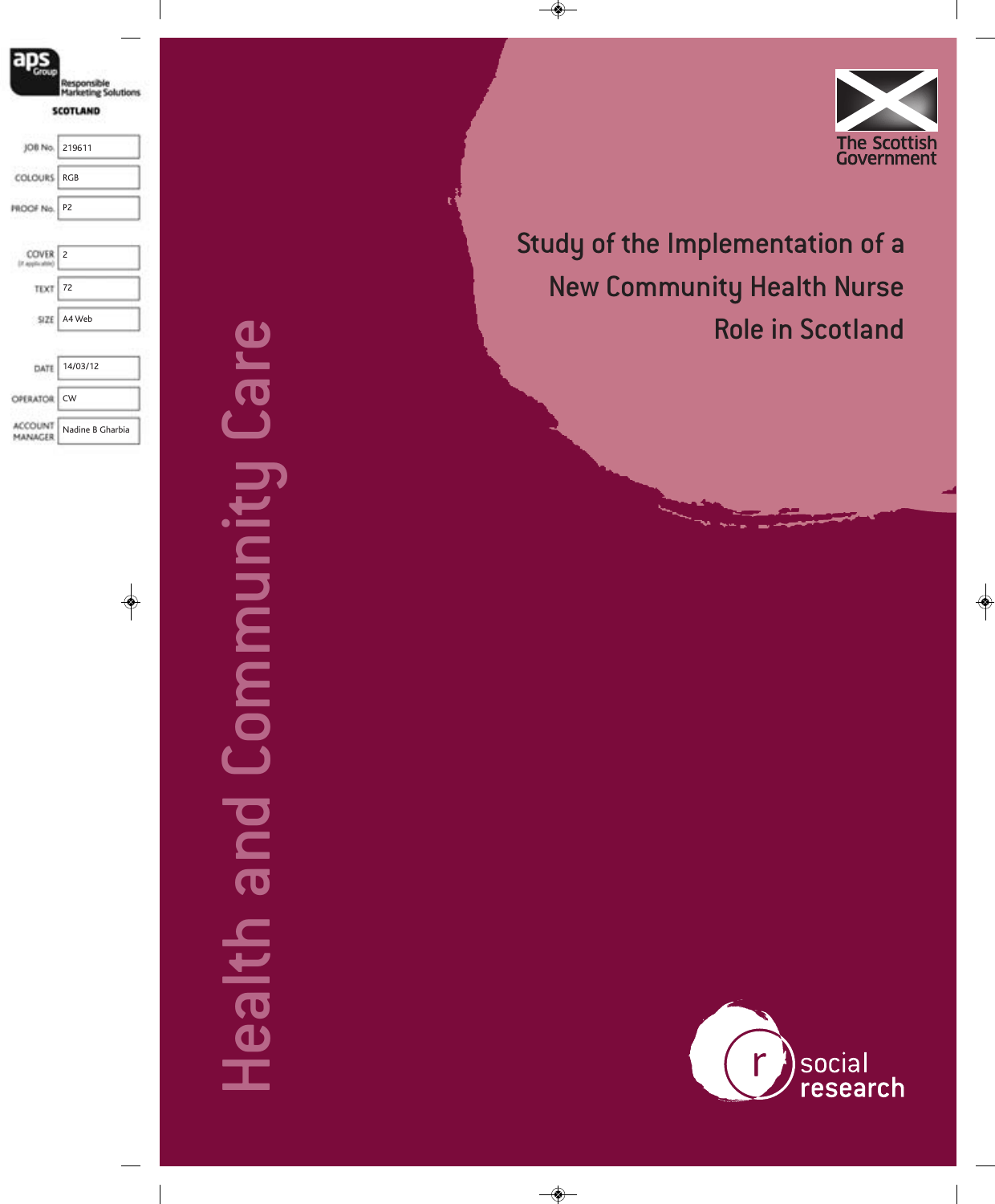

Study of the Implementation of a New Community Health Nurse Role in Scotland

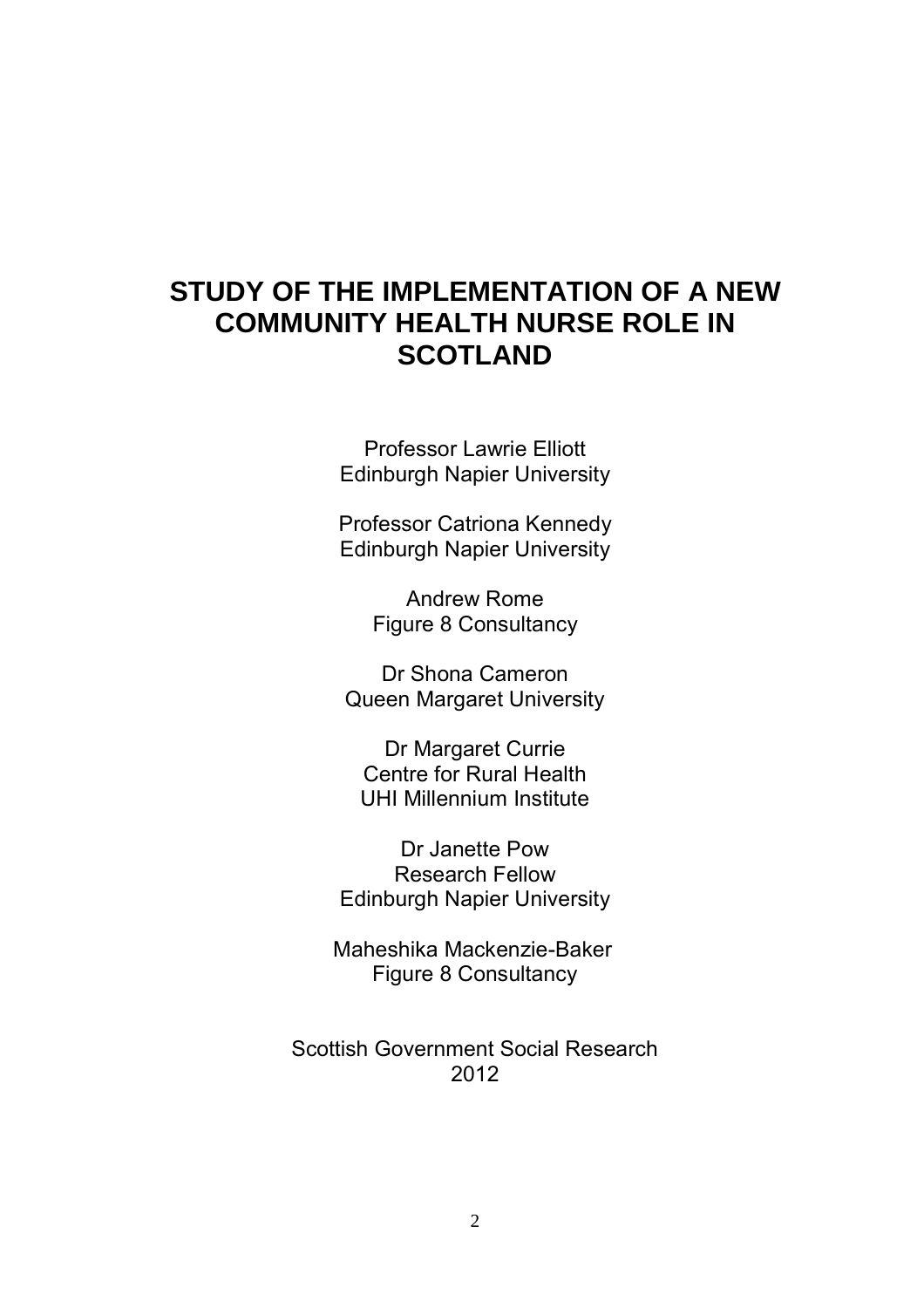# **STUDY OF THE IMPLEMENTATION OF A NEW COMMUNITY HEALTH NURSE ROLE IN SCOTLAND**

Professor Lawrie Elliott Edinburgh Napier University

Professor Catriona Kennedy Edinburgh Napier University

> Andrew Rome Figure 8 Consultancy

Dr Shona Cameron Queen Margaret University

Dr Margaret Currie Centre for Rural Health UHI Millennium Institute

Dr Janette Pow Research Fellow Edinburgh Napier University

Maheshika Mackenzie-Baker Figure 8 Consultancy

Scottish Government Social Research 2012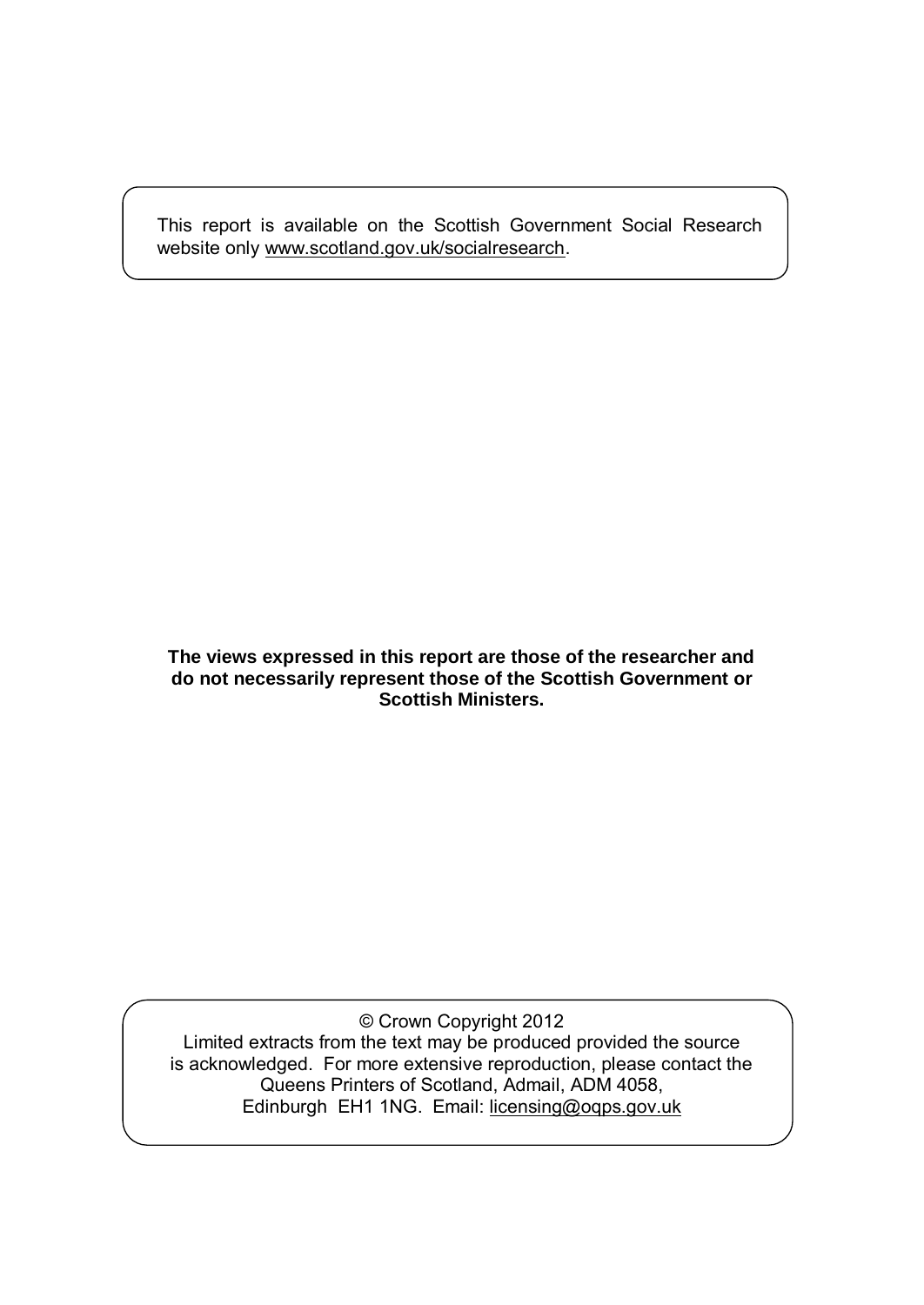This report is available on the Scottish Government Social Research website only [www.scotland.gov.uk/socialresearch.](http://www.scotland.gov.uk/socialresearch)

#### **The views expressed in this report are those of the researcher and do not necessarily represent those of the Scottish Government or Scottish Ministers.**

© Crown Copyright 2012 Limited extracts from the text may be produced provided the source is acknowledged. For more extensive reproduction, please contact the Queens Printers of Scotland, Admail, ADM 4058, Edinburgh EH1 1NG. Email: [licensing@oqps.gov.uk](mailto:licensing@oqps.gov.uk)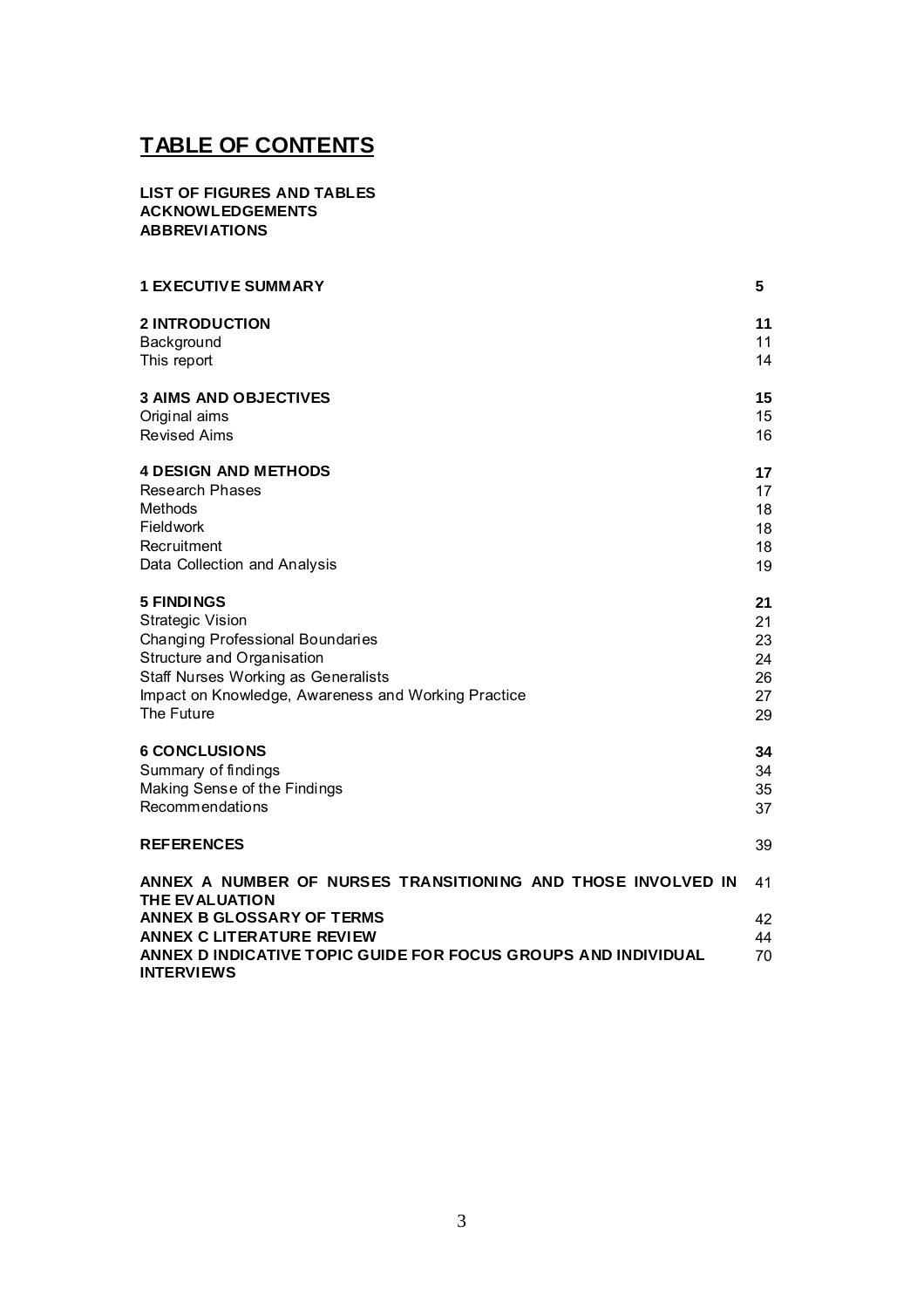# **TABLE OF CONTENTS**

#### **LIST OF FIGURES AND TABLES ACKNOWLEDGEMENTS ABBREVIATIONS**

| <b>1 EXECUTIVE SUMMARY</b>                                                                                                                                                                                                                    | 5                    |
|-----------------------------------------------------------------------------------------------------------------------------------------------------------------------------------------------------------------------------------------------|----------------------|
| <b>2 INTRODUCTION</b>                                                                                                                                                                                                                         | 11                   |
| Background                                                                                                                                                                                                                                    | 11                   |
| This report                                                                                                                                                                                                                                   | 14                   |
| <b>3 AIMS AND OBJECTIVES</b>                                                                                                                                                                                                                  | 15                   |
| Original aims                                                                                                                                                                                                                                 | 15                   |
| <b>Revised Aims</b>                                                                                                                                                                                                                           | 16                   |
| <b>4 DESIGN AND METHODS</b>                                                                                                                                                                                                                   | 17                   |
| <b>Research Phases</b>                                                                                                                                                                                                                        | 17                   |
| Methods                                                                                                                                                                                                                                       | 18                   |
| Fieldwork                                                                                                                                                                                                                                     | 18                   |
| Recruitment                                                                                                                                                                                                                                   | 18                   |
| Data Collection and Analysis                                                                                                                                                                                                                  | 19                   |
| <b>5 FINDINGS</b>                                                                                                                                                                                                                             | 21                   |
| <b>Strategic Vision</b>                                                                                                                                                                                                                       | 21                   |
| Changing Professional Boundaries                                                                                                                                                                                                              | 23                   |
| Structure and Organisation                                                                                                                                                                                                                    | 24                   |
| <b>Staff Nurses Working as Generalists</b>                                                                                                                                                                                                    | 26                   |
| Impact on Knowledge, Awareness and Working Practice                                                                                                                                                                                           | 27                   |
| The Future                                                                                                                                                                                                                                    | 29                   |
| <b>6 CONCLUSIONS</b>                                                                                                                                                                                                                          | 34                   |
| Summary of findings                                                                                                                                                                                                                           | 34                   |
| Making Sense of the Findings                                                                                                                                                                                                                  | 35                   |
| Recommendations                                                                                                                                                                                                                               | 37                   |
| <b>REFERENCES</b>                                                                                                                                                                                                                             | 39                   |
| ANNEX A NUMBER OF NURSES TRANSITIONING AND THOSE INVOLVED IN<br>THE EVALUATION<br><b>ANNEX B GLOSSARY OF TERMS</b><br><b>ANNEX C LITERATURE REVIEW</b><br>ANNEX D INDICATIVE TOPIC GUIDE FOR FOCUS GROUPS AND INDIVIDUAL<br><b>INTERVIEWS</b> | 41<br>42<br>44<br>70 |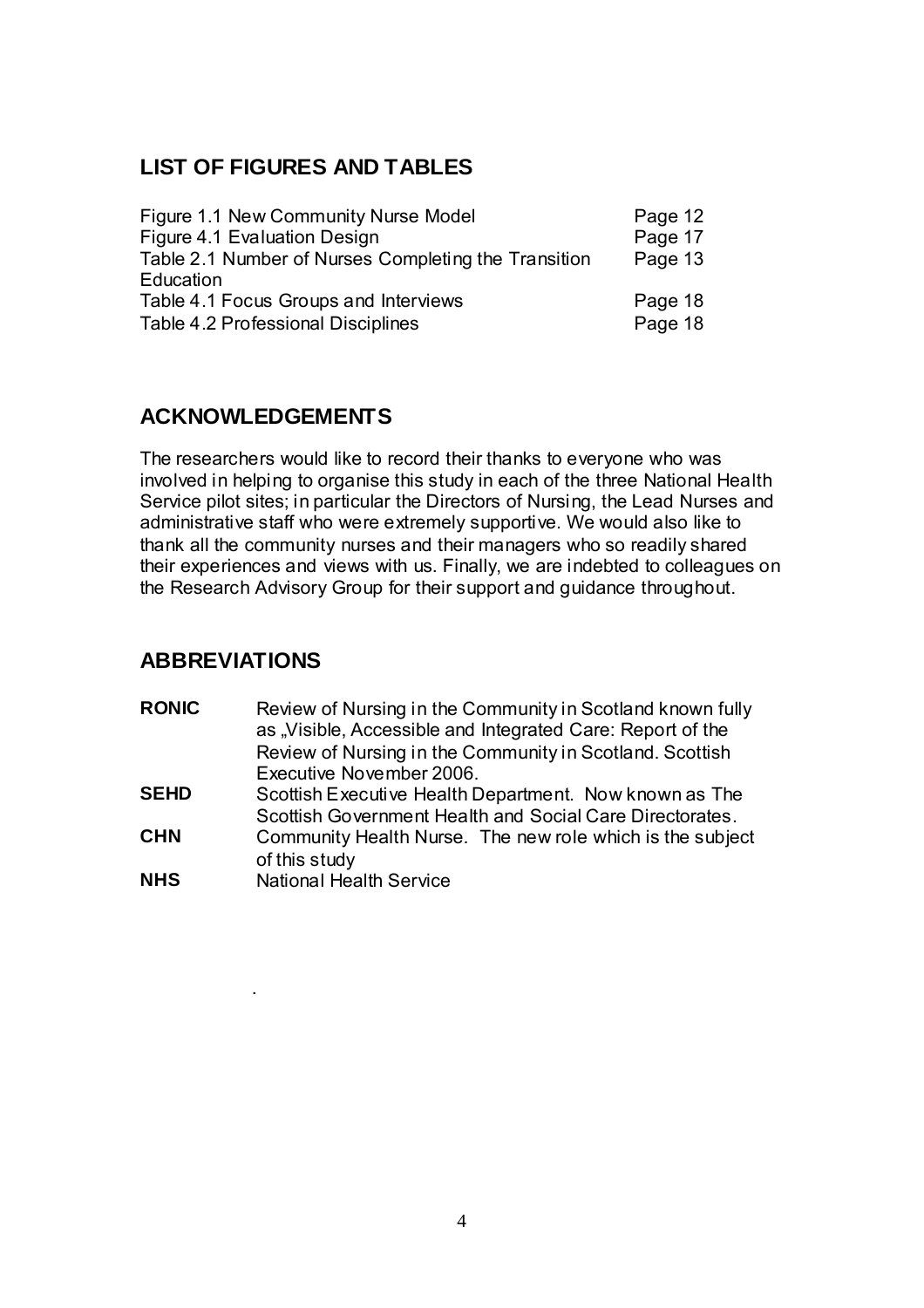# **LIST OF FIGURES AND TABLES**

| Figure 1.1 New Community Nurse Model                 | Page 12 |
|------------------------------------------------------|---------|
| Figure 4.1 Evaluation Design                         | Page 17 |
| Table 2.1 Number of Nurses Completing the Transition | Page 13 |
| Education                                            |         |
| Table 4.1 Focus Groups and Interviews                | Page 18 |
| Table 4.2 Professional Disciplines                   | Page 18 |

# **ACKNOWLEDGEMENTS**

The researchers would like to record their thanks to everyone who was involved in helping to organise this study in each of the three National Health Service pilot sites; in particular the Directors of Nursing, the Lead Nurses and administrative staff who were extremely supportive. We would also like to thank all the community nurses and their managers who so readily shared their experiences and views with us. Finally, we are indebted to colleagues on the Research Advisory Group for their support and guidance throughout.

# **ABBREVIATIONS**

.

| <b>RONIC</b> | Review of Nursing in the Community in Scotland known fully<br>as "Visible, Accessible and Integrated Care: Report of the<br>Review of Nursing in the Community in Scotland. Scottish<br>Executive November 2006. |
|--------------|------------------------------------------------------------------------------------------------------------------------------------------------------------------------------------------------------------------|
| <b>SEHD</b>  | Scottish Executive Health Department. Now known as The<br>Scottish Government Health and Social Care Directorates.                                                                                               |
| <b>CHN</b>   | Community Health Nurse. The new role which is the subject<br>of this study                                                                                                                                       |
| <b>NHS</b>   | <b>National Health Service</b>                                                                                                                                                                                   |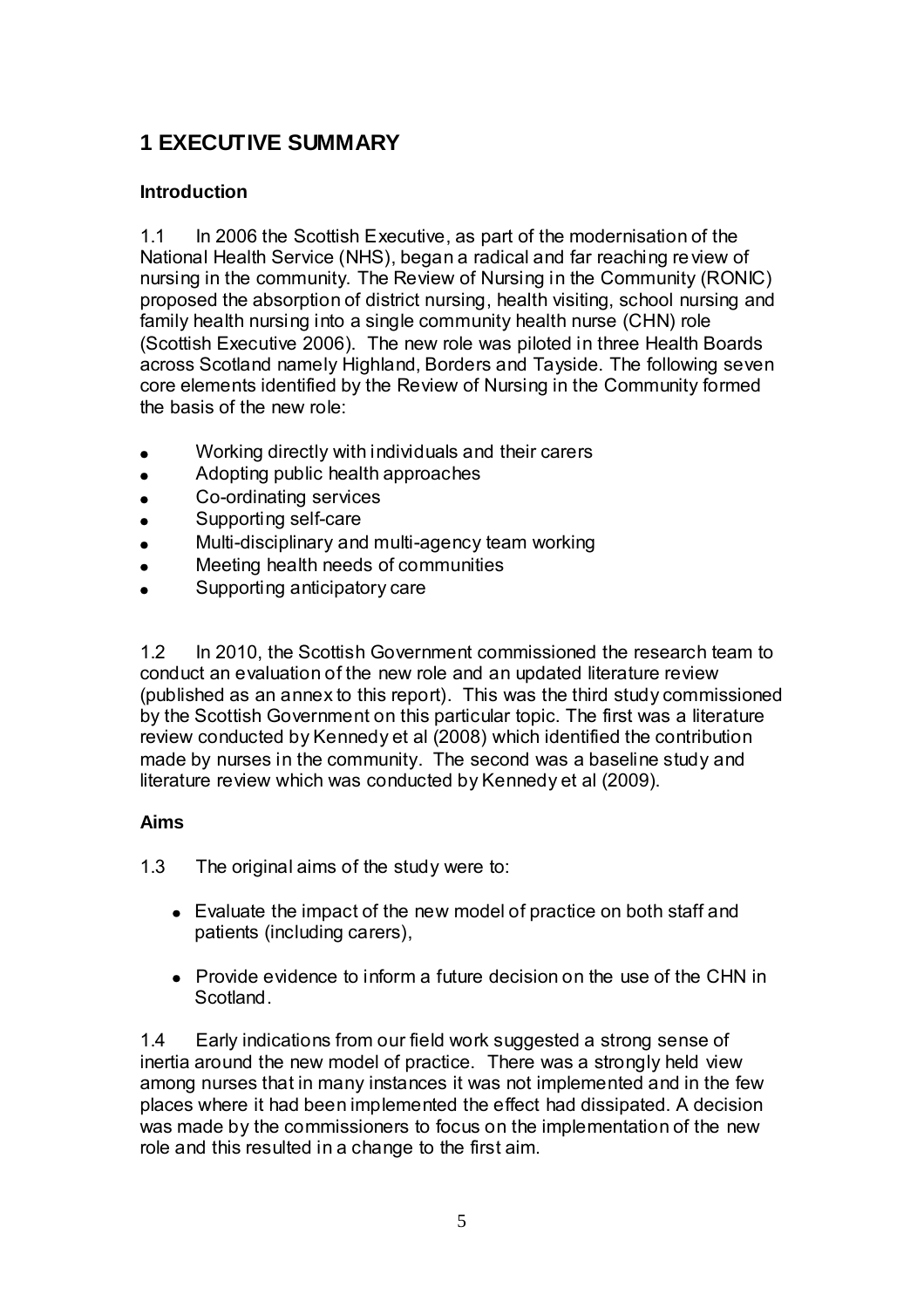# **1 EXECUTIVE SUMMARY**

#### **Introduction**

1.1 In 2006 the Scottish Executive, as part of the modernisation of the National Health Service (NHS), began a radical and far reaching review of nursing in the community. The Review of Nursing in the Community (RONIC) proposed the absorption of district nursing, health visiting, school nursing and family health nursing into a single community health nurse (CHN) role (Scottish Executive 2006). The new role was piloted in three Health Boards across Scotland namely Highland, Borders and Tayside. The following seven core elements identified by the Review of Nursing in the Community formed the basis of the new role:

- Working directly with individuals and their carers
- Adopting public health approaches
- Co-ordinating services  $\bullet$
- Supporting self-care
- Multi-disciplinary and multi-agency team working
- Meeting health needs of communities
- Supporting anticipatory care

1.2 In 2010, the Scottish Government commissioned the research team to conduct an evaluation of the new role and an updated literature review (published as an annex to this report). This was the third study commissioned by the Scottish Government on this particular topic. The first was a literature review conducted by Kennedy et al (2008) which identified the contribution made by nurses in the community. The second was a baseline study and literature review which was conducted by Kennedy et al (2009).

#### **Aims**

1.3 The original aims of the study were to:

- Evaluate the impact of the new model of practice on both staff and patients (including carers),
- Provide evidence to inform a future decision on the use of the CHN in Scotland.

1.4 Early indications from our field work suggested a strong sense of inertia around the new model of practice. There was a strongly held view among nurses that in many instances it was not implemented and in the few places where it had been implemented the effect had dissipated. A decision was made by the commissioners to focus on the implementation of the new role and this resulted in a change to the first aim.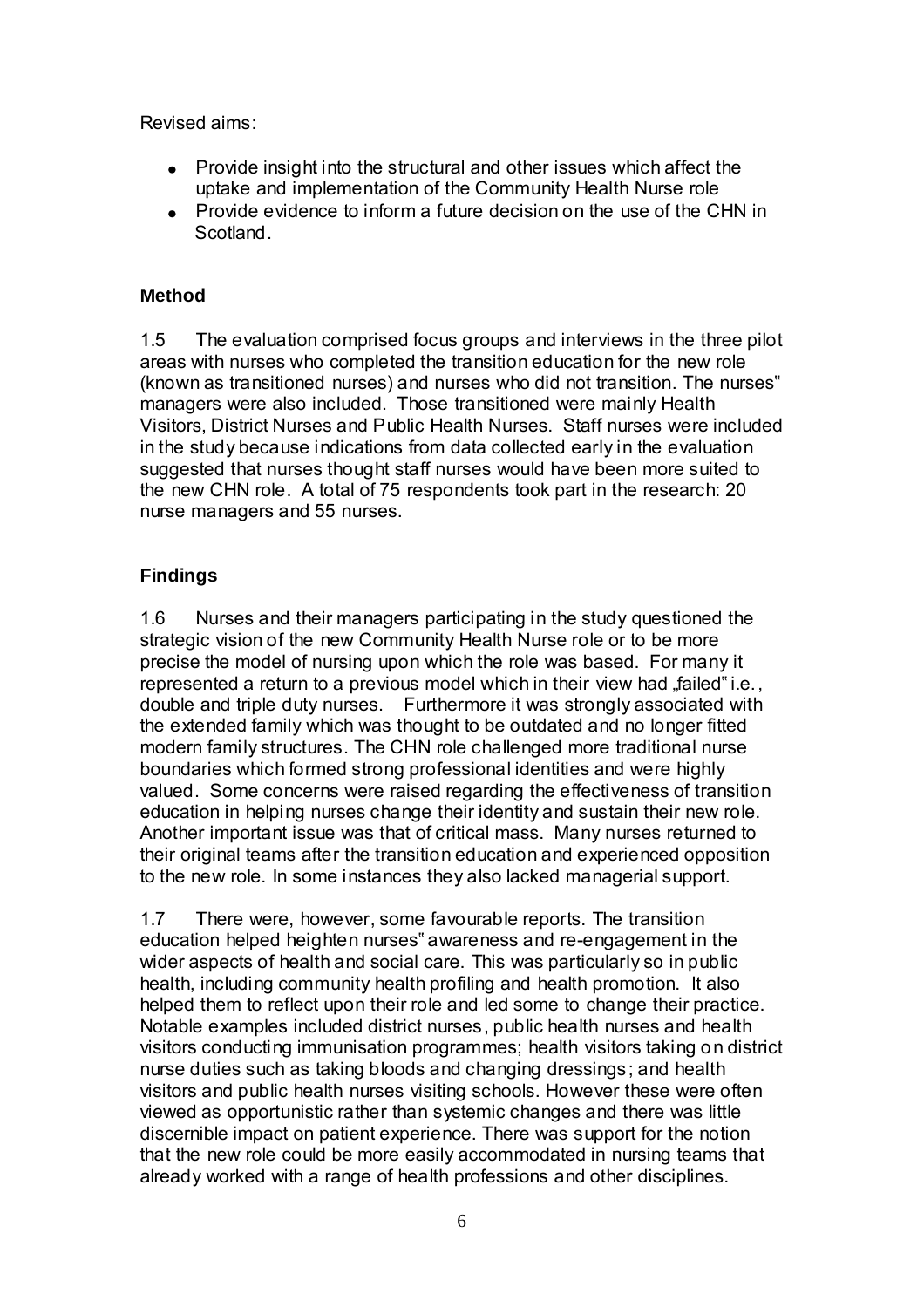Revised aims:

- Provide insight into the structural and other issues which affect the uptake and implementation of the Community Health Nurse role
- Provide evidence to inform a future decision on the use of the CHN in Scotland.

#### **Method**

1.5 The evaluation comprised focus groups and interviews in the three pilot areas with nurses who completed the transition education for the new role (known as transitioned nurses) and nurses who did not transition. The nurses" managers were also included. Those transitioned were mainly Health Visitors, District Nurses and Public Health Nurses. Staff nurses were included in the study because indications from data collected early in the evaluation suggested that nurses thought staff nurses would have been more suited to the new CHN role. A total of 75 respondents took part in the research: 20 nurse managers and 55 nurses.

#### **Findings**

1.6 Nurses and their managers participating in the study questioned the strategic vision of the new Community Health Nurse role or to be more precise the model of nursing upon which the role was based. For many it represented a return to a previous model which in their view had "failed" i.e., double and triple duty nurses. Furthermore it was strongly associated with the extended family which was thought to be outdated and no longer fitted modern family structures. The CHN role challenged more traditional nurse boundaries which formed strong professional identities and were highly valued. Some concerns were raised regarding the effectiveness of transition education in helping nurses change their identity and sustain their new role. Another important issue was that of critical mass. Many nurses returned to their original teams after the transition education and experienced opposition to the new role. In some instances they also lacked managerial support.

1.7 There were, however, some favourable reports. The transition education helped heighten nurses" awareness and re-engagement in the wider aspects of health and social care. This was particularly so in public health, including community health profiling and health promotion. It also helped them to reflect upon their role and led some to change their practice. Notable examples included district nurses, public health nurses and health visitors conducting immunisation programmes; health visitors taking on district nurse duties such as taking bloods and changing dressings; and health visitors and public health nurses visiting schools. However these were often viewed as opportunistic rather than systemic changes and there was little discernible impact on patient experience. There was support for the notion that the new role could be more easily accommodated in nursing teams that already worked with a range of health professions and other disciplines.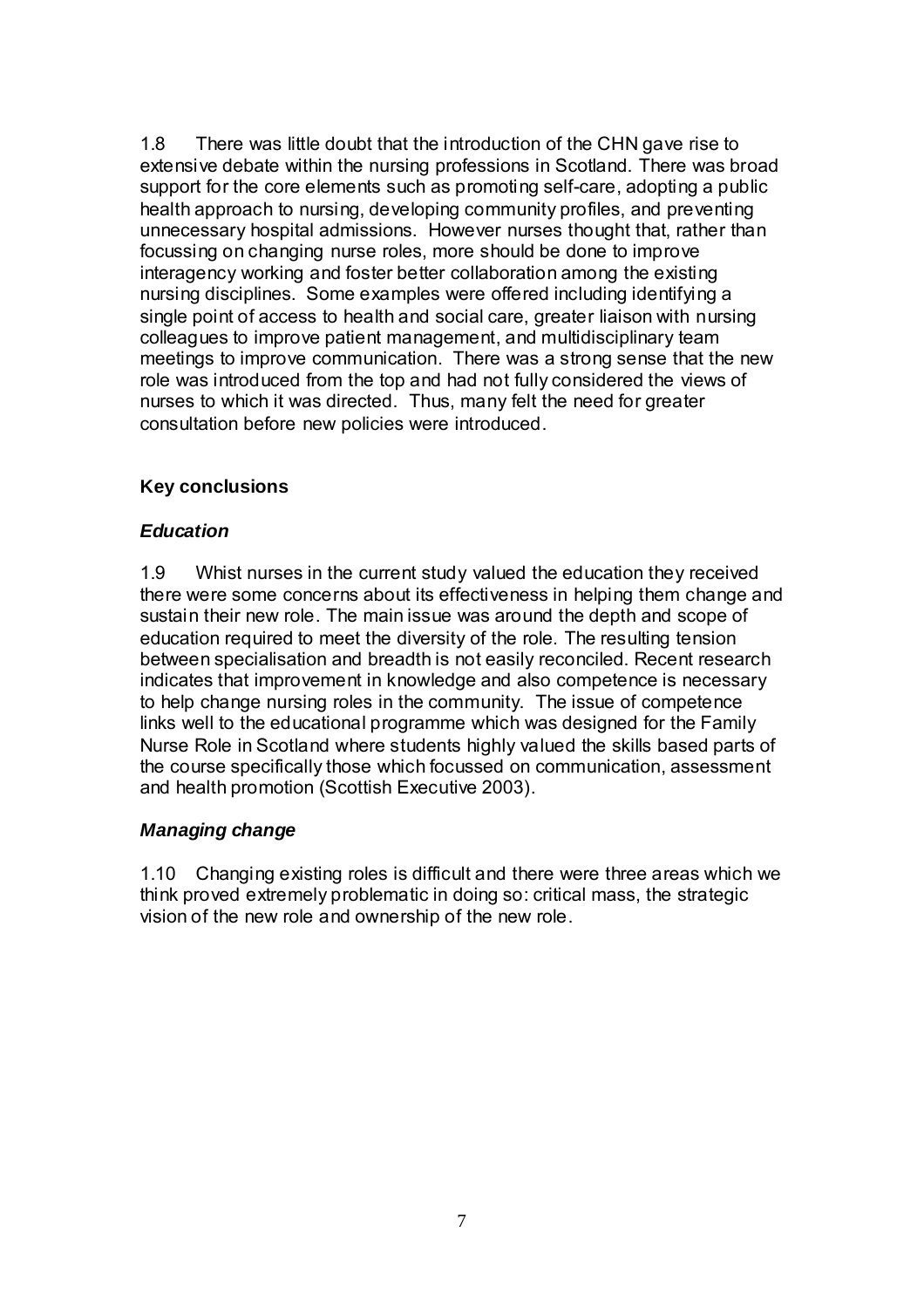1.8 There was little doubt that the introduction of the CHN gave rise to extensive debate within the nursing professions in Scotland. There was broad support for the core elements such as promoting self-care, adopting a public health approach to nursing, developing community profiles, and preventing unnecessary hospital admissions. However nurses thought that, rather than focussing on changing nurse roles, more should be done to improve interagency working and foster better collaboration among the existing nursing disciplines. Some examples were offered including identifying a single point of access to health and social care, greater liaison with nursing colleagues to improve patient management, and multidisciplinary team meetings to improve communication. There was a strong sense that the new role was introduced from the top and had not fully considered the views of nurses to which it was directed. Thus, many felt the need for greater consultation before new policies were introduced.

#### **Key conclusions**

#### *Education*

1.9 Whist nurses in the current study valued the education they received there were some concerns about its effectiveness in helping them change and sustain their new role. The main issue was around the depth and scope of education required to meet the diversity of the role. The resulting tension between specialisation and breadth is not easily reconciled. Recent research indicates that improvement in knowledge and also competence is necessary to help change nursing roles in the community. The issue of competence links well to the educational programme which was designed for the Family Nurse Role in Scotland where students highly valued the skills based parts of the course specifically those which focussed on communication, assessment and health promotion (Scottish Executive 2003).

#### *Managing change*

1.10 Changing existing roles is difficult and there were three areas which we think proved extremely problematic in doing so: critical mass, the strategic vision of the new role and ownership of the new role.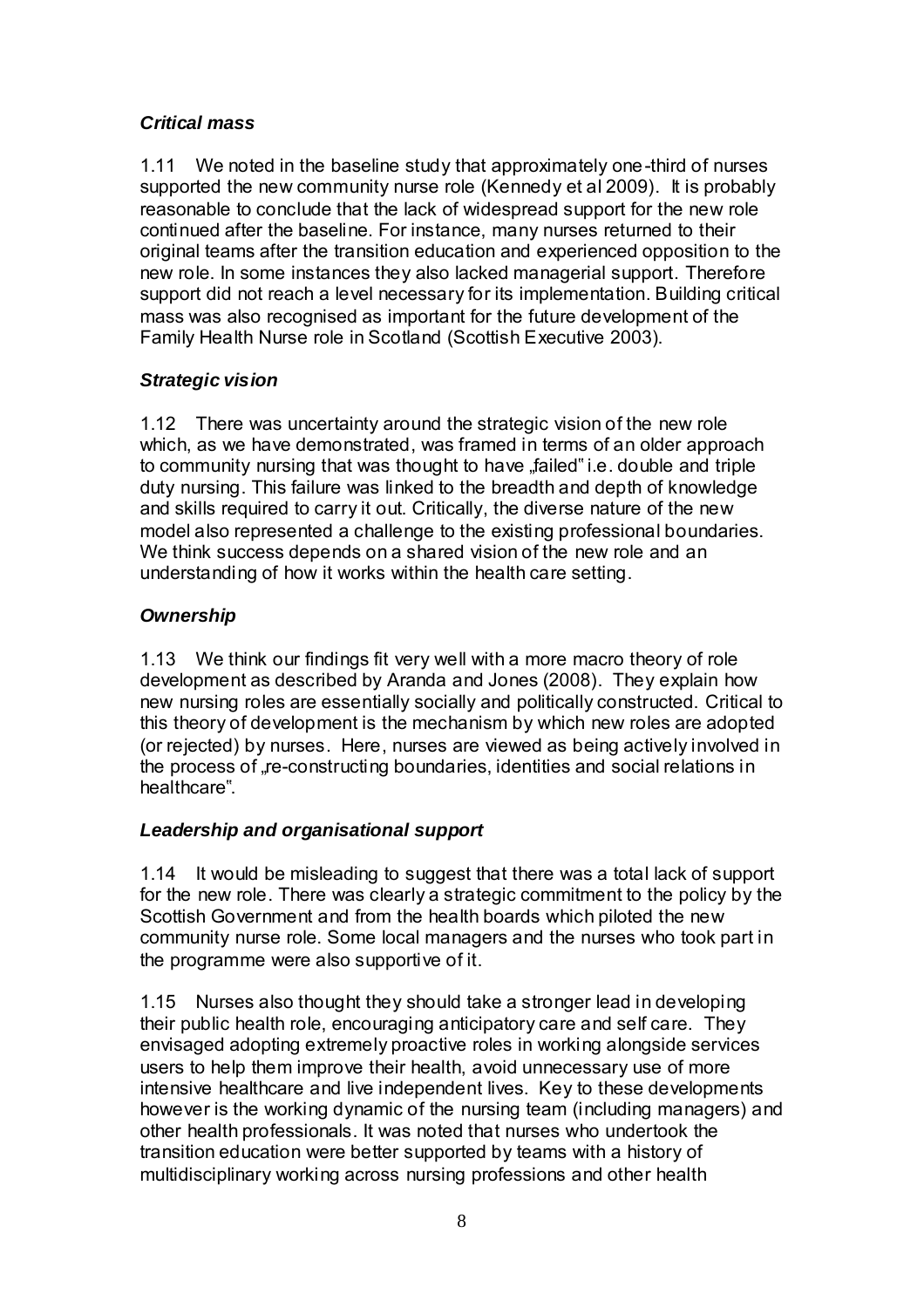### *Critical mass*

1.11 We noted in the baseline study that approximately one-third of nurses supported the new community nurse role (Kennedy et al 2009). It is probably reasonable to conclude that the lack of widespread support for the new role continued after the baseline. For instance, many nurses returned to their original teams after the transition education and experienced opposition to the new role. In some instances they also lacked managerial support. Therefore support did not reach a level necessary for its implementation. Building critical mass was also recognised as important for the future development of the Family Health Nurse role in Scotland (Scottish Executive 2003).

### *Strategic vision*

1.12 There was uncertainty around the strategic vision of the new role which, as we have demonstrated, was framed in terms of an older approach to community nursing that was thought to have "failed" i.e. double and triple duty nursing. This failure was linked to the breadth and depth of knowledge and skills required to carry it out. Critically, the diverse nature of the new model also represented a challenge to the existing professional boundaries. We think success depends on a shared vision of the new role and an understanding of how it works within the health care setting.

# *Ownership*

1.13 We think our findings fit very well with a more macro theory of role development as described by Aranda and Jones (2008). They explain how new nursing roles are essentially socially and politically constructed. Critical to this theory of development is the mechanism by which new roles are adopted (or rejected) by nurses. Here, nurses are viewed as being actively involved in the process of re-constructing boundaries, identities and social relations in healthcare".

# *Leadership and organisational support*

1.14 It would be misleading to suggest that there was a total lack of support for the new role. There was clearly a strategic commitment to the policy by the Scottish Government and from the health boards which piloted the new community nurse role. Some local managers and the nurses who took part in the programme were also supportive of it.

1.15 Nurses also thought they should take a stronger lead in developing their public health role, encouraging anticipatory care and self care. They envisaged adopting extremely proactive roles in working alongside services users to help them improve their health, avoid unnecessary use of more intensive healthcare and live independent lives. Key to these developments however is the working dynamic of the nursing team (including managers) and other health professionals. It was noted that nurses who undertook the transition education were better supported by teams with a history of multidisciplinary working across nursing professions and other health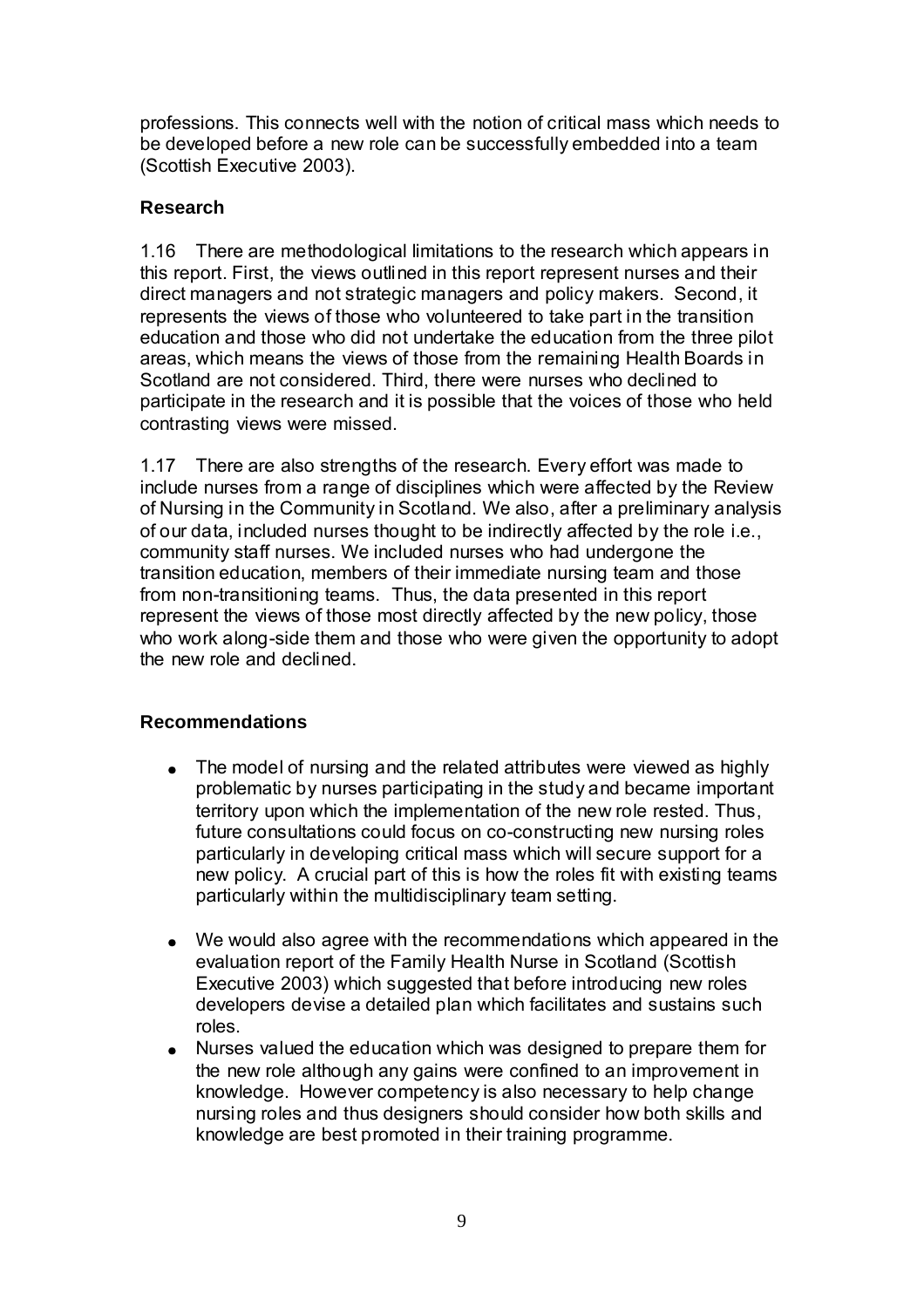professions. This connects well with the notion of critical mass which needs to be developed before a new role can be successfully embedded into a team (Scottish Executive 2003).

#### **Research**

1.16 There are methodological limitations to the research which appears in this report. First, the views outlined in this report represent nurses and their direct managers and not strategic managers and policy makers. Second, it represents the views of those who volunteered to take part in the transition education and those who did not undertake the education from the three pilot areas, which means the views of those from the remaining Health Boards in Scotland are not considered. Third, there were nurses who declined to participate in the research and it is possible that the voices of those who held contrasting views were missed.

1.17 There are also strengths of the research. Every effort was made to include nurses from a range of disciplines which were affected by the Review of Nursing in the Community in Scotland. We also, after a preliminary analysis of our data, included nurses thought to be indirectly affected by the role i.e., community staff nurses. We included nurses who had undergone the transition education, members of their immediate nursing team and those from non-transitioning teams. Thus, the data presented in this report represent the views of those most directly affected by the new policy, those who work along-side them and those who were given the opportunity to adopt the new role and declined.

#### **Recommendations**

- The model of nursing and the related attributes were viewed as highly problematic by nurses participating in the study and became important territory upon which the implementation of the new role rested. Thus, future consultations could focus on co-constructing new nursing roles particularly in developing critical mass which will secure support for a new policy. A crucial part of this is how the roles fit with existing teams particularly within the multidisciplinary team setting.
- We would also agree with the recommendations which appeared in the evaluation report of the Family Health Nurse in Scotland (Scottish Executive 2003) which suggested that before introducing new roles developers devise a detailed plan which facilitates and sustains such roles.
- Nurses valued the education which was designed to prepare them for the new role although any gains were confined to an improvement in knowledge. However competency is also necessary to help change nursing roles and thus designers should consider how both skills and knowledge are best promoted in their training programme.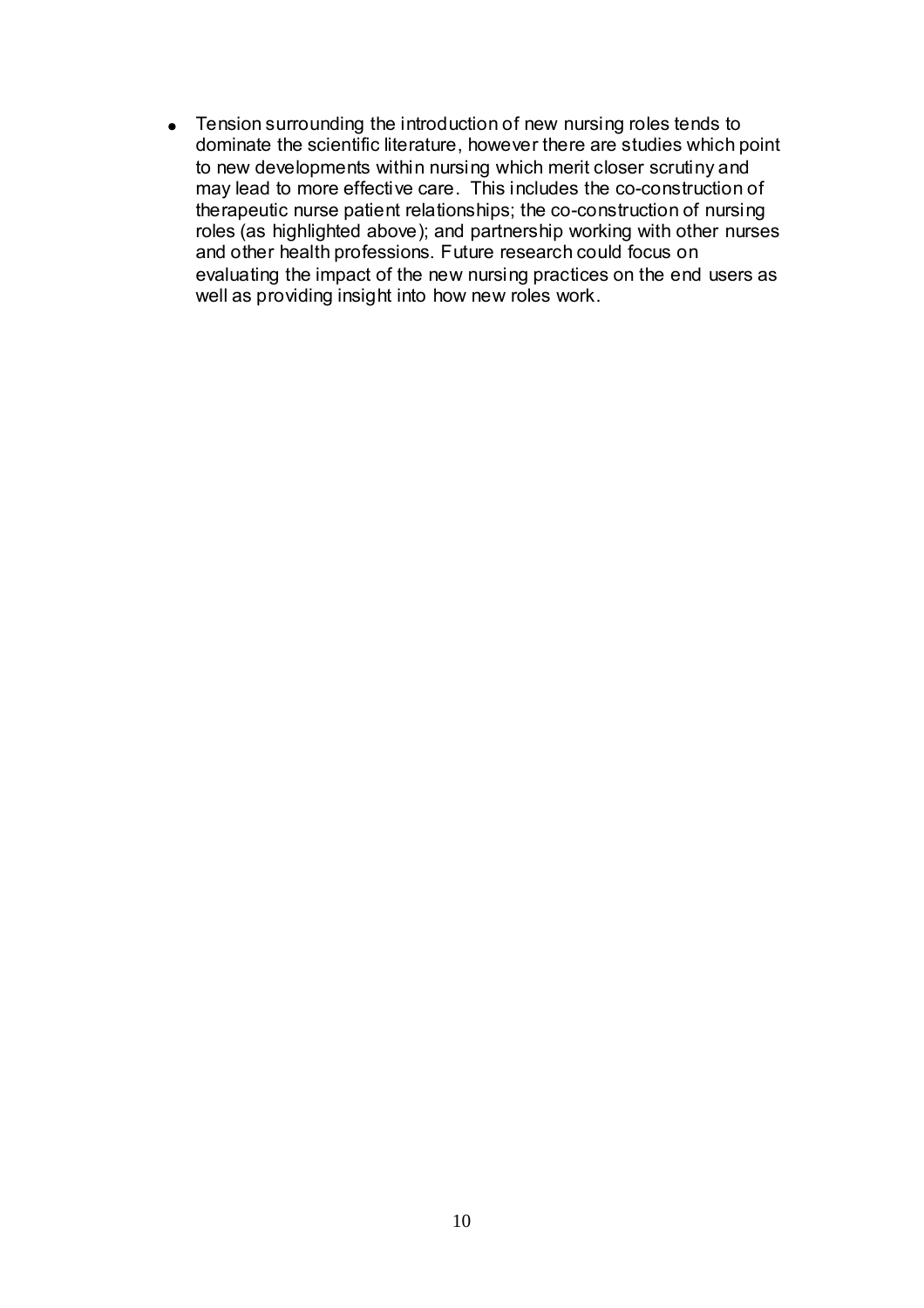• Tension surrounding the introduction of new nursing roles tends to dominate the scientific literature, however there are studies which point to new developments within nursing which merit closer scrutiny and may lead to more effective care. This includes the co-construction of therapeutic nurse patient relationships; the co-construction of nursing roles (as highlighted above); and partnership working with other nurses and other health professions. Future research could focus on evaluating the impact of the new nursing practices on the end users as well as providing insight into how new roles work.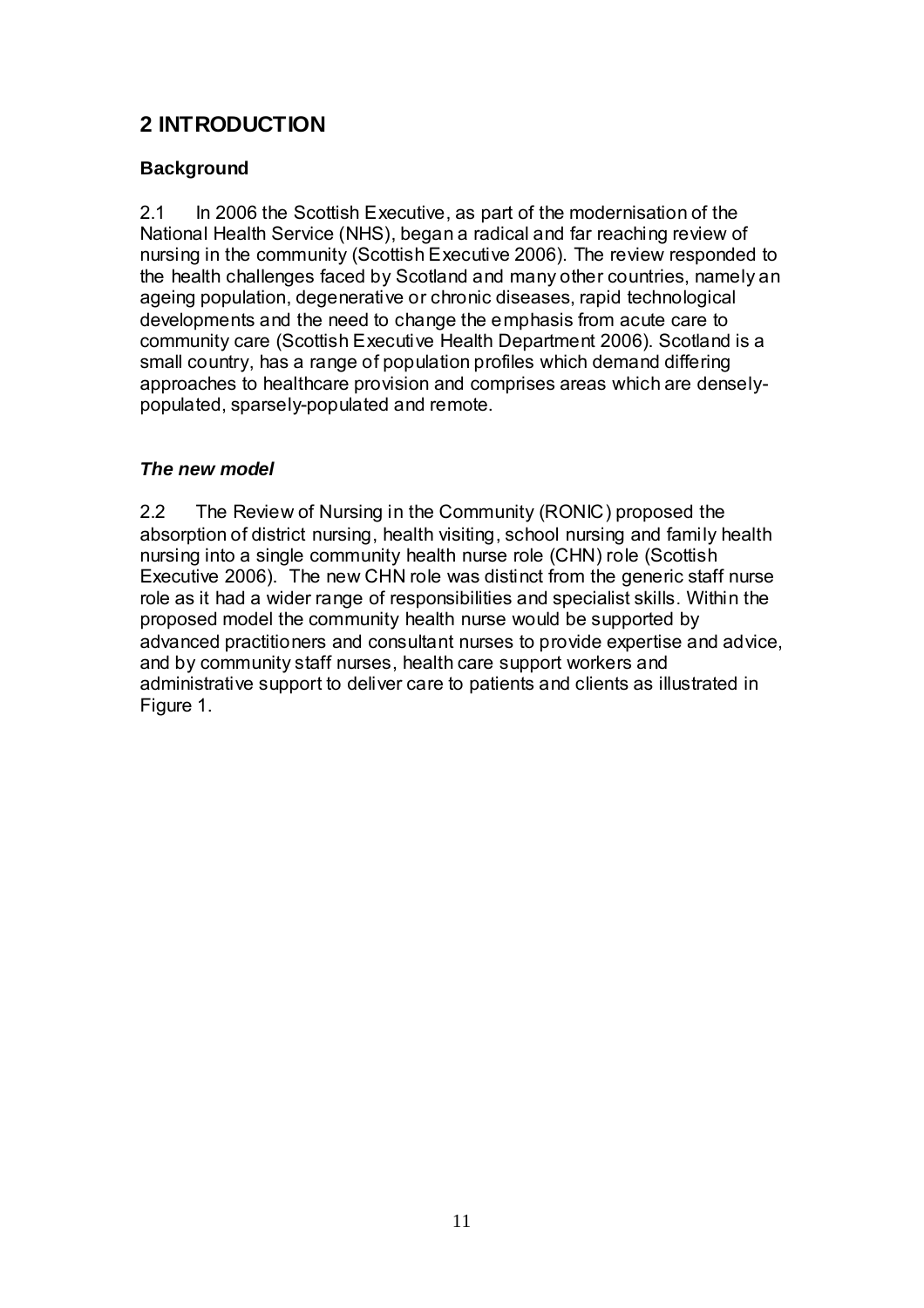# **2 INTRODUCTION**

### **Background**

2.1 In 2006 the Scottish Executive, as part of the modernisation of the National Health Service (NHS), began a radical and far reaching review of nursing in the community (Scottish Executive 2006). The review responded to the health challenges faced by Scotland and many other countries, namely an ageing population, degenerative or chronic diseases, rapid technological developments and the need to change the emphasis from acute care to community care (Scottish Executive Health Department 2006). Scotland is a small country, has a range of population profiles which demand differing approaches to healthcare provision and comprises areas which are denselypopulated, sparsely-populated and remote.

### *The new model*

2.2 The Review of Nursing in the Community (RONIC) proposed the absorption of district nursing, health visiting, school nursing and family health nursing into a single community health nurse role (CHN) role (Scottish Executive 2006). The new CHN role was distinct from the generic staff nurse role as it had a wider range of responsibilities and specialist skills. Within the proposed model the community health nurse would be supported by advanced practitioners and consultant nurses to provide expertise and advice, and by community staff nurses, health care support workers and administrative support to deliver care to patients and clients as illustrated in Figure 1.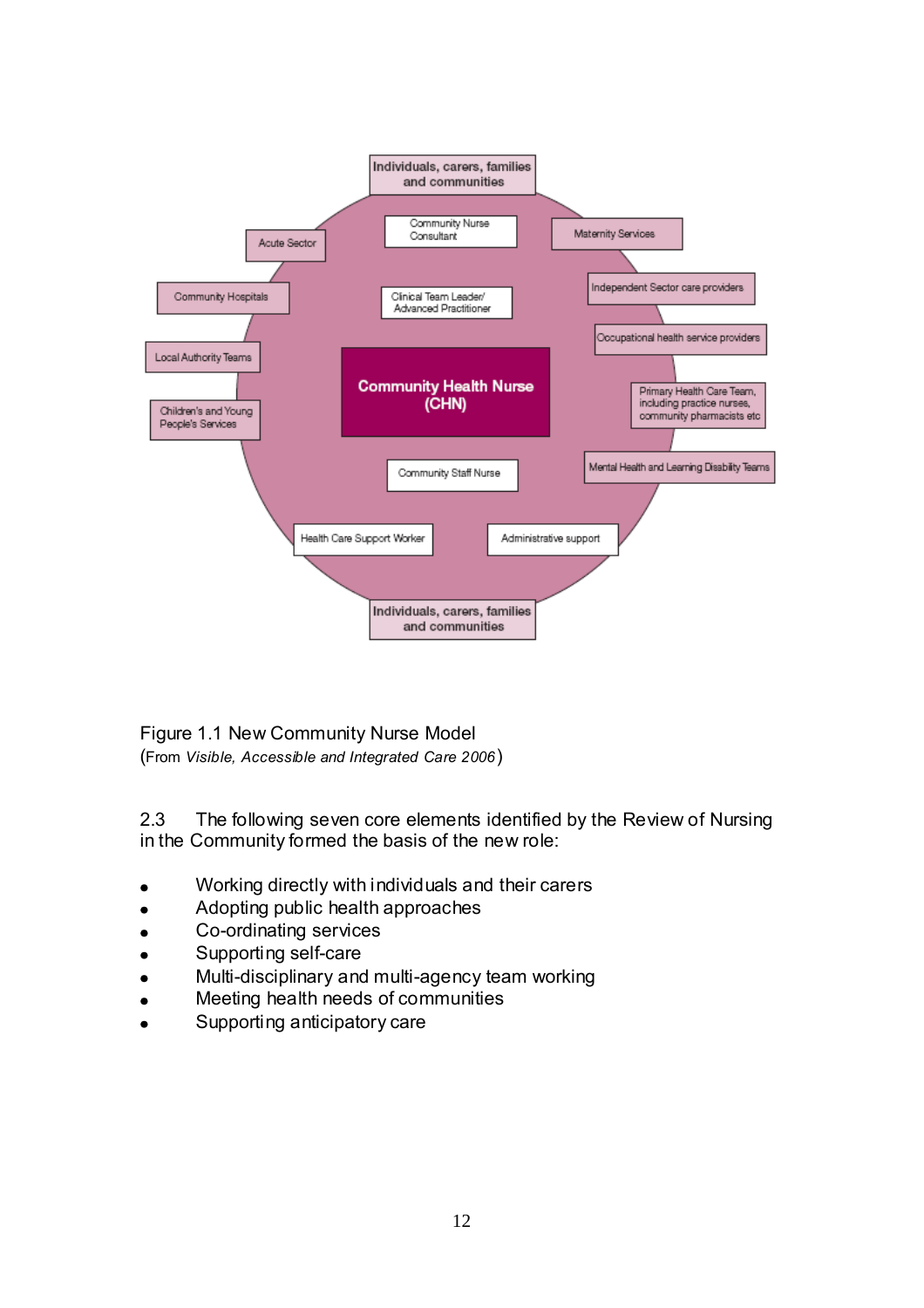

Figure 1.1 New Community Nurse Model (From *Visible, Accessible and Integrated Care 2006*)

2.3 The following seven core elements identified by the Review of Nursing in the Community formed the basis of the new role:

- Working directly with individuals and their carers
- Adopting public health approaches
- Co-ordinating services  $\bullet$
- Supporting self-care
- Multi-disciplinary and multi-agency team working
- Meeting health needs of communities
- Supporting anticipatory care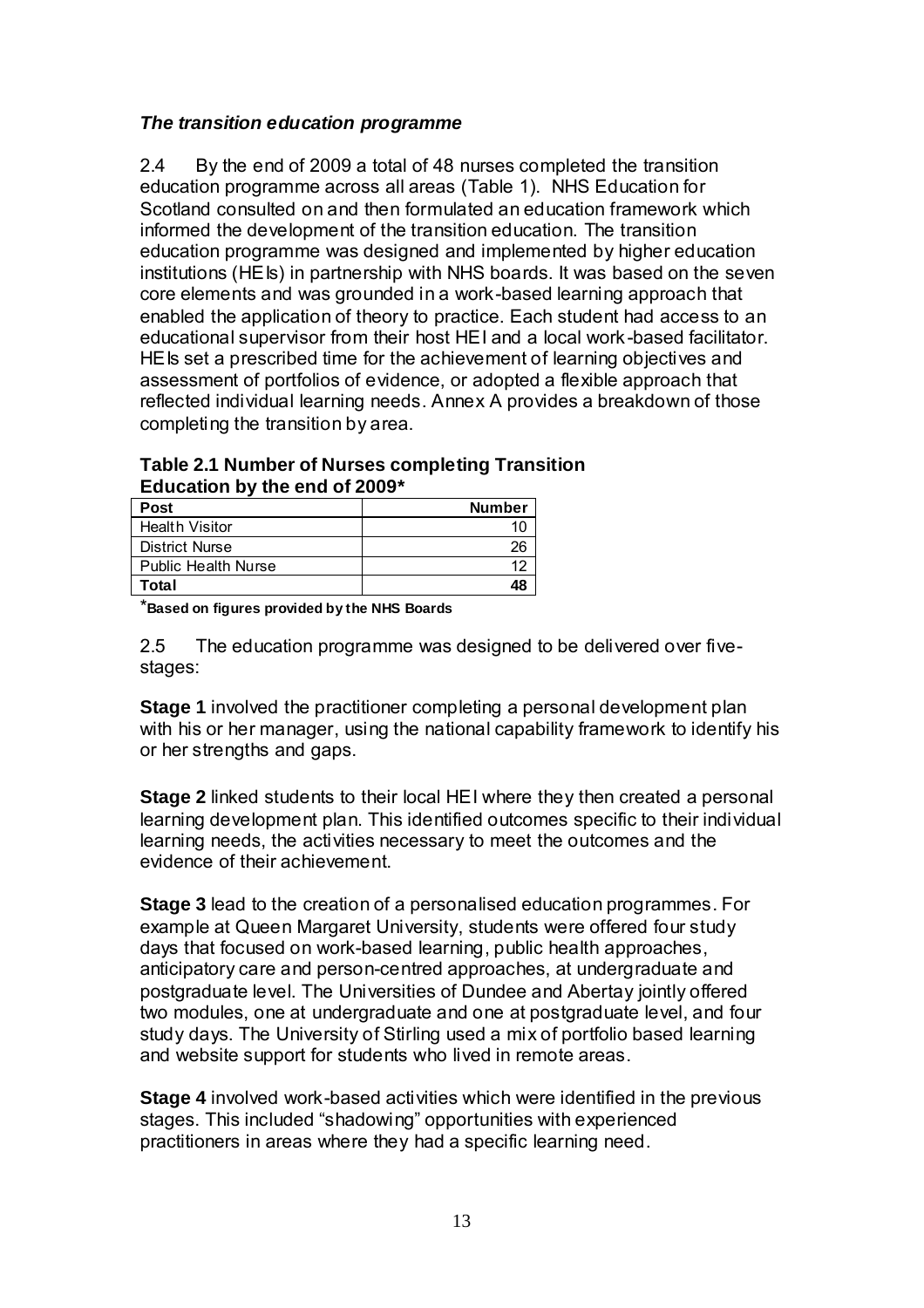#### *The transition education programme*

2.4 By the end of 2009 a total of 48 nurses completed the transition education programme across all areas (Table 1). NHS Education for Scotland consulted on and then formulated an education framework which informed the development of the transition education. The transition education programme was designed and implemented by higher education institutions (HEIs) in partnership with NHS boards. It was based on the seven core elements and was grounded in a work-based learning approach that enabled the application of theory to practice. Each student had access to an educational supervisor from their host HEI and a local work-based facilitator. HEIs set a prescribed time for the achievement of learning objectives and assessment of portfolios of evidence, or adopted a flexible approach that reflected individual learning needs. Annex A provides a breakdown of those completing the transition by area.

**Table 2.1 Number of Nurses completing Transition Education by the end of 2009\*** 

| <b>Post</b>                | <b>Number</b> |
|----------------------------|---------------|
| <b>Health Visitor</b>      |               |
| <b>District Nurse</b>      | 26            |
| <b>Public Health Nurse</b> |               |
| Total                      |               |

\***Based on figures provided by the NHS Boards**

2.5 The education programme was designed to be delivered over fivestages:

**Stage 1** involved the practitioner completing a personal development plan with his or her manager, using the national capability framework to identify his or her strengths and gaps.

**Stage 2** linked students to their local HEI where they then created a personal learning development plan. This identified outcomes specific to their individual learning needs, the activities necessary to meet the outcomes and the evidence of their achievement.

**Stage 3** lead to the creation of a personalised education programmes. For example at Queen Margaret University, students were offered four study days that focused on work-based learning, public health approaches, anticipatory care and person-centred approaches, at undergraduate and postgraduate level. The Universities of Dundee and Abertay jointly offered two modules, one at undergraduate and one at postgraduate level, and four study days. The University of Stirling used a mix of portfolio based learning and website support for students who lived in remote areas.

**Stage 4** involved work-based activities which were identified in the previous stages. This included "shadowing" opportunities with experienced practitioners in areas where they had a specific learning need.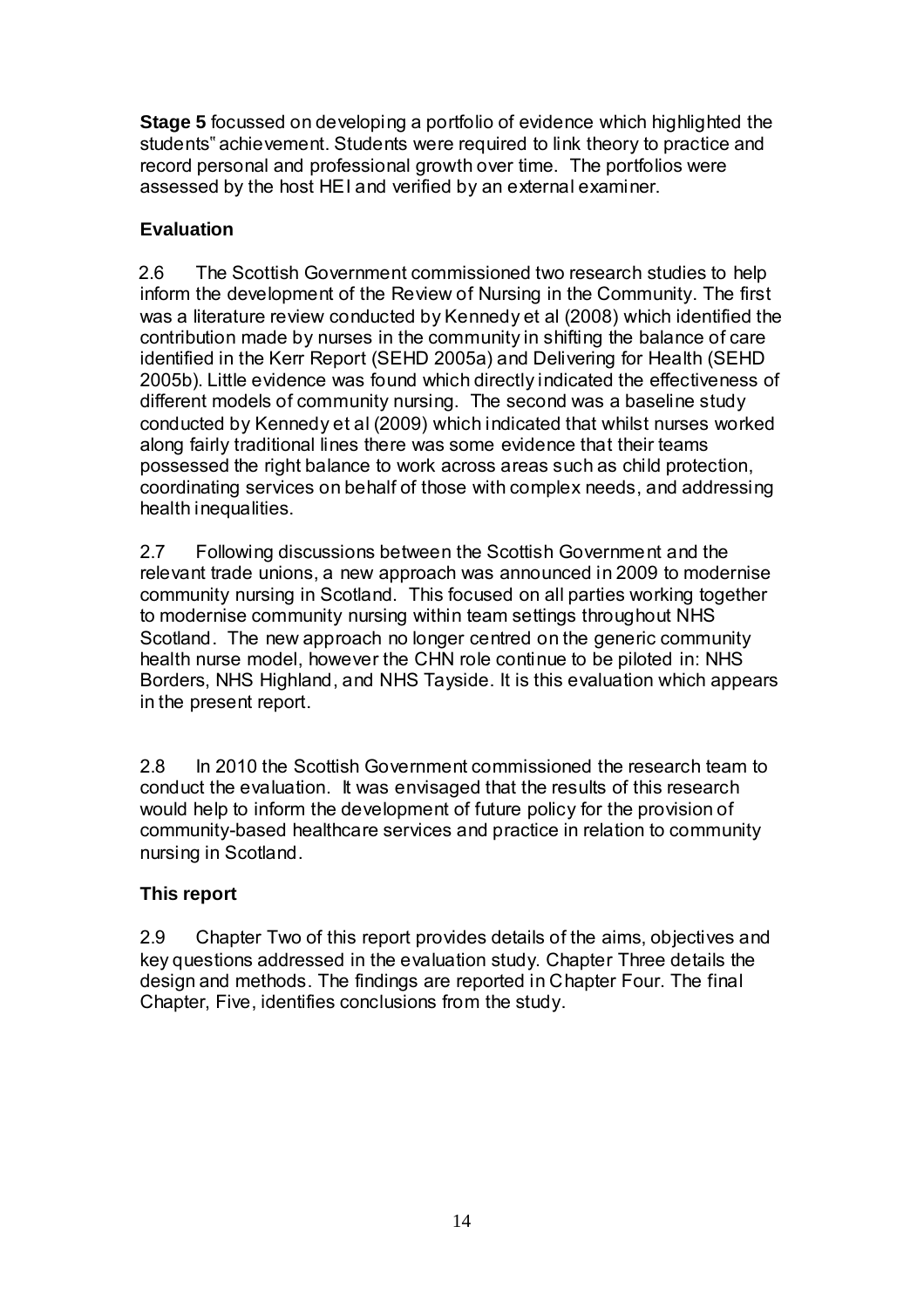**Stage 5** focussed on developing a portfolio of evidence which highlighted the students" achievement. Students were required to link theory to practice and record personal and professional growth over time. The portfolios were assessed by the host HEI and verified by an external examiner.

# **Evaluation**

2.6 The Scottish Government commissioned two research studies to help inform the development of the Review of Nursing in the Community. The first was a literature review conducted by Kennedy et al (2008) which identified the contribution made by nurses in the community in shifting the balance of care identified in the Kerr Report (SEHD 2005a) and Delivering for Health (SEHD 2005b). Little evidence was found which directly indicated the effectiveness of different models of community nursing. The second was a baseline study conducted by Kennedy et al (2009) which indicated that whilst nurses worked along fairly traditional lines there was some evidence that their teams possessed the right balance to work across areas such as child protection, coordinating services on behalf of those with complex needs, and addressing health inequalities.

2.7 Following discussions between the Scottish Government and the relevant trade unions, a new approach was announced in 2009 to modernise community nursing in Scotland. This focused on all parties working together to modernise community nursing within team settings throughout NHS Scotland. The new approach no longer centred on the generic community health nurse model, however the CHN role continue to be piloted in: NHS Borders, NHS Highland, and NHS Tayside. It is this evaluation which appears in the present report.

2.8 In 2010 the Scottish Government commissioned the research team to conduct the evaluation. It was envisaged that the results of this research would help to inform the development of future policy for the provision of community-based healthcare services and practice in relation to community nursing in Scotland.

# **This report**

2.9 Chapter Two of this report provides details of the aims, objectives and key questions addressed in the evaluation study. Chapter Three details the design and methods. The findings are reported in Chapter Four. The final Chapter, Five, identifies conclusions from the study.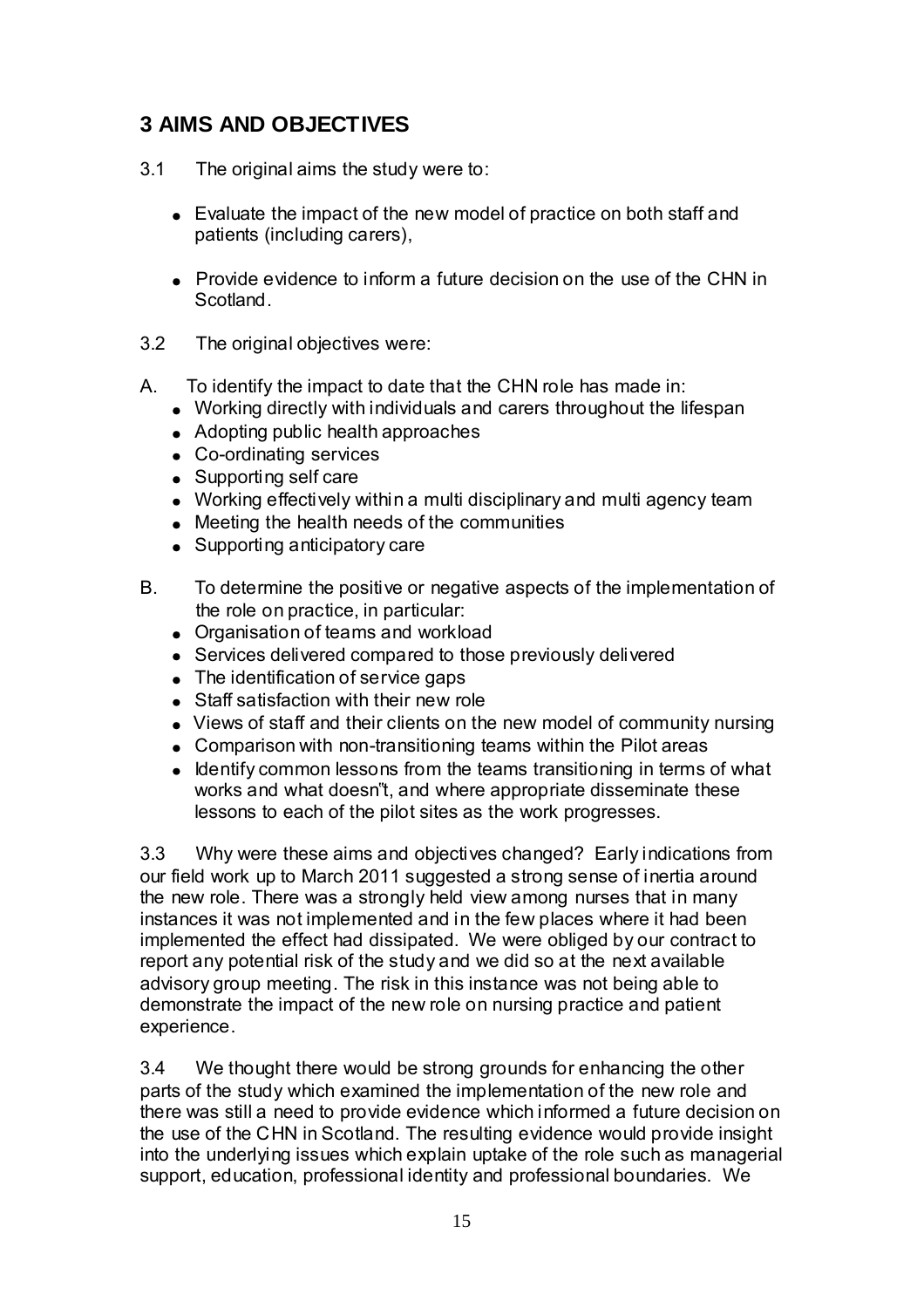# **3 AIMS AND OBJECTIVES**

- 3.1 The original aims the study were to:
	- Evaluate the impact of the new model of practice on both staff and patients (including carers),
	- Provide evidence to inform a future decision on the use of the CHN in Scotland.
- 3.2 The original objectives were:
- A. To identify the impact to date that the CHN role has made in:
	- Working directly with individuals and carers throughout the lifespan
	- Adopting public health approaches
	- Co-ordinating services
	- Supporting self care
	- Working effectively within a multi disciplinary and multi agency team
	- Meeting the health needs of the communities
	- Supporting anticipatory care
- B. To determine the positive or negative aspects of the implementation of the role on practice, in particular:
	- Organisation of teams and workload
	- Services delivered compared to those previously delivered
	- The identification of service gaps
	- Staff satisfaction with their new role
	- Views of staff and their clients on the new model of community nursing
	- Comparison with non-transitioning teams within the Pilot areas
	- $\bullet$  Identify common lessons from the teams transitioning in terms of what works and what doesn"t, and where appropriate disseminate these lessons to each of the pilot sites as the work progresses.

3.3 Why were these aims and objectives changed? Early indications from our field work up to March 2011 suggested a strong sense of inertia around the new role. There was a strongly held view among nurses that in many instances it was not implemented and in the few places where it had been implemented the effect had dissipated. We were obliged by our contract to report any potential risk of the study and we did so at the next available advisory group meeting. The risk in this instance was not being able to demonstrate the impact of the new role on nursing practice and patient experience.

3.4 We thought there would be strong grounds for enhancing the other parts of the study which examined the implementation of the new role and there was still a need to provide evidence which informed a future decision on the use of the CHN in Scotland. The resulting evidence would provide insight into the underlying issues which explain uptake of the role such as managerial support, education, professional identity and professional boundaries. We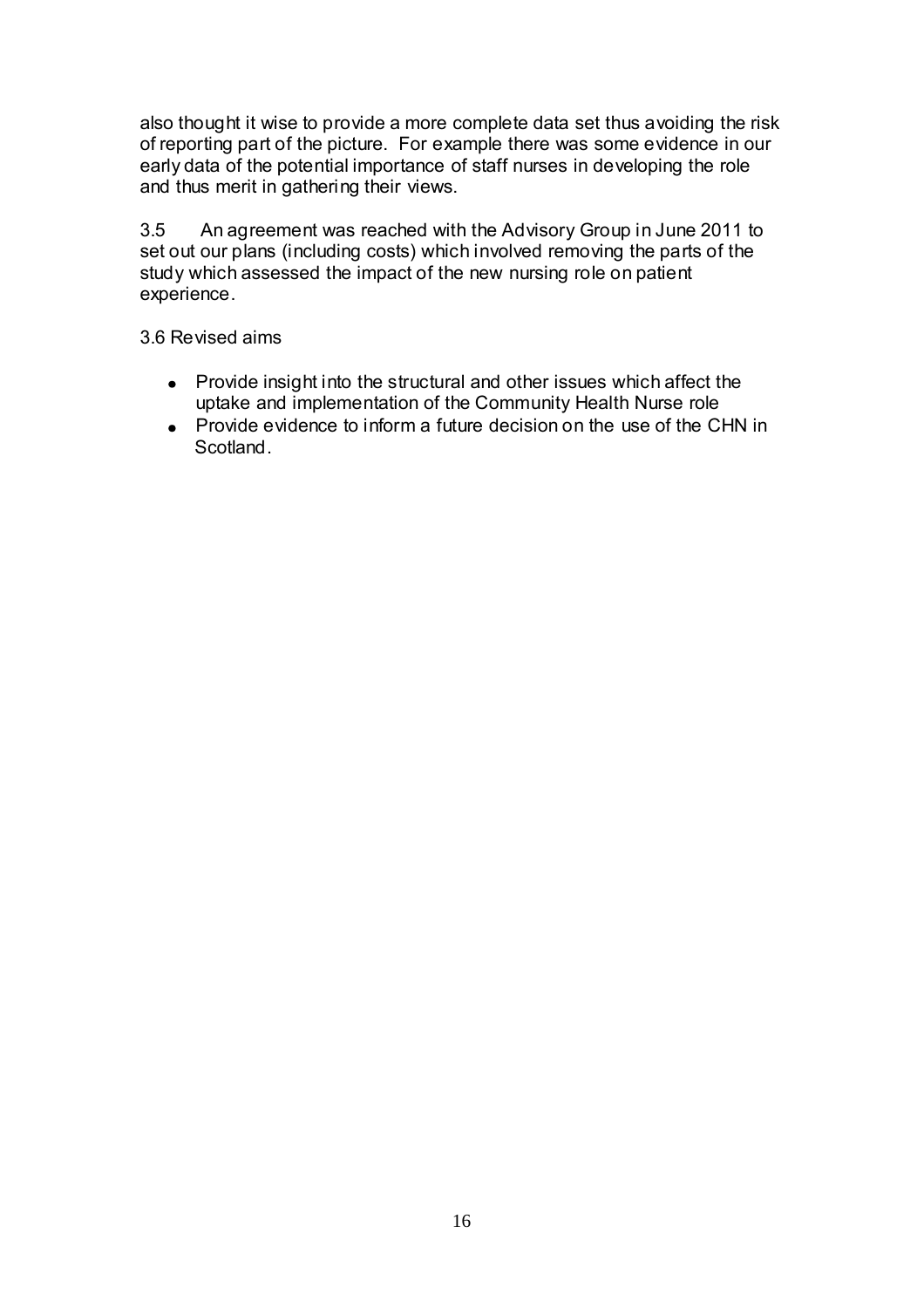also thought it wise to provide a more complete data set thus avoiding the risk of reporting part of the picture. For example there was some evidence in our early data of the potential importance of staff nurses in developing the role and thus merit in gathering their views.

 $3.5$ 3.5 An agreement was reached with the Advisory Group in June 2011 to set out our plans (including costs) which involved removing the parts of the study which assessed the impact of the new nursing role on patient experience.

3.6 Revised aims

- Provide insight into the structural and other issues which affect the uptake and implementation of the Community Health Nurse role
- Provide evidence to inform a future decision on the use of the CHN in **Scotland.**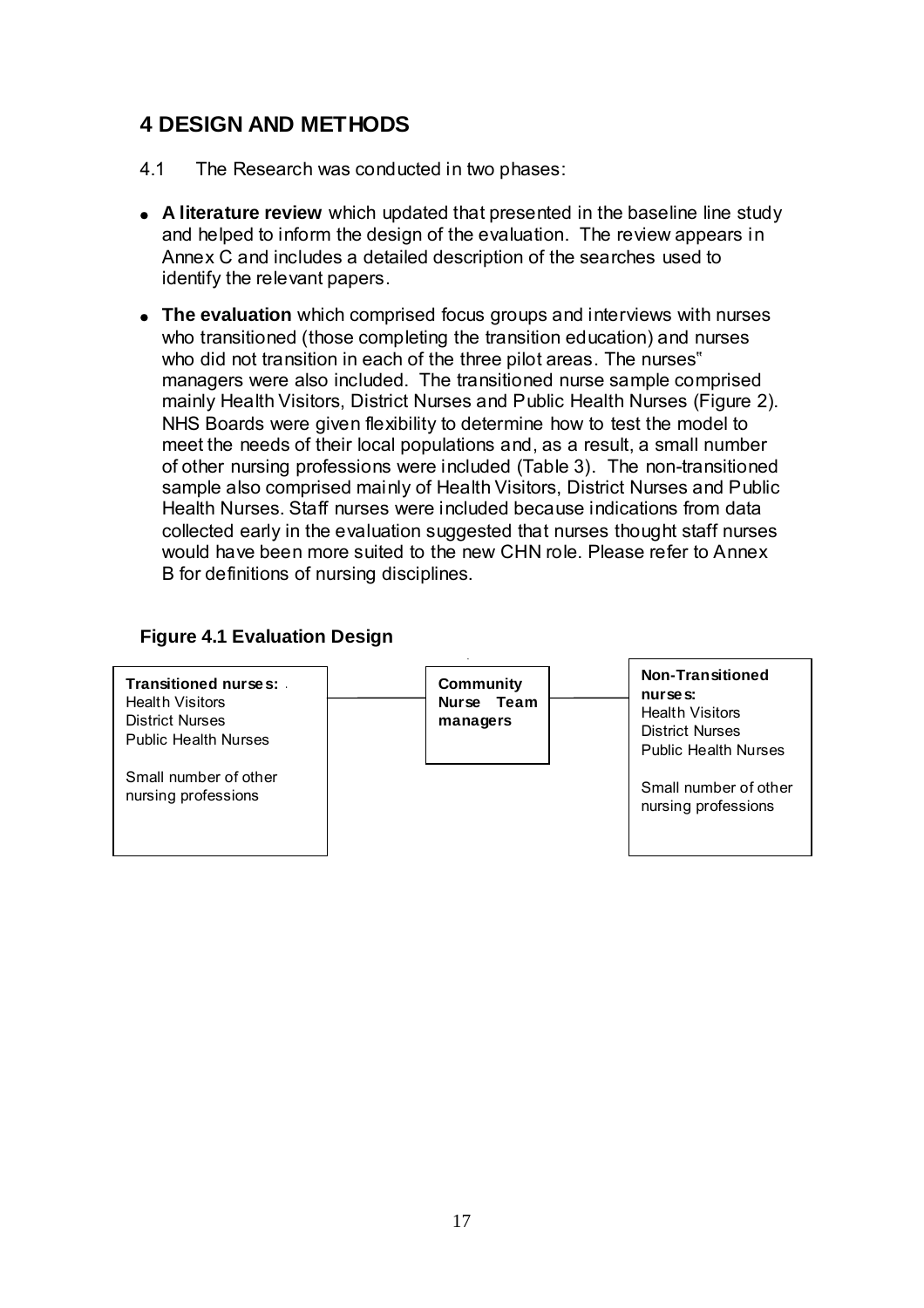# **4 DESIGN AND METHODS**

- 4.1 The Research was conducted in two phases:
- **A literature review** which updated that presented in the baseline line study and helped to inform the design of the evaluation. The review appears in Annex C and includes a detailed description of the searches used to identify the relevant papers.
- **The evaluation** which comprised focus groups and interviews with nurses who transitioned (those completing the transition education) and nurses who did not transition in each of the three pilot areas. The nurses" managers were also included. The transitioned nurse sample comprised mainly Health Visitors, District Nurses and Public Health Nurses (Figure 2). NHS Boards were given flexibility to determine how to test the model to meet the needs of their local populations and, as a result, a small number of other nursing professions were included (Table 3). The non-transitioned sample also comprised mainly of Health Visitors, District Nurses and Public Health Nurses. Staff nurses were included because indications from data collected early in the evaluation suggested that nurses thought staff nurses would have been more suited to the new CHN role. Please refer to Annex B for definitions of nursing disciplines.

### **Figure 4.1 Evaluation Design**

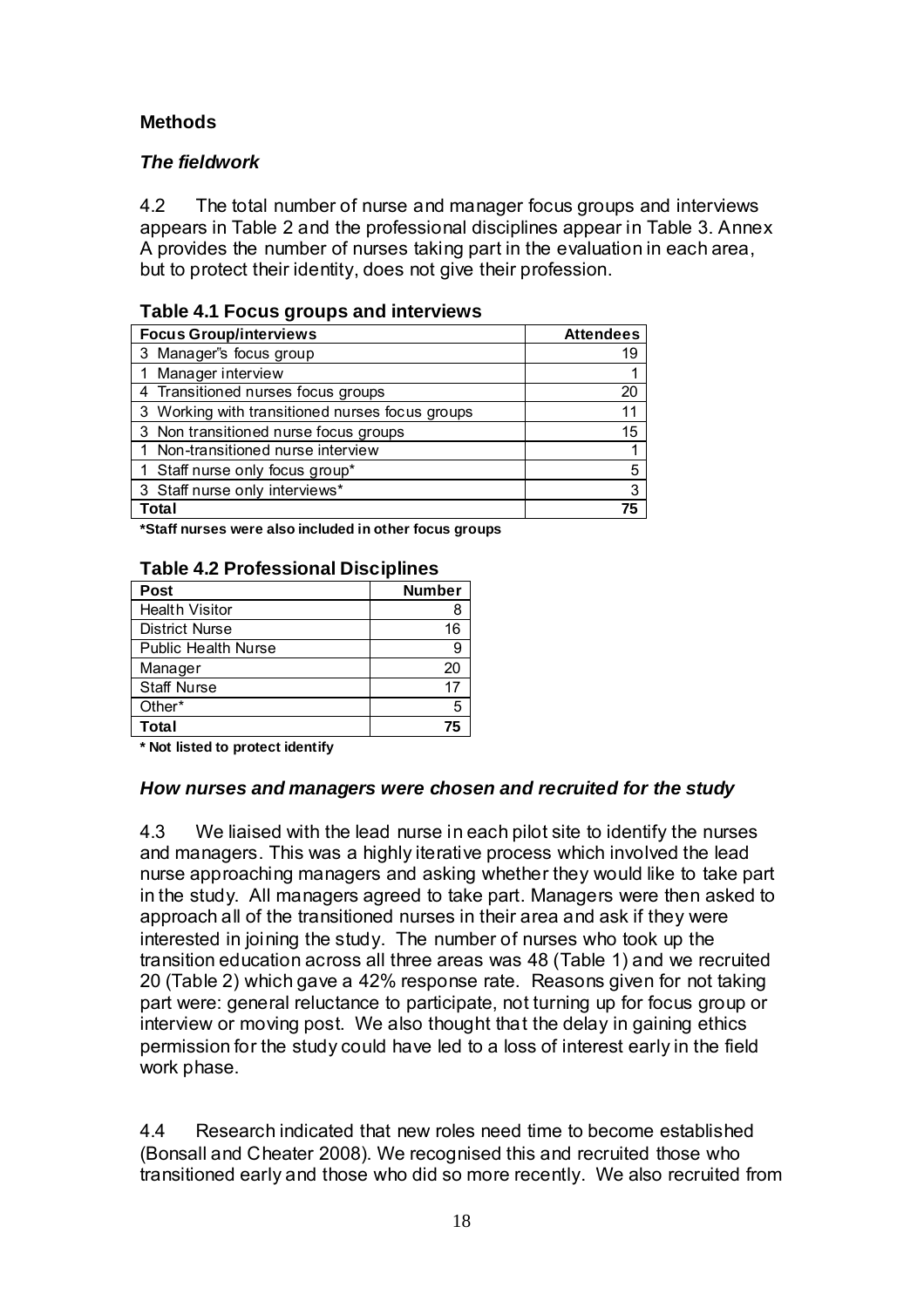### **Methods**

### *The fieldwork*

4.2 The total number of nurse and manager focus groups and interviews appears in Table 2 and the professional disciplines appear in Table 3. Annex A provides the number of nurses taking part in the evaluation in each area, but to protect their identity, does not give their profession.

#### **Table 4.1 Focus groups and interviews**

| <b>Focus Group/interviews</b>                   | <b>Attendees</b> |
|-------------------------------------------------|------------------|
| 3 Manager's focus group                         |                  |
| 1 Manager interview                             |                  |
| 4 Transitioned nurses focus groups              | 20               |
| 3 Working with transitioned nurses focus groups | 11               |
| 3 Non transitioned nurse focus groups           | 15               |
| 1 Non-transitioned nurse interview              |                  |
| 1 Staff nurse only focus group*                 | 5                |
| 3 Staff nurse only interviews*                  | 3                |
| Total                                           | 75               |

**\*Staff nurses were also included in other focus groups** 

| <b>Post</b>                | <b>Number</b> |  |
|----------------------------|---------------|--|
| <b>Health Visitor</b>      |               |  |
| <b>District Nurse</b>      | 16            |  |
| <b>Public Health Nurse</b> |               |  |
| Manager                    | 20            |  |
| <b>Staff Nurse</b>         | 17            |  |
| Other*                     | 5             |  |
| Total                      | 75            |  |

#### **Table 4.2 Professional Disciplines**

**\* Not listed to protect identify** 

#### *How nurses and managers were chosen and recruited for the study*

4.3 We liaised with the lead nurse in each pilot site to identify the nurses and managers. This was a highly iterative process which involved the lead nurse approaching managers and asking whether they would like to take part in the study. All managers agreed to take part. Managers were then asked to approach all of the transitioned nurses in their area and ask if they were interested in joining the study. The number of nurses who took up the transition education across all three areas was 48 (Table 1) and we recruited 20 (Table 2) which gave a 42% response rate. Reasons given for not taking part were: general reluctance to participate, not turning up for focus group or interview or moving post. We also thought that the delay in gaining ethics permission for the study could have led to a loss of interest early in the field work phase.

4.4 Research indicated that new roles need time to become established (Bonsall and Cheater 2008). We recognised this and recruited those who transitioned early and those who did so more recently. We also recruited from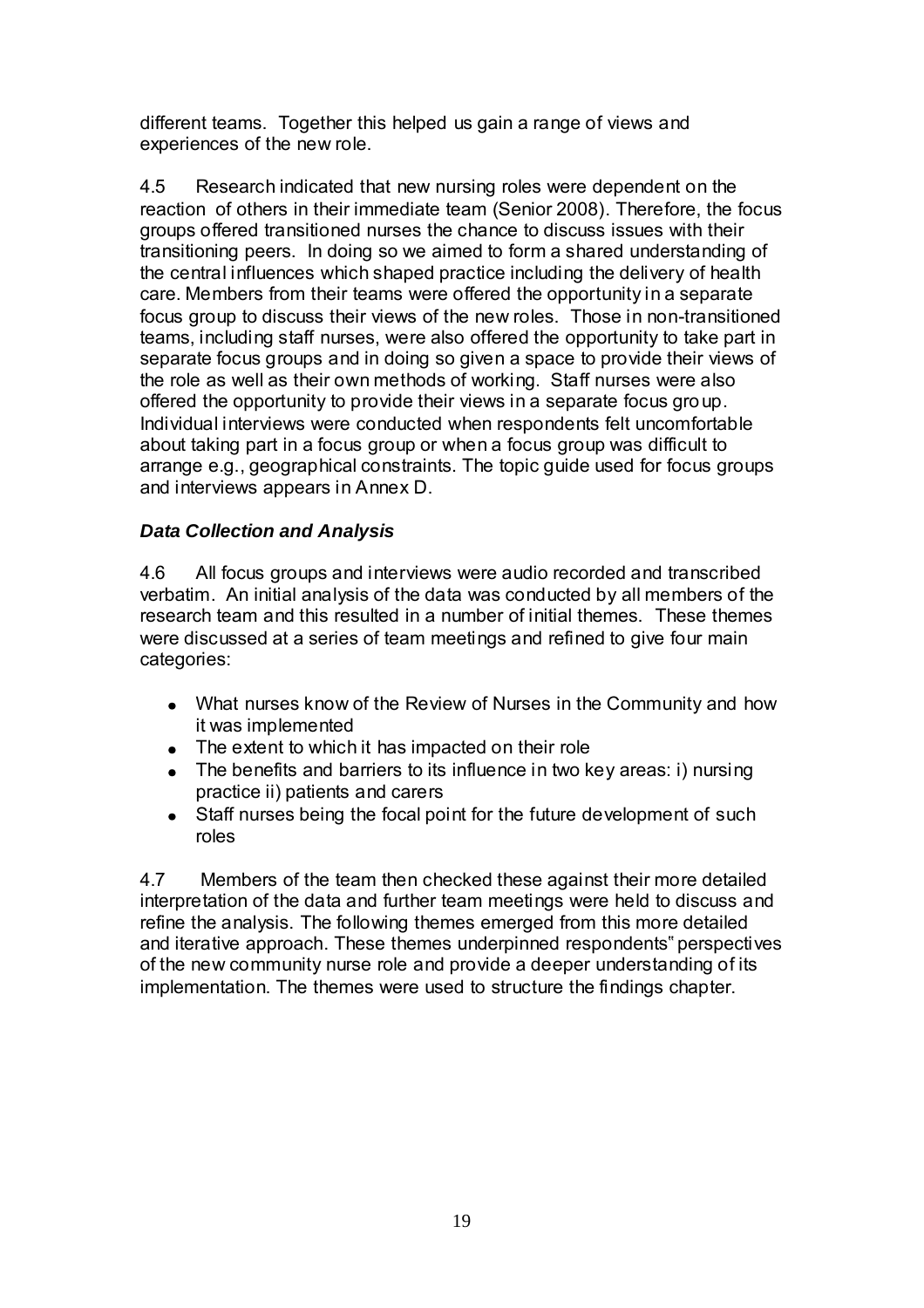different teams. Together this helped us gain a range of views and experiences of the new role.

4.5 Research indicated that new nursing roles were dependent on the reaction of others in their immediate team (Senior 2008). Therefore, the focus groups offered transitioned nurses the chance to discuss issues with their transitioning peers. In doing so we aimed to form a shared understanding of the central influences which shaped practice including the delivery of health care. Members from their teams were offered the opportunity in a separate focus group to discuss their views of the new roles. Those in non-transitioned teams, including staff nurses, were also offered the opportunity to take part in separate focus groups and in doing so given a space to provide their views of the role as well as their own methods of working. Staff nurses were also offered the opportunity to provide their views in a separate focus group. Individual interviews were conducted when respondents felt uncomfortable about taking part in a focus group or when a focus group was difficult to arrange e.g., geographical constraints. The topic guide used for focus groups and interviews appears in Annex D.

#### *Data Collection and Analysis*

4.6 All focus groups and interviews were audio recorded and transcribed verbatim. An initial analysis of the data was conducted by all members of the research team and this resulted in a number of initial themes. These themes were discussed at a series of team meetings and refined to give four main categories:

- What nurses know of the Review of Nurses in the Community and how it was implemented
- The extent to which it has impacted on their role
- The benefits and barriers to its influence in two key areas: i) nursing practice ii) patients and carers
- Staff nurses being the focal point for the future development of such roles

4.7 Members of the team then checked these against their more detailed interpretation of the data and further team meetings were held to discuss and refine the analysis. The following themes emerged from this more detailed and iterative approach. These themes underpinned respondents" perspectives of the new community nurse role and provide a deeper understanding of its implementation. The themes were used to structure the findings chapter.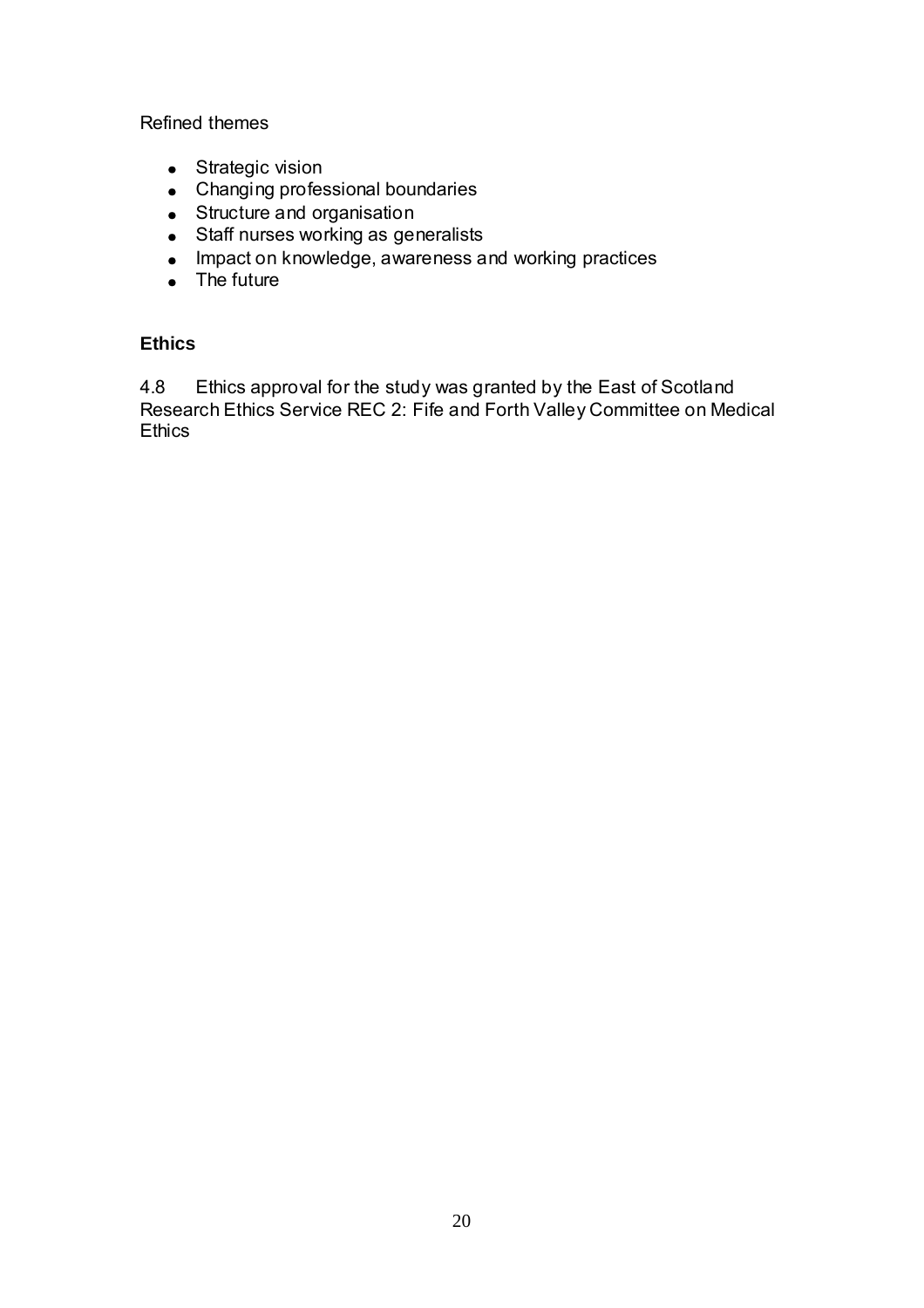Refined themes

- Strategic vision
- Changing professional boundaries
- Structure and organisation
- Staff nurses working as generalists
- Impact on knowledge, awareness and working practices
- The future

### **Ethics**

4.8 Ethics approval for the study was granted by the East of Scotland Research Ethics Service REC 2: Fife and Forth Valley Committee on Medical **Ethics**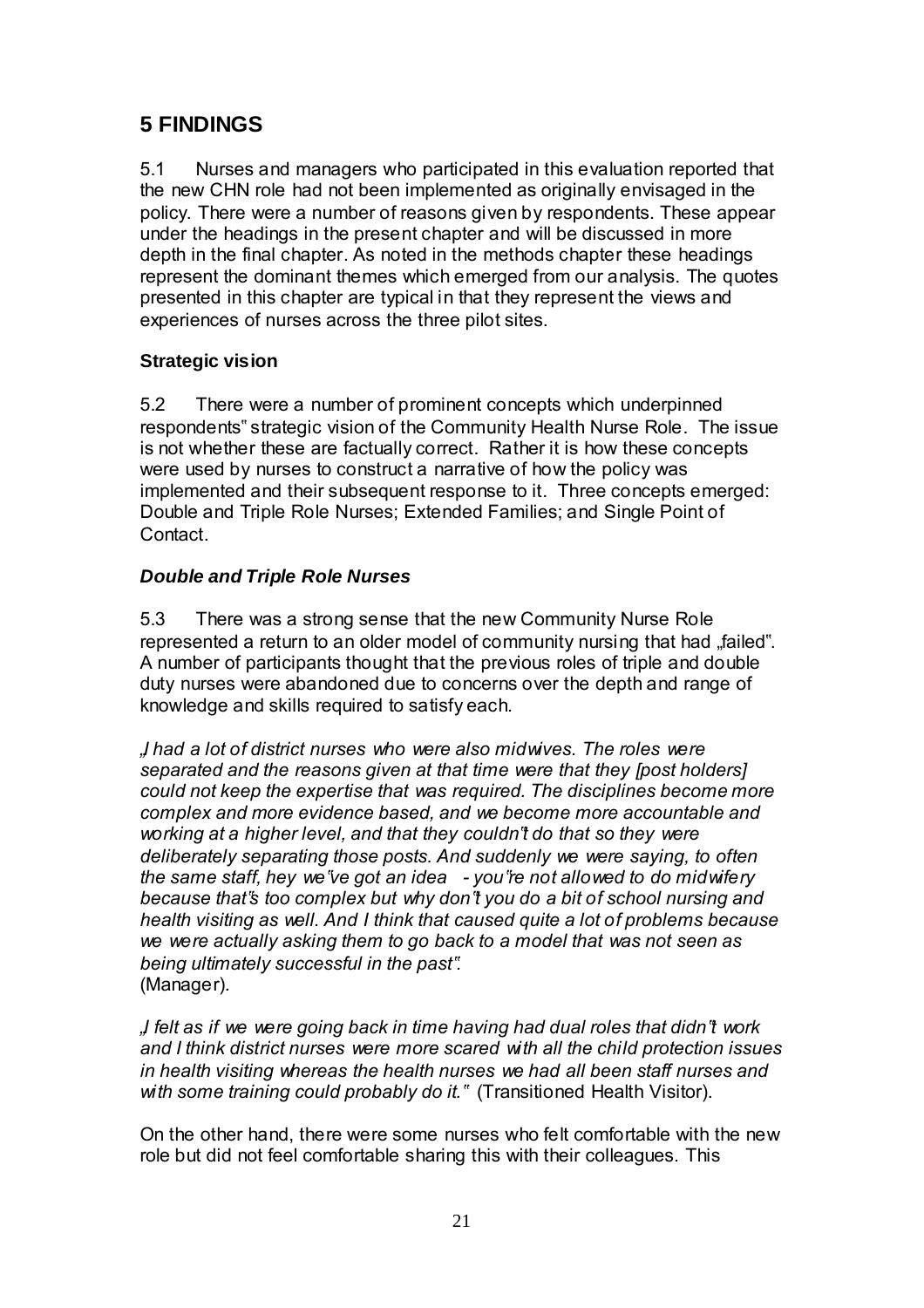# **5 FINDINGS**

5.1 Nurses and managers who participated in this evaluation reported that the new CHN role had not been implemented as originally envisaged in the policy. There were a number of reasons given by respondents. These appear under the headings in the present chapter and will be discussed in more depth in the final chapter. As noted in the methods chapter these headings represent the dominant themes which emerged from our analysis. The quotes presented in this chapter are typical in that they represent the views and experiences of nurses across the three pilot sites.

### **Strategic vision**

5.2 There were a number of prominent concepts which underpinned respondents" strategic vision of the Community Health Nurse Role. The issue is not whether these are factually correct. Rather it is how these concepts were used by nurses to construct a narrative of how the policy was implemented and their subsequent response to it. Three concepts emerged: Double and Triple Role Nurses; Extended Families; and Single Point of Contact.

### *Double and Triple Role Nurses*

5.3 There was a strong sense that the new Community Nurse Role represented a return to an older model of community nursing that had "failed". A number of participants thought that the previous roles of triple and double duty nurses were abandoned due to concerns over the depth and range of knowledge and skills required to satisfy each.

*"I had a lot of district nurses who were also midwives. The roles were separated and the reasons given at that time were that they [post holders] could not keep the expertise that was required. The disciplines become more complex and more evidence based, and we become more accountable and working at a higher level, and that they couldn"t do that so they were deliberately separating those posts. And suddenly we were saying, to often the same staff, hey we"ve got an idea - you"re not allowed to do midwifery because that"s too complex but why don"t you do a bit of school nursing and health visiting as well. And I think that caused quite a lot of problems because we were actually asking them to go back to a model that was not seen as being ultimately successful in the past".* (Manager).

*"I felt as if we were going back in time having had dual roles that didn"t work and I think district nurses were more scared with all the child protection issues in health visiting whereas the health nurses we had all been staff nurses and with some training could probably do it."* (Transitioned Health Visitor).

On the other hand, there were some nurses who felt comfortable with the new role but did not feel comfortable sharing this with their colleagues. This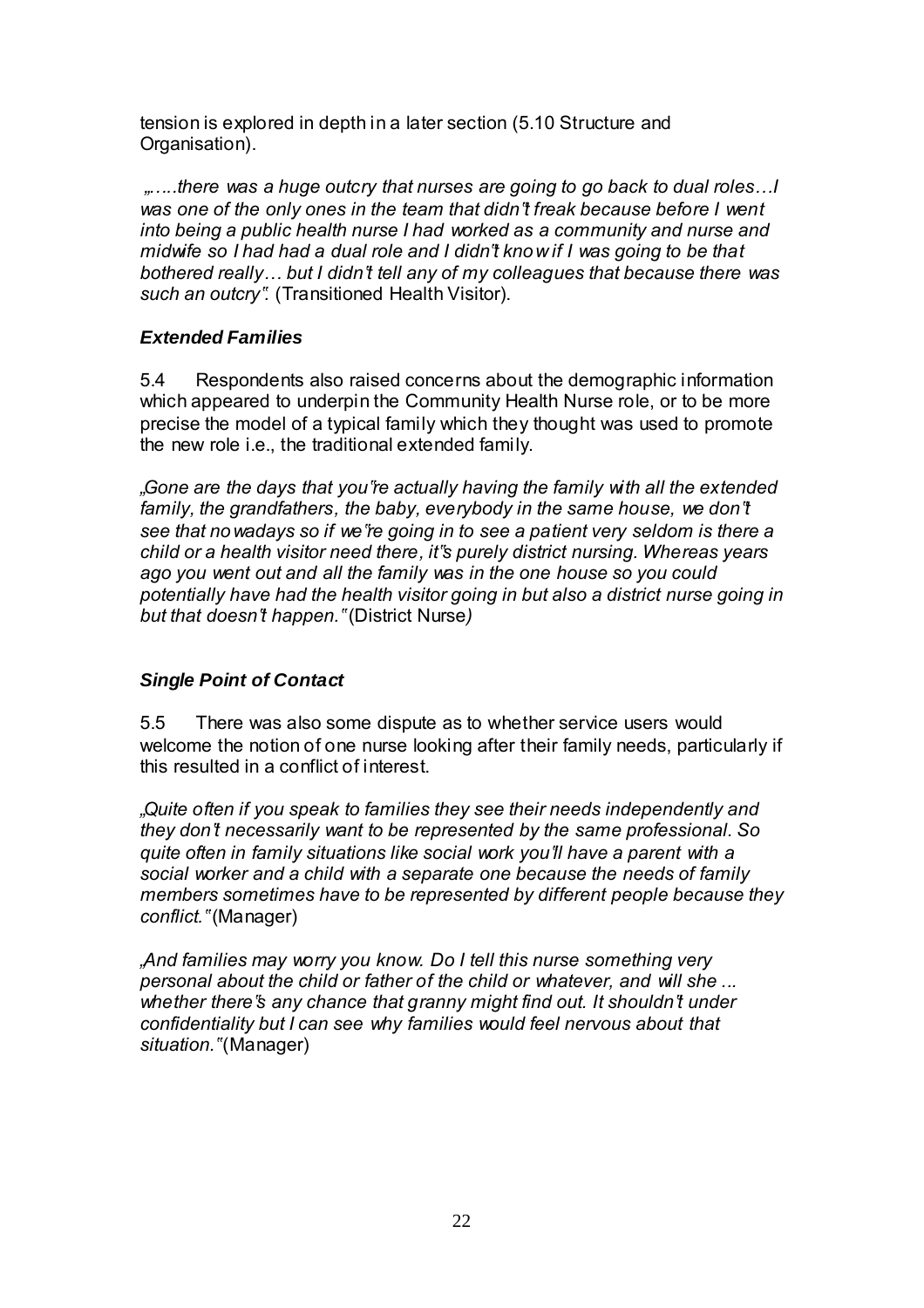tension is explored in depth in a later section (5.10 Structure and Organisation).

 *"…..there was a huge outcry that nurses are going to go back to dual roles…I was one of the only ones in the team that didn"t freak because before I went into being a public health nurse I had worked as a community and nurse and midwife so I had had a dual role and I didn"t know if I was going to be that bothered really… but I didn"t tell any of my colleagues that because there was such an outcry".* (Transitioned Health Visitor).

#### *Extended Families*

5.4 Respondents also raised concerns about the demographic information which appeared to underpin the Community Health Nurse role, or to be more precise the model of a typical family which they thought was used to promote the new role i.e., the traditional extended family.

*"Gone are the days that you"re actually having the family with all the extended*  family, the grandfathers, the baby, everybody in the same house, we don't *see that nowadays so if we"re going in to see a patient very seldom is there a child or a health visitor need there, it"s purely district nursing. Whereas years ago you went out and all the family was in the one house so you could potentially have had the health visitor going in but also a district nurse going in but that doesn"t happen."* (District Nurse*)* 

#### *Single Point of Contact*

5.5 There was also some dispute as to whether service users would welcome the notion of one nurse looking after their family needs, particularly if this resulted in a conflict of interest.

*"Quite often if you speak to families they see their needs independently and they don"t necessarily want to be represented by the same professional. So quite often in family situations like social work you"ll have a parent with a social worker and a child with a separate one because the needs of family members sometimes have to be represented by different people because they conflict."* (Manager)

*"And families may worry you know. Do I tell this nurse something very personal about the child or father of the child or whatever, and will she ... whether there"s any chance that granny might find out. It shouldn"t under confidentiality but I can see why families would feel nervous about that situation."* (Manager)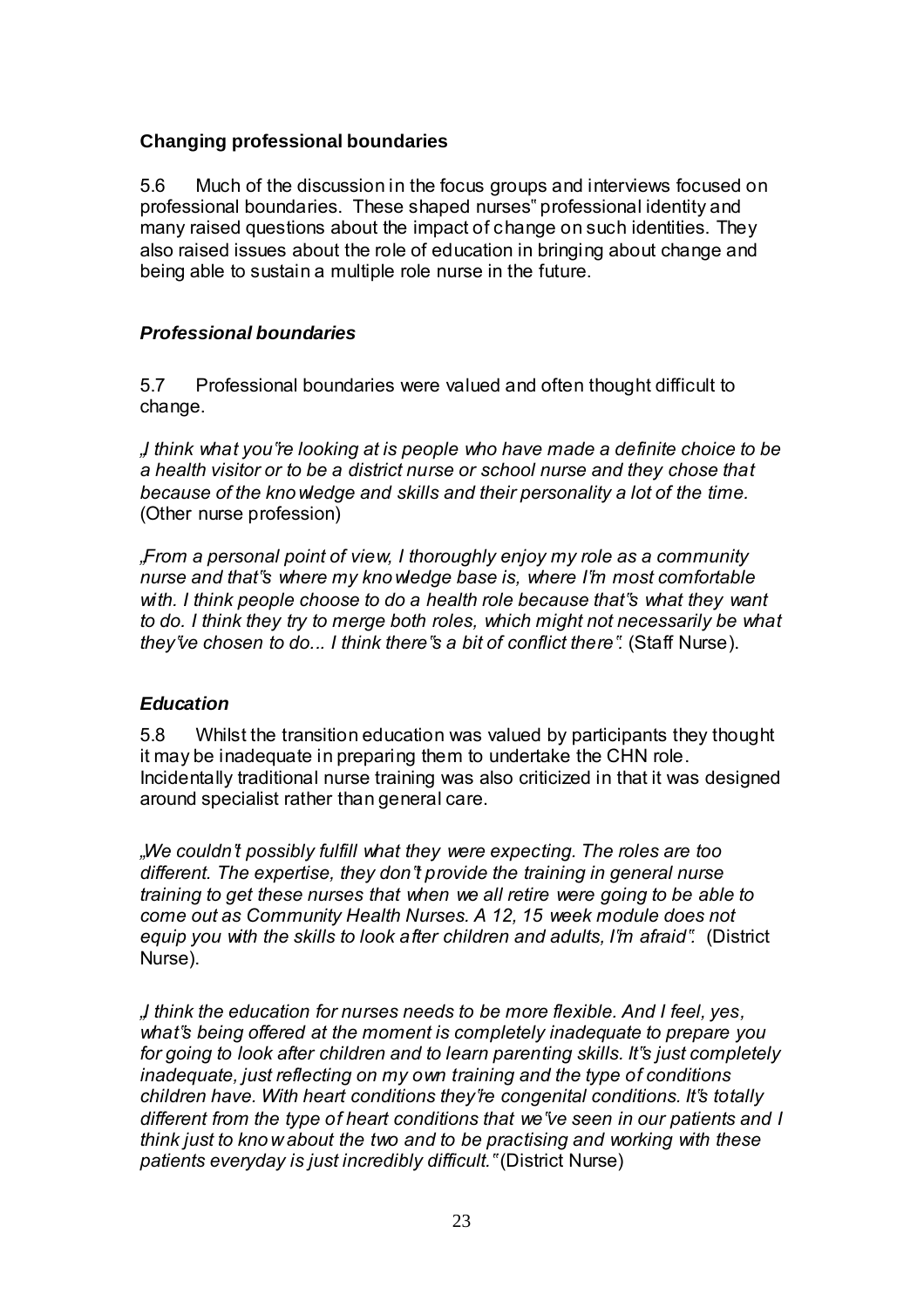#### **Changing professional boundaries**

5.6 Much of the discussion in the focus groups and interviews focused on professional boundaries. These shaped nurses" professional identity and many raised questions about the impact of change on such identities. They also raised issues about the role of education in bringing about change and being able to sustain a multiple role nurse in the future.

#### *Professional boundaries*

5.7 Professional boundaries were valued and often thought difficult to change.

*"I think what you"re looking at is people who have made a definite choice to be a health visitor or to be a district nurse or school nurse and they chose that because of the knowledge and skills and their personality a lot of the time.*  (Other nurse profession)

*"From a personal point of view, I thoroughly enjoy my role as a community nurse and that"s where my knowledge base is, where I"m most comfortable with. I think people choose to do a health role because that"s what they want to do. I think they try to merge both roles, which might not necessarily be what they"ve chosen to do... I think there"s a bit of conflict there".* (Staff Nurse).

#### *Education*

5.8 Whilst the transition education was valued by participants they thought it may be inadequate in preparing them to undertake the CHN role. Incidentally traditional nurse training was also criticized in that it was designed around specialist rather than general care.

*"We couldn"t possibly fulfill what they were expecting. The roles are too different. The expertise, they don"t provide the training in general nurse training to get these nurses that when we all retire were going to be able to come out as Community Health Nurses. A 12, 15 week module does not equip you with the skills to look after children and adults, I"m afraid".* (District Nurse).

*"I think the education for nurses needs to be more flexible. And I feel, yes, what"s being offered at the moment is completely inadequate to prepare you for going to look after children and to learn parenting skills. It"s just completely inadequate, just reflecting on my own training and the type of conditions children have. With heart conditions they"re congenital conditions. It"s totally different from the type of heart conditions that we"ve seen in our patients and I think just to know about the two and to be practising and working with these patients everyday is just incredibly difficult."* (District Nurse)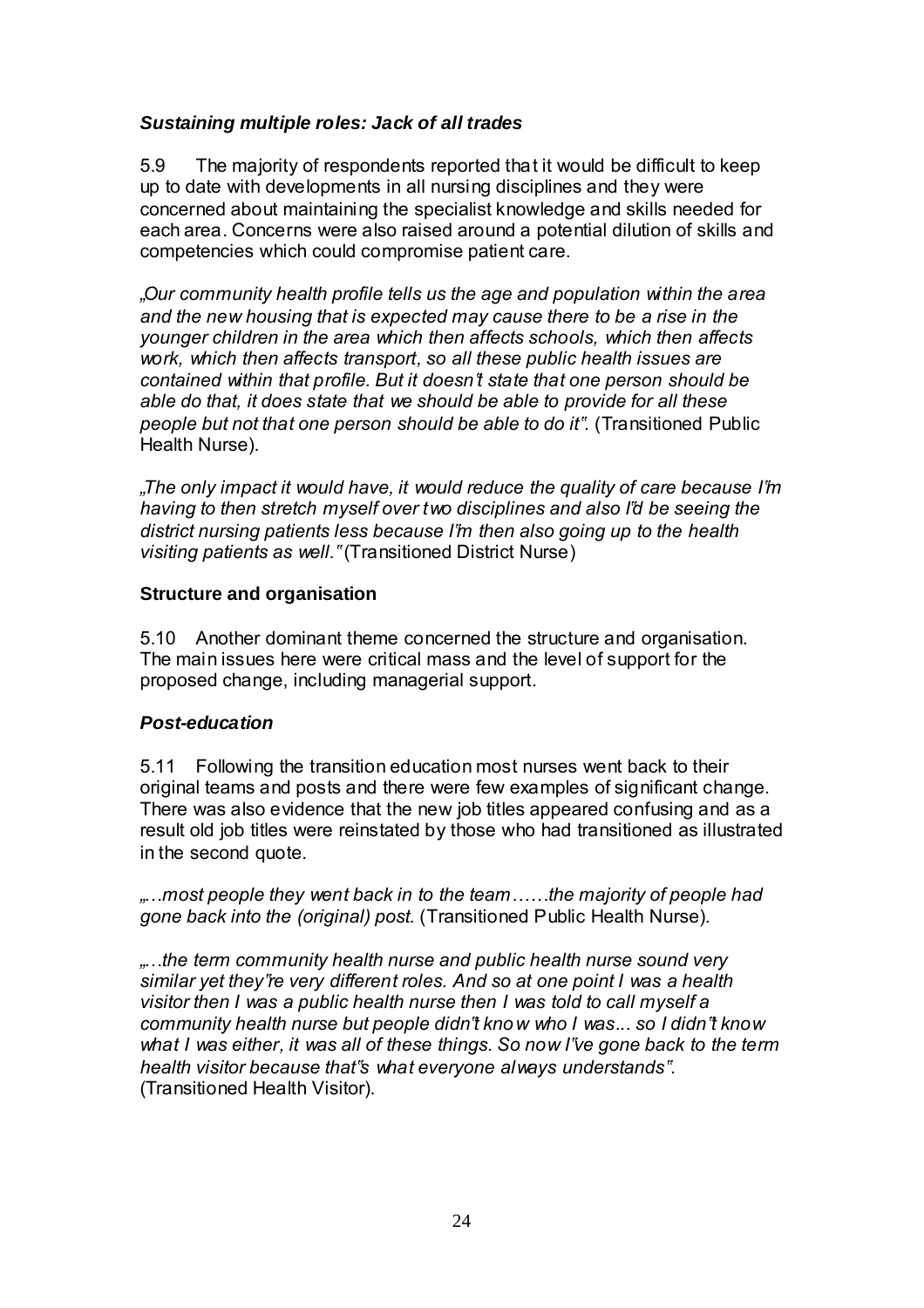#### *Sustaining multiple roles: Jack of all trades*

5.9 The majority of respondents reported that it would be difficult to keep up to date with developments in all nursing disciplines and they were concerned about maintaining the specialist knowledge and skills needed for each area. Concerns were also raised around a potential dilution of skills and competencies which could compromise patient care.

*"Our community health profile tells us the age and population within the area and the new housing that is expected may cause there to be a rise in the younger children in the area which then affects schools, which then affects work, which then affects transport, so all these public health issues are contained within that profile. But it doesn"t state that one person should be able do that, it does state that we should be able to provide for all these people but not that one person should be able to do it"*. (Transitioned Public Health Nurse).

*"The only impact it would have, it would reduce the quality of care because I"m having to then stretch myself over two disciplines and also I"d be seeing the district nursing patients less because I"m then also going up to the health visiting patients as well."* (Transitioned District Nurse)

#### **Structure and organisation**

5.10 Another dominant theme concerned the structure and organisation. The main issues here were critical mass and the level of support for the proposed change, including managerial support.

#### *Post-education*

5.11 Following the transition education most nurses went back to their original teams and posts and there were few examples of significant change. There was also evidence that the new job titles appeared confusing and as a result old job titles were reinstated by those who had transitioned as illustrated in the second quote.

*"…most people they went back in to the team……the majority of people had gone back into the (original) post.* (Transitioned Public Health Nurse).

*"…the term community health nurse and public health nurse sound very similar yet they"re very different roles. And so at one point I was a health visitor then I was a public health nurse then I was told to call myself a community health nurse but people didn"t know who I was... so I didn"t know what I was either, it was all of these things. So now I"ve gone back to the term health visitor because that"s what everyone always understands"*. (Transitioned Health Visitor).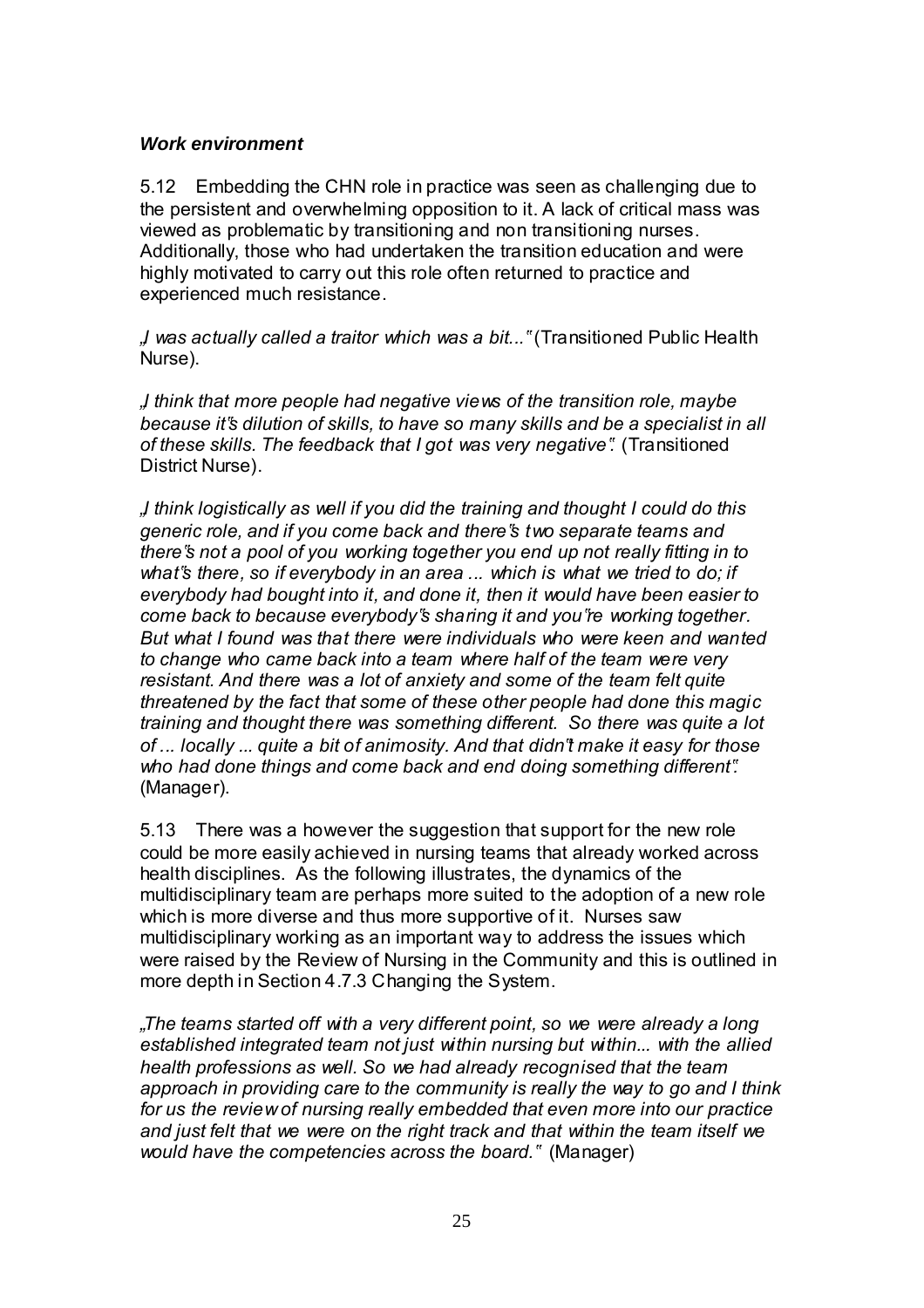#### *Work environment*

5.12 Embedding the CHN role in practice was seen as challenging due to the persistent and overwhelming opposition to it. A lack of critical mass was viewed as problematic by transitioning and non transitioning nurses. Additionally, those who had undertaken the transition education and were highly motivated to carry out this role often returned to practice and experienced much resistance.

*"I was actually called a traitor which was a bit..."* (Transitioned Public Health Nurse).

*"I think that more people had negative views of the transition role, maybe because it"s dilution of skills, to have so many skills and be a specialist in all of these skills. The feedback that I got was very negative".* (Transitioned District Nurse).

*"I think logistically as well if you did the training and thought I could do this generic role, and if you come back and there"s two separate teams and there"s not a pool of you working together you end up not really fitting in to what"s there, so if everybody in an area ... which is what we tried to do; if everybody had bought into it, and done it, then it would have been easier to come back to because everybody"s sharing it and you"re working together. But what I found was that there were individuals who were keen and wanted to change who came back into a team where half of the team were very resistant. And there was a lot of anxiety and some of the team felt quite threatened by the fact that some of these other people had done this magic training and thought there was something different. So there was quite a lot of ... locally ... quite a bit of animosity. And that didn"t make it easy for those who had done things and come back and end doing something different".*  (Manager).

5.13 There was a however the suggestion that support for the new role could be more easily achieved in nursing teams that already worked across health disciplines. As the following illustrates, the dynamics of the multidisciplinary team are perhaps more suited to the adoption of a new role which is more diverse and thus more supportive of it. Nurses saw multidisciplinary working as an important way to address the issues which were raised by the Review of Nursing in the Community and this is outlined in more depth in Section 4.7.3 Changing the System.

*"The teams started off with a very different point, so we were already a long established integrated team not just within nursing but within... with the allied health professions as well. So we had already recognised that the team approach in providing care to the community is really the way to go and I think for us the review of nursing really embedded that even more into our practice and just felt that we were on the right track and that within the team itself we would have the competencies across the board."* (Manager)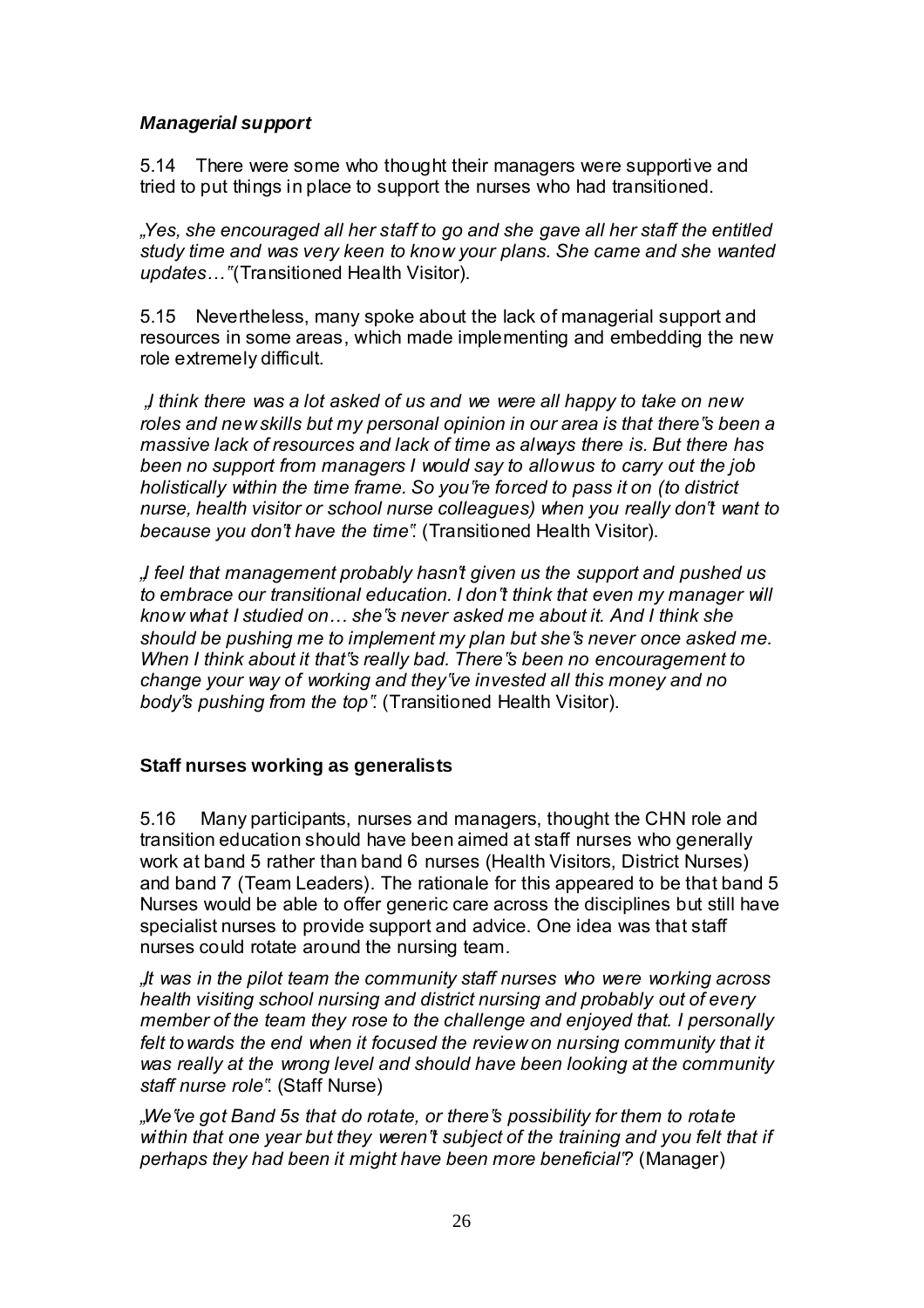#### *Managerial support*

5.14 There were some who thought their managers were supportive and tried to put things in place to support the nurses who had transitioned.

*"Yes, she encouraged all her staff to go and she gave all her staff the entitled study time and was very keen to know your plans. She came and she wanted updates…"* (Transitioned Health Visitor).

5.15 Nevertheless, many spoke about the lack of managerial support and resources in some areas, which made implementing and embedding the new role extremely difficult.

*"I think there was a lot asked of us and we were all happy to take on new roles and new skills but my personal opinion in our area is that there"s been a massive lack of resources and lack of time as always there is. But there has been no support from managers I would say to allow us to carry out the job holistically within the time frame. So you"re forced to pass it on (to district nurse, health visitor or school nurse colleagues) when you really don"t want to because you don"t have the time"*. (Transitioned Health Visitor).

*"I feel that management probably hasn"t given us the support and pushed us to embrace our transitional education. I don"t think that even my manager will know what I studied on… she"s never asked me about it. And I think she should be pushing me to implement my plan but she"s never once asked me. When I think about it that"s really bad. There"s been no encouragement to change your way of working and they"ve invested all this money and no body"s pushing from the top".* (Transitioned Health Visitor).

#### **Staff nurses working as generalists**

5.16 Many participants, nurses and managers, thought the CHN role and transition education should have been aimed at staff nurses who generally work at band 5 rather than band 6 nurses (Health Visitors, District Nurses) and band 7 (Team Leaders). The rationale for this appeared to be that band 5 Nurses would be able to offer generic care across the disciplines but still have specialist nurses to provide support and advice. One idea was that staff nurses could rotate around the nursing team.

*"It was in the pilot team the community staff nurses who were working across health visiting school nursing and district nursing and probably out of every member of the team they rose to the challenge and enjoyed that. I personally*  felt to wards the end when it focused the review on nursing community that it *was really at the wrong level and should have been looking at the community staff nurse role"*. (Staff Nurse)

*"We"ve got Band 5s that do rotate, or there"s possibility for them to rotate within that one year but they weren"t subject of the training and you felt that if perhaps they had been it might have been more beneficial"?* (Manager)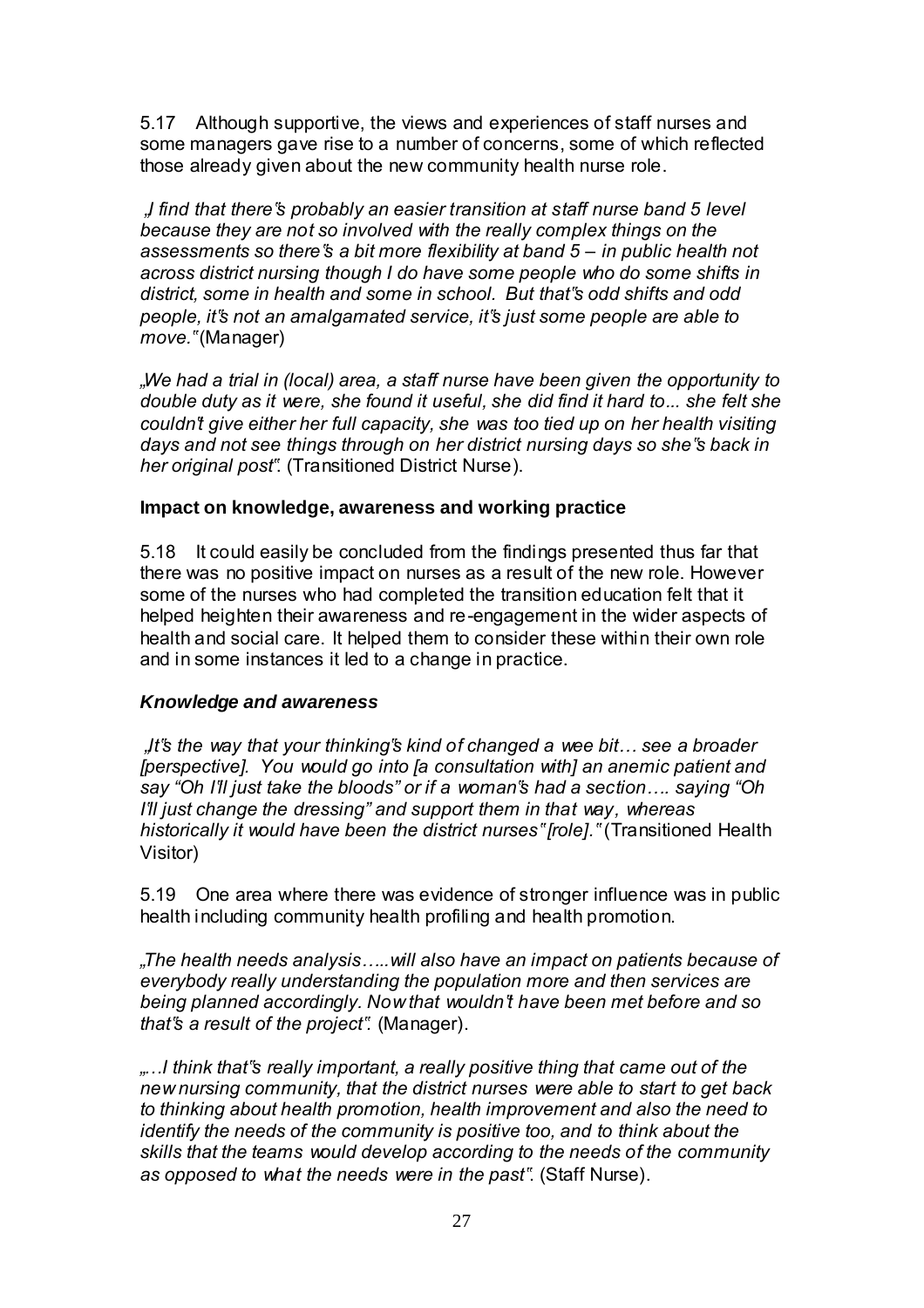5.17 Although supportive, the views and experiences of staff nurses and some managers gave rise to a number of concerns, some of which reflected those already given about the new community health nurse role.

 *"I find that there"s probably an easier transition at staff nurse band 5 level because they are not so involved with the really complex things on the assessments so there"s a bit more flexibility at band 5 – in public health not across district nursing though I do have some people who do some shifts in district, some in health and some in school. But that"s odd shifts and odd people, it"s not an amalgamated service, it"s just some people are able to move."* (Manager)

*"We had a trial in (local) area, a staff nurse have been given the opportunity to double duty as it were, she found it useful, she did find it hard to... she felt she couldn"t give either her full capacity, she was too tied up on her health visiting days and not see things through on her district nursing days so she"s back in her original post"*. (Transitioned District Nurse).

#### **Impact on knowledge, awareness and working practice**

5.18 It could easily be concluded from the findings presented thus far that there was no positive impact on nurses as a result of the new role. However some of the nurses who had completed the transition education felt that it helped heighten their awareness and re-engagement in the wider aspects of health and social care. It helped them to consider these within their own role and in some instances it led to a change in practice.

#### *Knowledge and awareness*

 *"It"s the way that your thinking"s kind of changed a wee bit… see a broader [perspective]. You would go into [a consultation with] an anemic patient and say "Oh I"ll just take the bloods" or if a woman"s had a section…. saying "Oh I"ll just change the dressing" and support them in that way, whereas historically it would have been the district nurses" [role]."* (Transitioned Health Visitor)

5.19 One area where there was evidence of stronger influence was in public health including community health profiling and health promotion.

*"The health needs analysis…..will also have an impact on patients because of everybody really understanding the population more and then services are being planned accordingly. Now that wouldn"t have been met before and so that"s a result of the project".* (Manager).

*"…I think that"s really important, a really positive thing that came out of the new nursing community, that the district nurses were able to start to get back to thinking about health promotion, health improvement and also the need to identify the needs of the community is positive too, and to think about the skills that the teams would develop according to the needs of the community as opposed to what the needs were in the past"*. (Staff Nurse).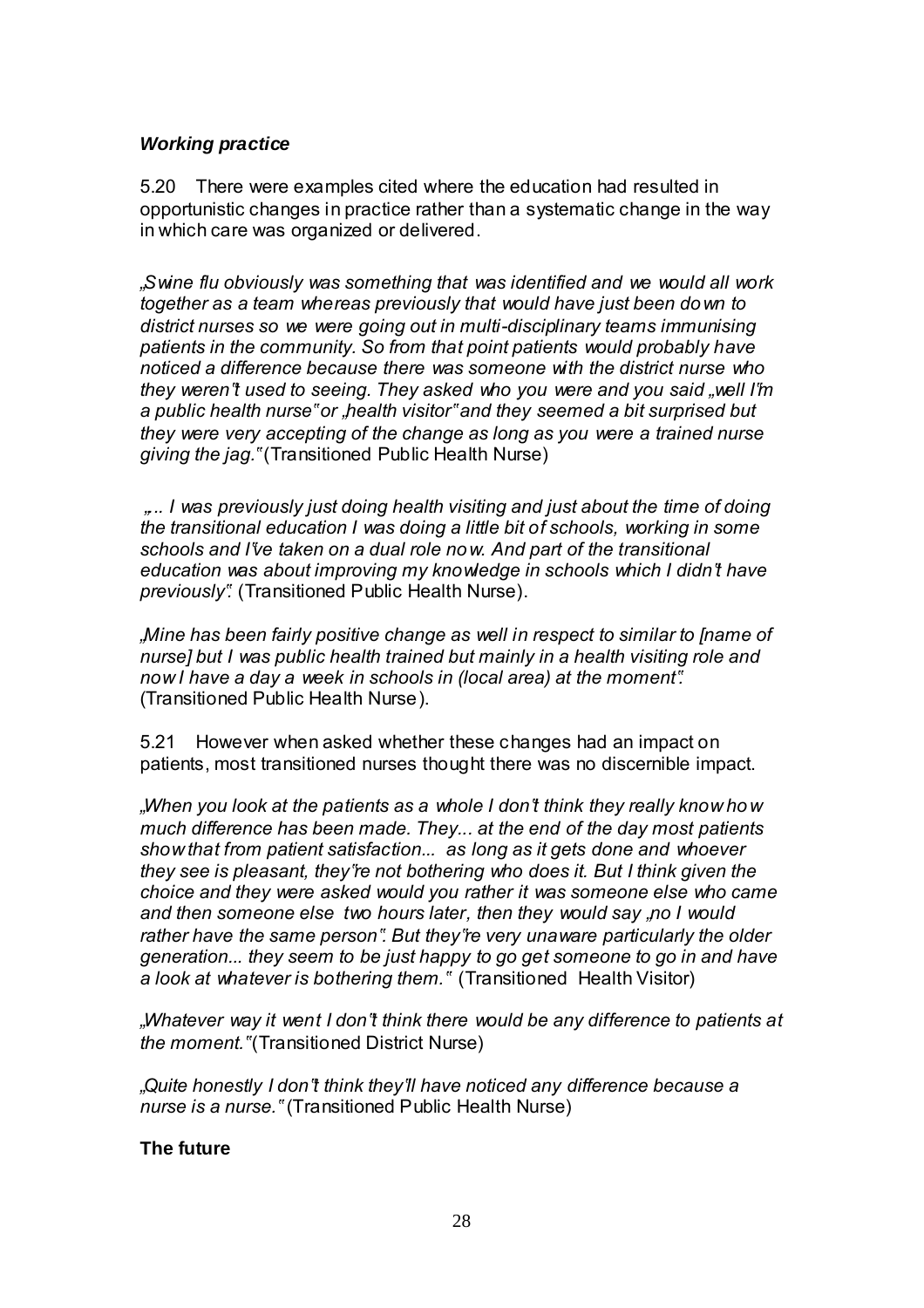#### *Working practice*

5.20 There were examples cited where the education had resulted in opportunistic changes in practice rather than a systematic change in the way in which care was organized or delivered.

*"Swine flu obviously was something that was identified and we would all work together as a team whereas previously that would have just been down to district nurses so we were going out in multi-disciplinary teams immunising patients in the community. So from that point patients would probably have noticed a difference because there was someone with the district nurse who they weren"t used to seeing. They asked who you were and you said "well I"m a public health nurse" or "health visitor" and they seemed a bit surprised but they were very accepting of the change as long as you were a trained nurse giving the jag."* (Transitioned Public Health Nurse)

 *"... I was previously just doing health visiting and just about the time of doing the transitional education I was doing a little bit of schools, working in some schools and I"ve taken on a dual role now. And part of the transitional education was about improving my knowledge in schools which I didn"t have previously".* (Transitioned Public Health Nurse).

*"Mine has been fairly positive change as well in respect to similar to [name of nurse] but I was public health trained but mainly in a health visiting role and now I have a day a week in schools in (local area) at the moment".*  (Transitioned Public Health Nurse).

5.21 However when asked whether these changes had an impact on patients, most transitioned nurses thought there was no discernible impact.

*"When you look at the patients as a whole I don"t think they really know how much difference has been made. They... at the end of the day most patients show that from patient satisfaction... as long as it gets done and whoever they see is pleasant, they"re not bothering who does it. But I think given the choice and they were asked would you rather it was someone else who came and then someone else two hours later, then they would say "no I would rather have the same person". But they"re very unaware particularly the older generation... they seem to be just happy to go get someone to go in and have a look at whatever is bothering them."* (Transitioned Health Visitor)

*"Whatever way it went I don"t think there would be any difference to patients at the moment."* (Transitioned District Nurse)

*"Quite honestly I don"t think they"ll have noticed any difference because a nurse is a nurse."* (Transitioned Public Health Nurse)

#### **The future**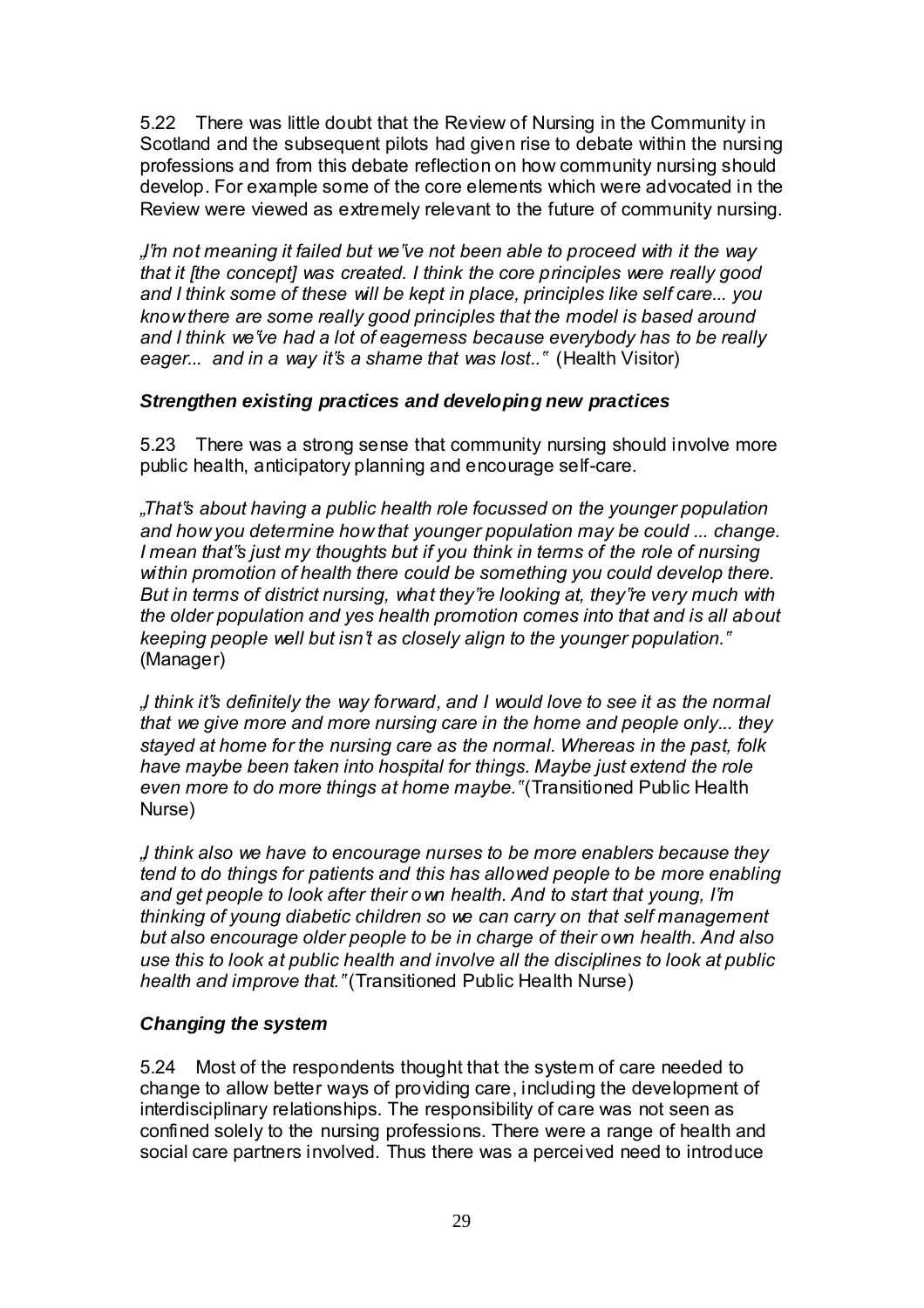5.22 There was little doubt that the Review of Nursing in the Community in Scotland and the subsequent pilots had given rise to debate within the nursing professions and from this debate reflection on how community nursing should develop. For example some of the core elements which were advocated in the Review were viewed as extremely relevant to the future of community nursing.

*"I"m not meaning it failed but we"ve not been able to proceed with it the way that it [the concept] was created. I think the core principles were really good and I think some of these will be kept in place, principles like self care... you know there are some really good principles that the model is based around and I think we"ve had a lot of eagerness because everybody has to be really eager... and in a way it"s a shame that was lost.."* (Health Visitor)

#### *Strengthen existing practices and developing new practices*

5.23 There was a strong sense that community nursing should involve more public health, anticipatory planning and encourage self-care.

*"That"s about having a public health role focussed on the younger population and how you determine how that younger population may be could ... change. I mean that"s just my thoughts but if you think in terms of the role of nursing within promotion of health there could be something you could develop there. But in terms of district nursing, what they"re looking at, they"re very much with the older population and yes health promotion comes into that and is all about keeping people well but isn"t as closely align to the younger population."* (Manager)

*"I think it"s definitely the way forward, and I would love to see it as the normal that we give more and more nursing care in the home and people only... they stayed at home for the nursing care as the normal. Whereas in the past, folk have maybe been taken into hospital for things. Maybe just extend the role even more to do more things at home maybe."* (Transitioned Public Health Nurse)

*"I think also we have to encourage nurses to be more enablers because they tend to do things for patients and this has allowed people to be more enabling and get people to look after their own health. And to start that young, I"m thinking of young diabetic children so we can carry on that self management but also encourage older people to be in charge of their own health. And also use this to look at public health and involve all the disciplines to look at public health and improve that."* (Transitioned Public Health Nurse)

#### *Changing the system*

5.24 Most of the respondents thought that the system of care needed to change to allow better ways of providing care, including the development of interdisciplinary relationships. The responsibility of care was not seen as confined solely to the nursing professions. There were a range of health and social care partners involved. Thus there was a perceived need to introduce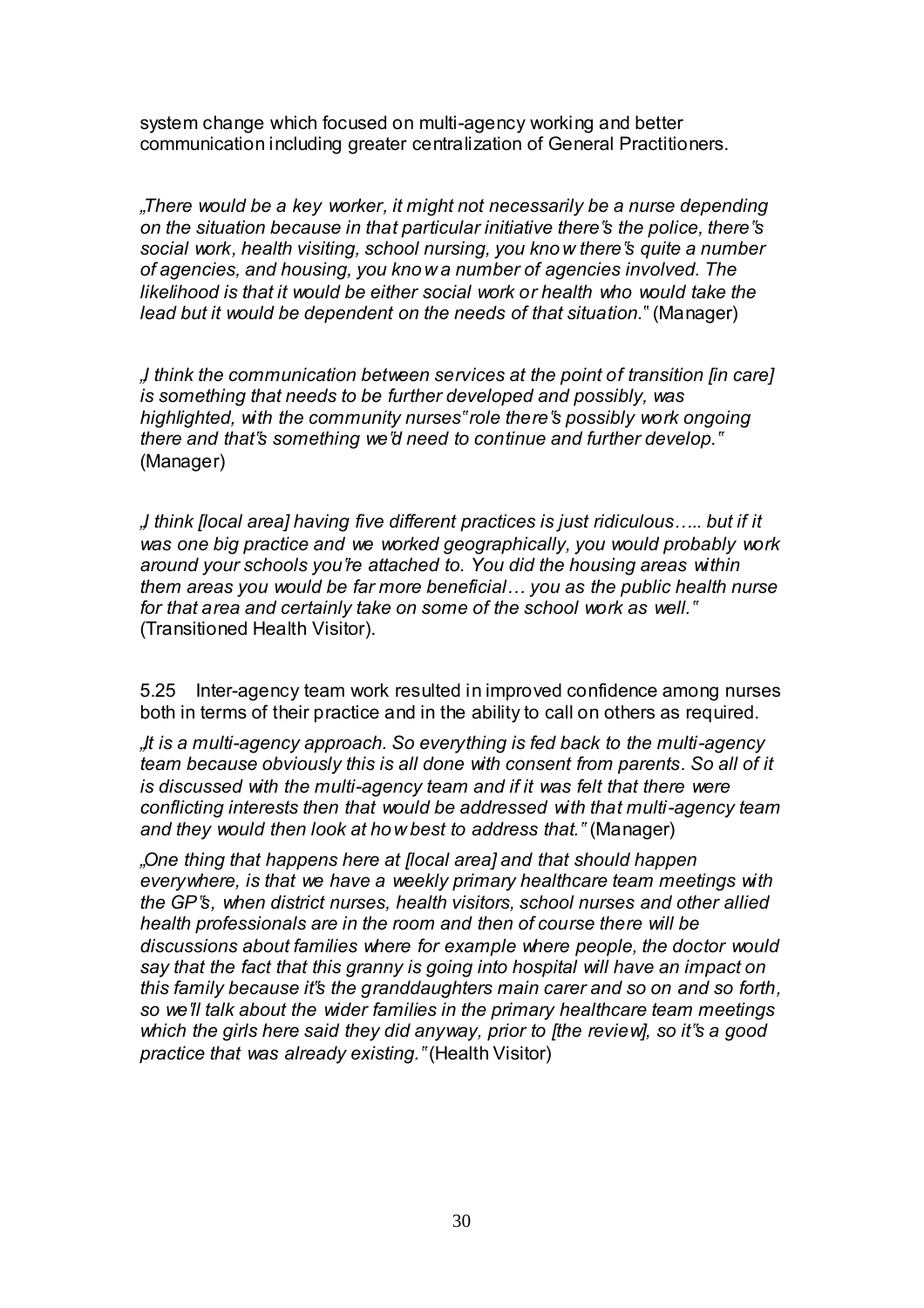system change which focused on multi-agency working and better communication including greater centralization of General Practitioners.

*"There would be a key worker, it might not necessarily be a nurse depending on the situation because in that particular initiative there"s the police, there"s social work, health visiting, school nursing, you know there"s quite a number of agencies, and housing, you know a number of agencies involved. The likelihood is that it would be either social work or health who would take the lead but it would be dependent on the needs of that situation.*" (Manager)

*"I think the communication between services at the point of transition [in care] is something that needs to be further developed and possibly, was highlighted, with the community nurses" role there"s possibly work ongoing there and that"s something we"d need to continue and further develop."* (Manager)

*"I think [local area] having five different practices is just ridiculous….. but if it was one big practice and we worked geographically, you would probably work around your schools you"re attached to. You did the housing areas within them areas you would be far more beneficial… you as the public health nurse for that area and certainly take on some of the school work as well."* (Transitioned Health Visitor).

5.25 Inter-agency team work resulted in improved confidence among nurses both in terms of their practice and in the ability to call on others as required.

*"It is a multi-agency approach. So everything is fed back to the multi-agency team because obviously this is all done with consent from parents. So all of it is discussed with the multi-agency team and if it was felt that there were conflicting interests then that would be addressed with that multi-agency team and they would then look at how best to address that."* (Manager)

*"One thing that happens here at [local area] and that should happen everywhere, is that we have a weekly primary healthcare team meetings with the GP"s, when district nurses, health visitors, school nurses and other allied health professionals are in the room and then of course there will be discussions about families where for example where people, the doctor would say that the fact that this granny is going into hospital will have an impact on this family because it"s the granddaughters main carer and so on and so forth, so we"ll talk about the wider families in the primary healthcare team meetings which the girls here said they did anyway, prior to [the review], so it"s a good practice that was already existing."* (Health Visitor)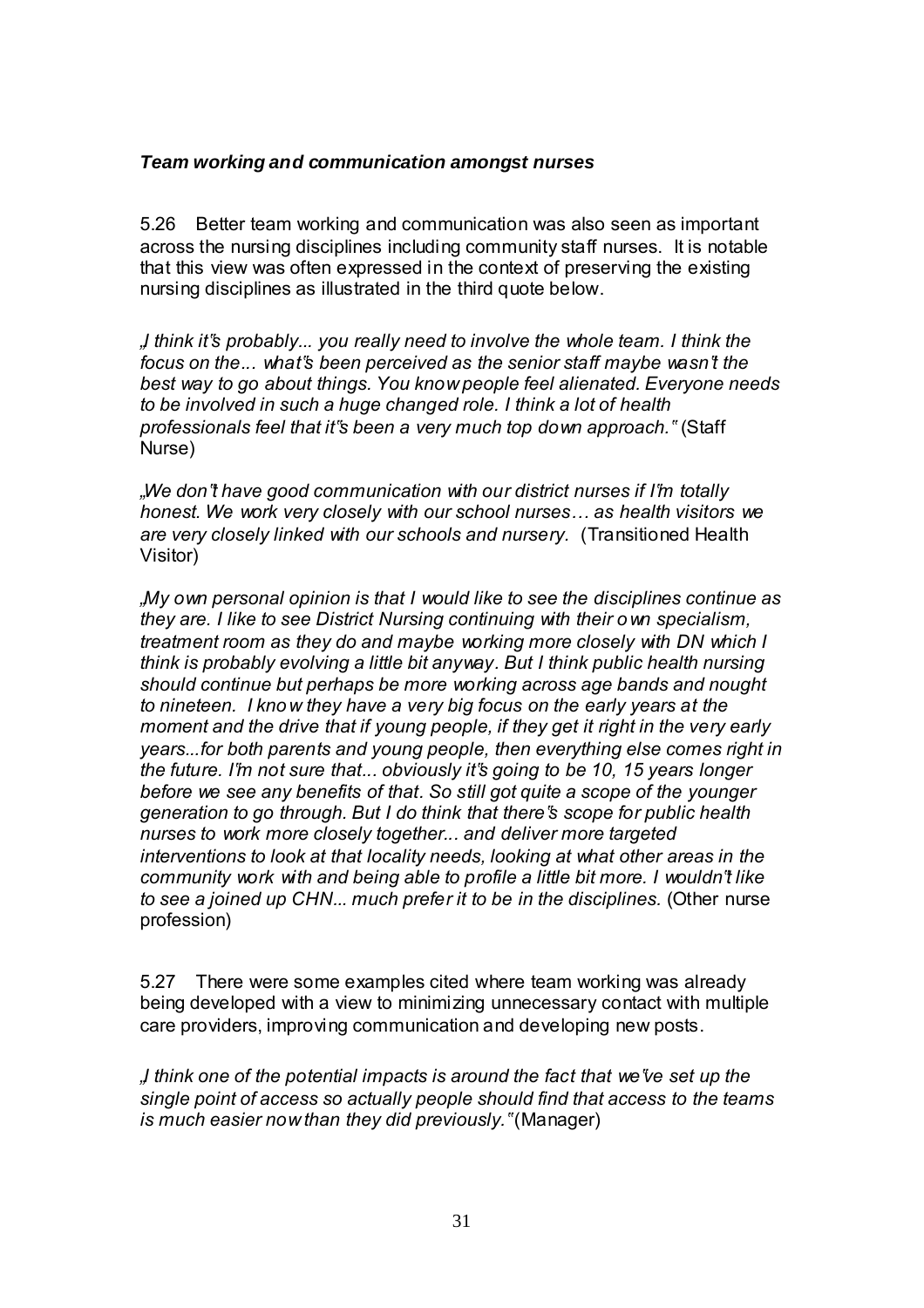#### *Team working and communication amongst nurses*

5.26 Better team working and communication was also seen as important across the nursing disciplines including community staff nurses. It is notable that this view was often expressed in the context of preserving the existing nursing disciplines as illustrated in the third quote below.

*"I think it"s probably... you really need to involve the whole team. I think the focus on the... what"s been perceived as the senior staff maybe wasn"t the best way to go about things. You know people feel alienated. Everyone needs to be involved in such a huge changed role. I think a lot of health professionals feel that it"s been a very much top down approach."* (Staff Nurse)

*"We don"t have good communication with our district nurses if I"m totally honest. We work very closely with our school nurses… as health visitors we are very closely linked with our schools and nursery.* (Transitioned Health Visitor)

*"My own personal opinion is that I would like to see the disciplines continue as they are. I like to see District Nursing continuing with their own specialism, treatment room as they do and maybe working more closely with DN which I think is probably evolving a little bit anyway. But I think public health nursing should continue but perhaps be more working across age bands and nought to nineteen. I know they have a very big focus on the early years at the moment and the drive that if young people, if they get it right in the very early years...for both parents and young people, then everything else comes right in the future. I"m not sure that... obviously it"s going to be 10, 15 years longer before we see any benefits of that. So still got quite a scope of the younger generation to go through. But I do think that there"s scope for public health nurses to work more closely together... and deliver more targeted interventions to look at that locality needs, looking at what other areas in the community work with and being able to profile a little bit more. I wouldn"t like to see a joined up CHN... much prefer it to be in the disciplines.* (Other nurse profession)

5.27 There were some examples cited where team working was already being developed with a view to minimizing unnecessary contact with multiple care providers, improving communication and developing new posts.

*"I think one of the potential impacts is around the fact that we"ve set up the single point of access so actually people should find that access to the teams is much easier now than they did previously."* (Manager)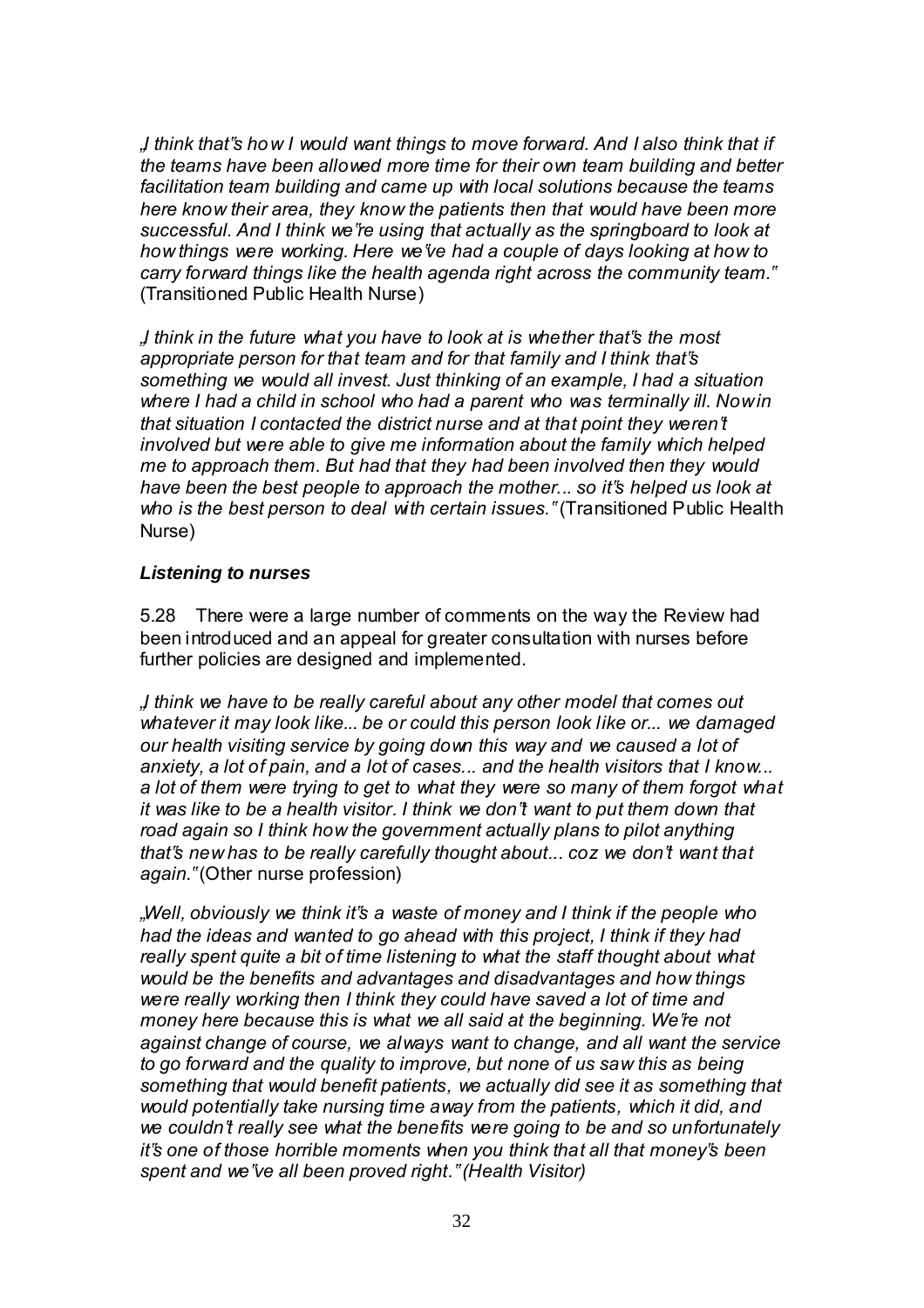*"I think that"s how I would want things to move forward. And I also think that if the teams have been allowed more time for their own team building and better facilitation team building and came up with local solutions because the teams here know their area, they know the patients then that would have been more successful. And I think we"re using that actually as the springboard to look at how things were working. Here we"ve had a couple of days looking at how to carry forward things like the health agenda right across the community team."* (Transitioned Public Health Nurse)

*"I think in the future what you have to look at is whether that"s the most appropriate person for that team and for that family and I think that"s something we would all invest. Just thinking of an example, I had a situation*  where I had a child in school who had a parent who was terminally ill. Now in *that situation I contacted the district nurse and at that point they weren"t involved but were able to give me information about the family which helped me to approach them. But had that they had been involved then they would have been the best people to approach the mother... so it"s helped us look at who is the best person to deal with certain issues."* (Transitioned Public Health Nurse)

#### *Listening to nurses*

5.28 There were a large number of comments on the way the Review had been introduced and an appeal for greater consultation with nurses before further policies are designed and implemented.

*"I think we have to be really careful about any other model that comes out whatever it may look like... be or could this person look like or... we damaged our health visiting service by going down this way and we caused a lot of anxiety, a lot of pain, and a lot of cases... and the health visitors that I know... a lot of them were trying to get to what they were so many of them forgot what it was like to be a health visitor. I think we don"t want to put them down that road again so I think how the government actually plans to pilot anything that"s new has to be really carefully thought about... coz we don"t want that again."* (Other nurse profession)

*"Well, obviously we think it"s a waste of money and I think if the people who had the ideas and wanted to go ahead with this project, I think if they had really spent quite a bit of time listening to what the staff thought about what would be the benefits and advantages and disadvantages and how things were really working then I think they could have saved a lot of time and money here because this is what we all said at the beginning. We"re not against change of course, we always want to change, and all want the service to go forward and the quality to improve, but none of us saw this as being something that would benefit patients, we actually did see it as something that would potentially take nursing time away from the patients, which it did, and we couldn"t really see what the benefits were going to be and so unfortunately it"s one of those horrible moments when you think that all that money"s been spent and we"ve all been proved right." (Health Visitor)*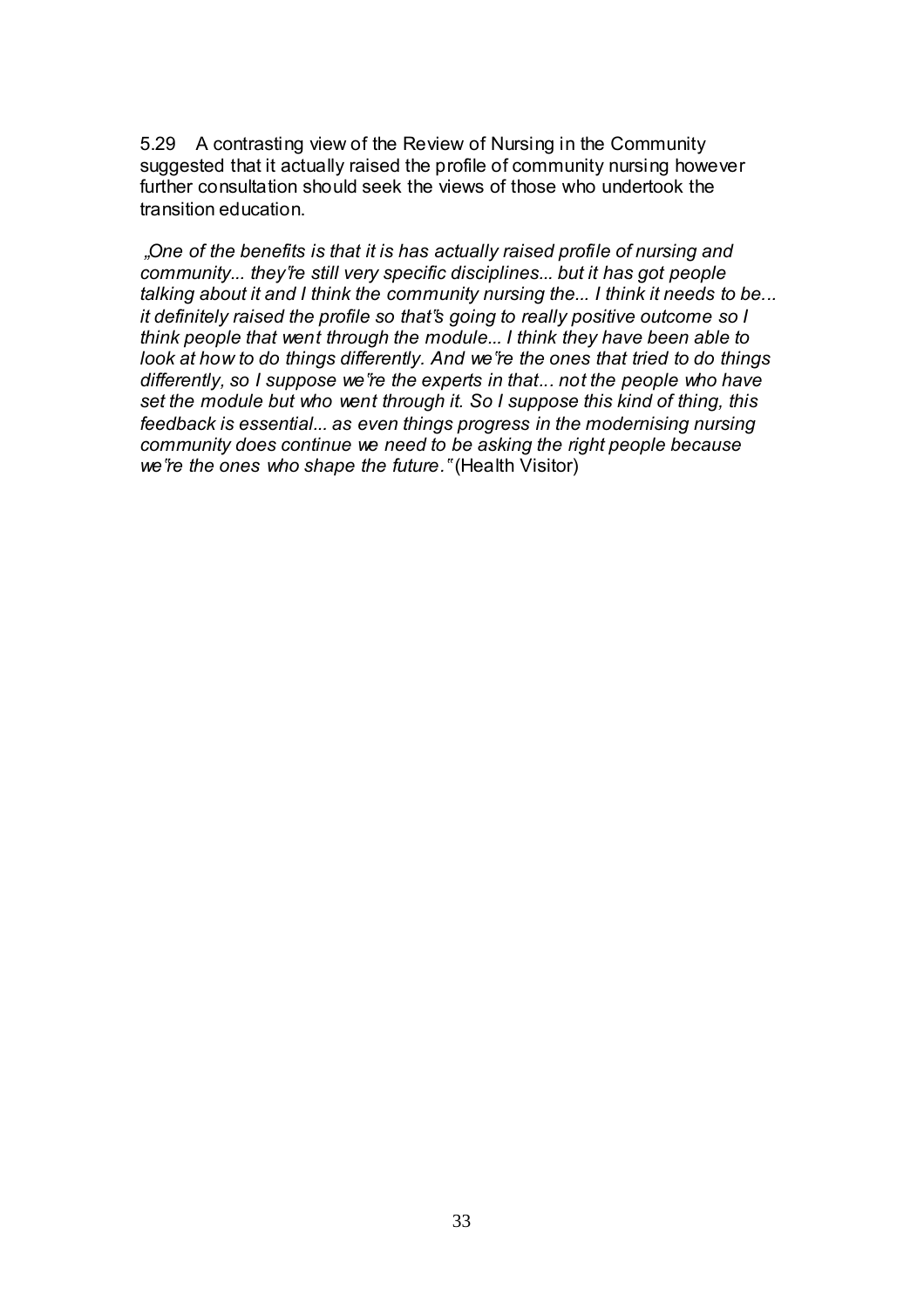5.29 A contrasting view of the Review of Nursing in the Community suggested that it actually raised the profile of community nursing however further consultation should seek the views of those who undertook the transition education.

*"One of the benefits is that it is has actually raised profile of nursing and community... they're still very specific disciplines... but it has got people talking about it and I think the community nursing the... I think it needs to be... it definitely raised the profile so that"s going to really positive outcome so I think people that went through the module... I think they have been able to look at how to do things differently. And we"re the ones that tried to do things differently, so I suppose we"re the experts in that... not the people who have set the module but who went through it. So I suppose this kind of thing, this feedback is essential... as even things progress in the modernising nursing community does continue we need to be asking the right people because we"re the ones who shape the future."* (Health Visitor)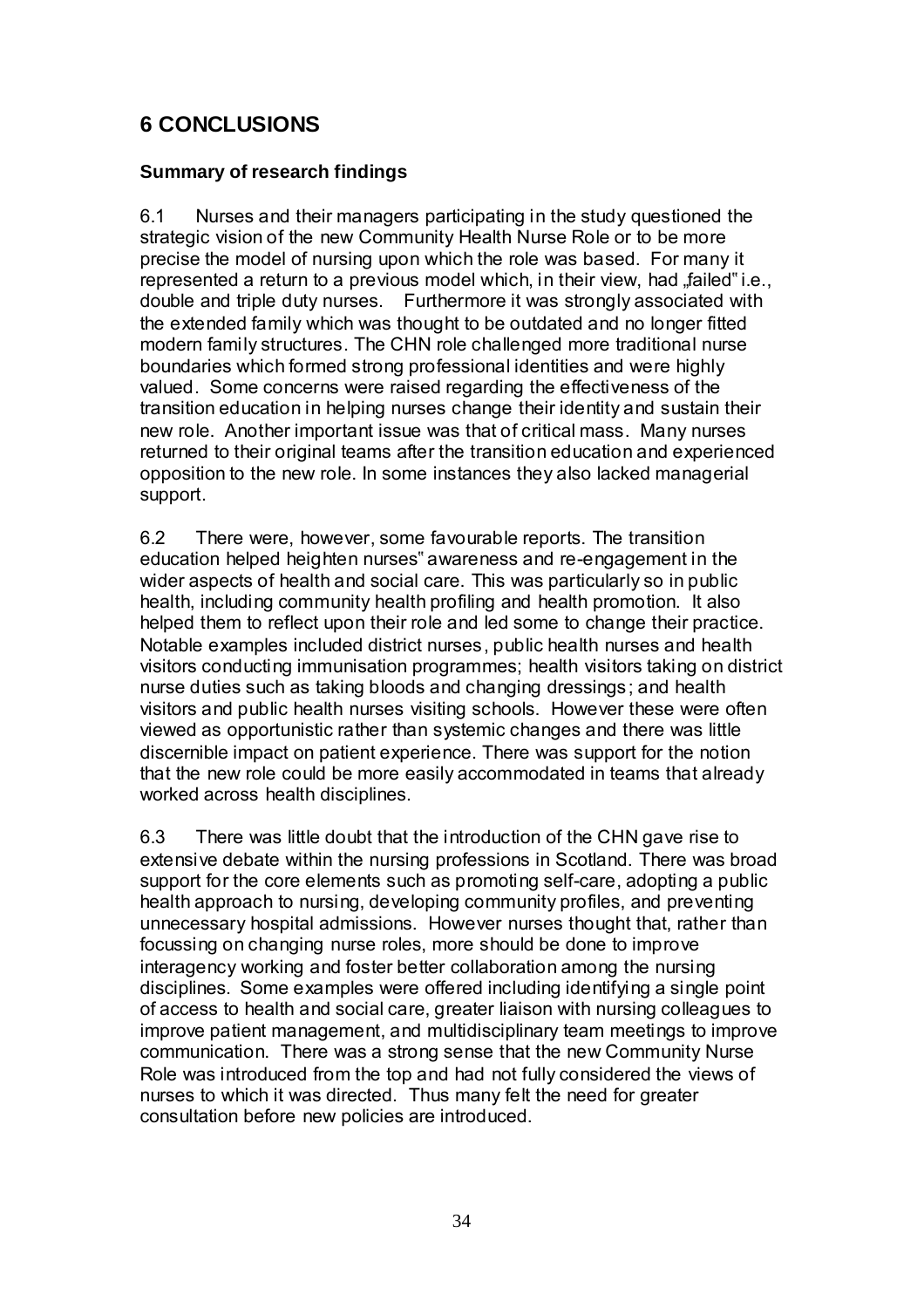# **6 CONCLUSIONS**

#### **Summary of research findings**

6.1 Nurses and their managers participating in the study questioned the strategic vision of the new Community Health Nurse Role or to be more precise the model of nursing upon which the role was based. For many it represented a return to a previous model which, in their view, had "failed" i.e., double and triple duty nurses. Furthermore it was strongly associated with the extended family which was thought to be outdated and no longer fitted modern family structures. The CHN role challenged more traditional nurse boundaries which formed strong professional identities and were highly valued. Some concerns were raised regarding the effectiveness of the transition education in helping nurses change their identity and sustain their new role. Another important issue was that of critical mass. Many nurses returned to their original teams after the transition education and experienced opposition to the new role. In some instances they also lacked managerial support.

6.2 There were, however, some favourable reports. The transition education helped heighten nurses" awareness and re-engagement in the wider aspects of health and social care. This was particularly so in public health, including community health profiling and health promotion. It also helped them to reflect upon their role and led some to change their practice. Notable examples included district nurses, public health nurses and health visitors conducting immunisation programmes; health visitors taking on district nurse duties such as taking bloods and changing dressings; and health visitors and public health nurses visiting schools. However these were often viewed as opportunistic rather than systemic changes and there was little discernible impact on patient experience. There was support for the notion that the new role could be more easily accommodated in teams that already worked across health disciplines.

6.3 There was little doubt that the introduction of the CHN gave rise to extensive debate within the nursing professions in Scotland. There was broad support for the core elements such as promoting self-care, adopting a public health approach to nursing, developing community profiles, and preventing unnecessary hospital admissions. However nurses thought that, rather than focussing on changing nurse roles, more should be done to improve interagency working and foster better collaboration among the nursing disciplines. Some examples were offered including identifying a single point of access to health and social care, greater liaison with nursing colleagues to improve patient management, and multidisciplinary team meetings to improve communication. There was a strong sense that the new Community Nurse Role was introduced from the top and had not fully considered the views of nurses to which it was directed. Thus many felt the need for greater consultation before new policies are introduced.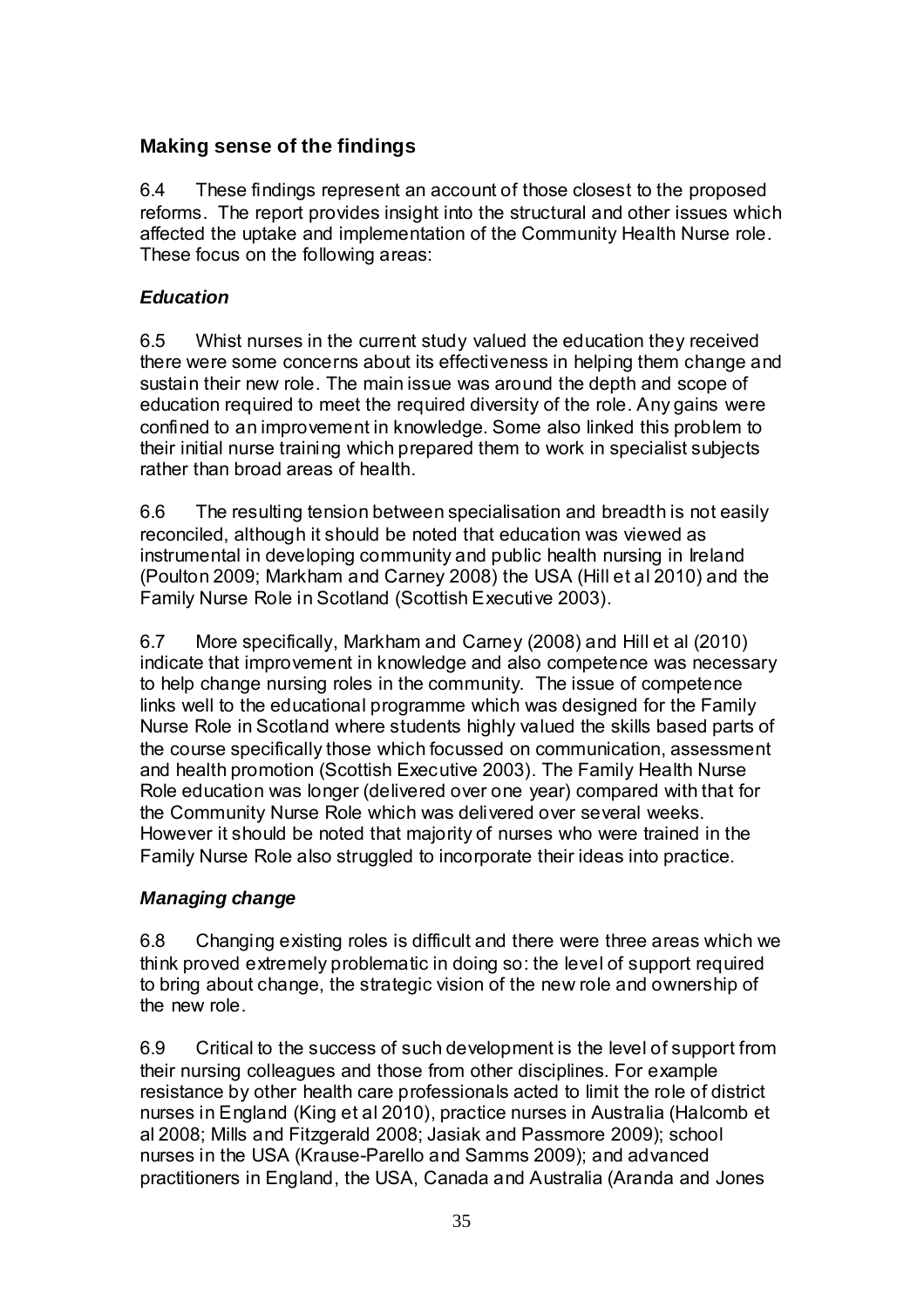# **Making sense of the findings**

6.4 These findings represent an account of those closest to the proposed reforms. The report provides insight into the structural and other issues which affected the uptake and implementation of the Community Health Nurse role. These focus on the following areas:

### *Education*

6.5 Whist nurses in the current study valued the education they received there were some concerns about its effectiveness in helping them change and sustain their new role. The main issue was around the depth and scope of education required to meet the required diversity of the role. Any gains were confined to an improvement in knowledge. Some also linked this problem to their initial nurse training which prepared them to work in specialist subjects rather than broad areas of health.

6.6 The resulting tension between specialisation and breadth is not easily reconciled, although it should be noted that education was viewed as instrumental in developing community and public health nursing in Ireland (Poulton 2009; Markham and Carney 2008) the USA (Hill et al 2010) and the Family Nurse Role in Scotland (Scottish Executive 2003).

6.7 More specifically, Markham and Carney (2008) and Hill et al (2010) indicate that improvement in knowledge and also competence was necessary to help change nursing roles in the community. The issue of competence links well to the educational programme which was designed for the Family Nurse Role in Scotland where students highly valued the skills based parts of the course specifically those which focussed on communication, assessment and health promotion (Scottish Executive 2003). The Family Health Nurse Role education was longer (delivered over one year) compared with that for the Community Nurse Role which was delivered over several weeks. However it should be noted that majority of nurses who were trained in the Family Nurse Role also struggled to incorporate their ideas into practice.

#### *Managing change*

6.8 Changing existing roles is difficult and there were three areas which we think proved extremely problematic in doing so: the level of support required to bring about change, the strategic vision of the new role and ownership of the new role.

6.9 Critical to the success of such development is the level of support from their nursing colleagues and those from other disciplines. For example resistance by other health care professionals acted to limit the role of district nurses in England (King et al 2010), practice nurses in Australia (Halcomb et al 2008; Mills and Fitzgerald 2008; Jasiak and Passmore 2009); school nurses in the USA (Krause-Parello and Samms 2009); and advanced practitioners in England, the USA, Canada and Australia (Aranda and Jones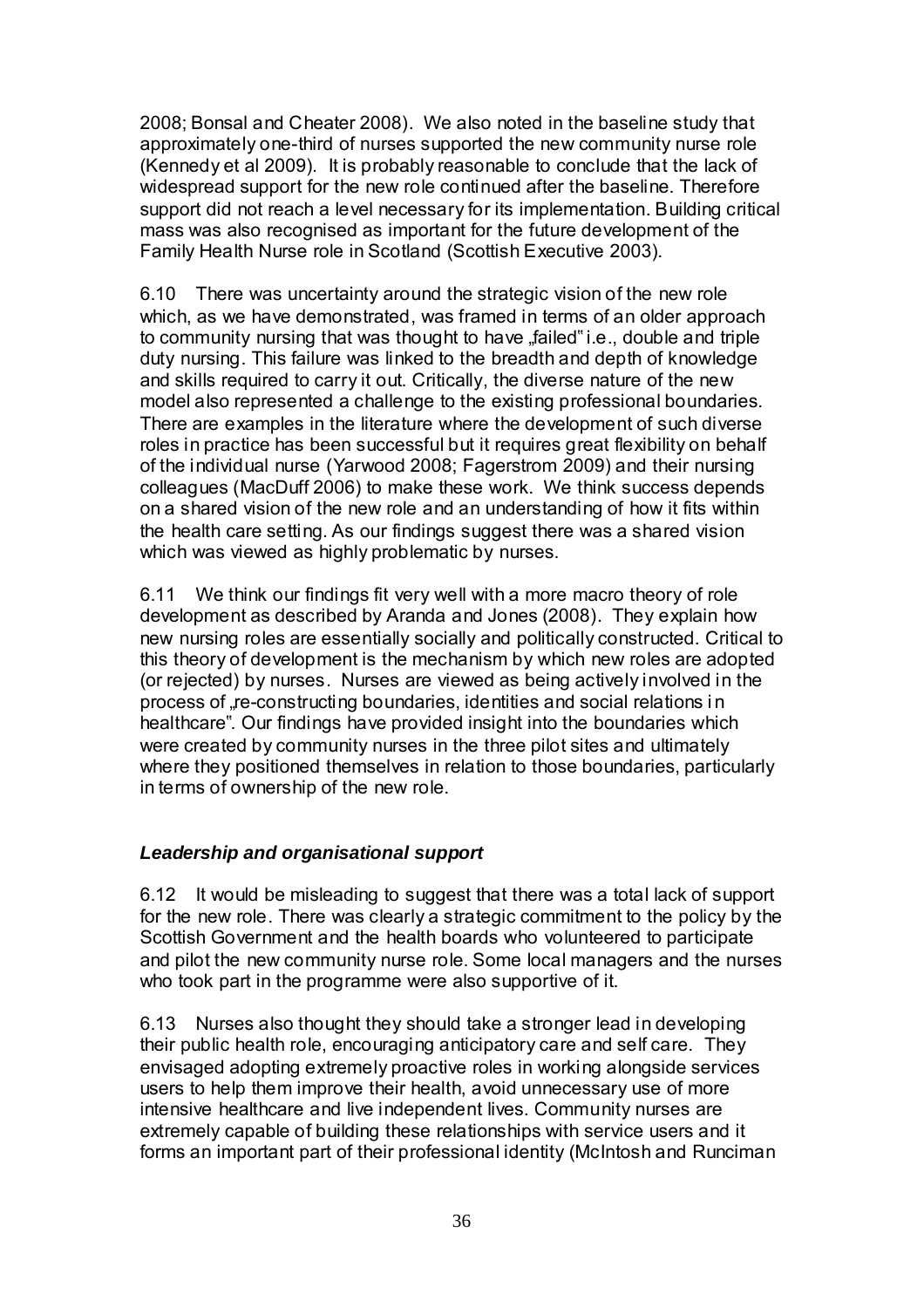2008; Bonsal and Cheater 2008). We also noted in the baseline study that approximately one-third of nurses supported the new community nurse role (Kennedy et al 2009). It is probably reasonable to conclude that the lack of widespread support for the new role continued after the baseline. Therefore support did not reach a level necessary for its implementation. Building critical mass was also recognised as important for the future development of the Family Health Nurse role in Scotland (Scottish Executive 2003).

6.10 There was uncertainty around the strategic vision of the new role which, as we have demonstrated, was framed in terms of an older approach to community nursing that was thought to have "failed" i.e., double and triple duty nursing. This failure was linked to the breadth and depth of knowledge and skills required to carry it out. Critically, the diverse nature of the new model also represented a challenge to the existing professional boundaries. There are examples in the literature where the development of such diverse roles in practice has been successful but it requires great flexibility on behalf of the individual nurse (Yarwood 2008; Fagerstrom 2009) and their nursing colleagues (MacDuff 2006) to make these work. We think success depends on a shared vision of the new role and an understanding of how it fits within the health care setting. As our findings suggest there was a shared vision which was viewed as highly problematic by nurses.

6.11 We think our findings fit very well with a more macro theory of role development as described by Aranda and Jones (2008). They explain how new nursing roles are essentially socially and politically constructed. Critical to this theory of development is the mechanism by which new roles are adopted (or rejected) by nurses. Nurses are viewed as being actively involved in the process of "re-constructing boundaries, identities and social relations in healthcare". Our findings have provided insight into the boundaries which were created by community nurses in the three pilot sites and ultimately where they positioned themselves in relation to those boundaries, particularly in terms of ownership of the new role.

## *Leadership and organisational support*

6.12 It would be misleading to suggest that there was a total lack of support for the new role. There was clearly a strategic commitment to the policy by the Scottish Government and the health boards who volunteered to participate and pilot the new community nurse role. Some local managers and the nurses who took part in the programme were also supportive of it.

6.13 Nurses also thought they should take a stronger lead in developing their public health role, encouraging anticipatory care and self care. They envisaged adopting extremely proactive roles in working alongside services users to help them improve their health, avoid unnecessary use of more intensive healthcare and live independent lives. Community nurses are extremely capable of building these relationships with service users and it forms an important part of their professional identity (McIntosh and Runciman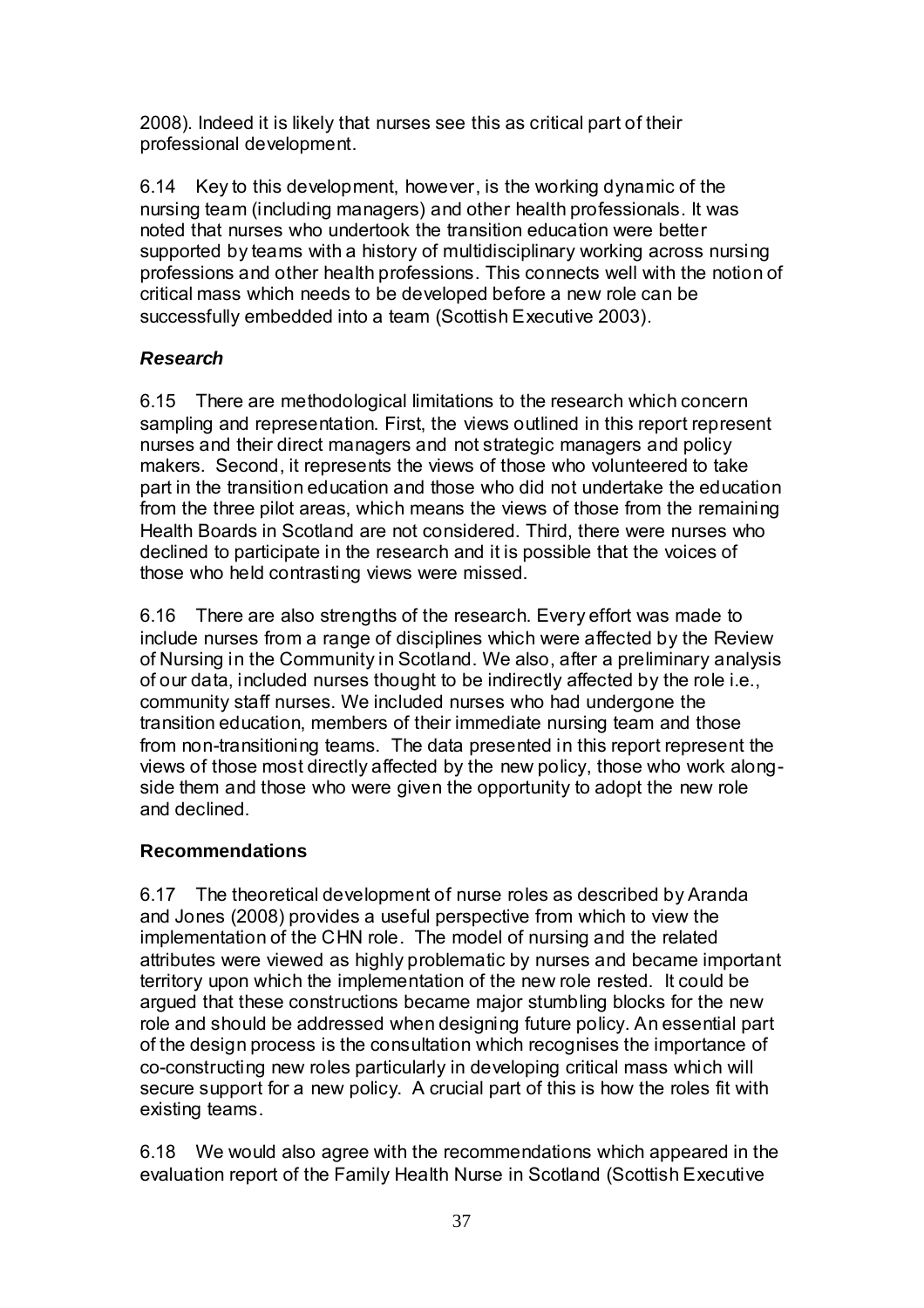2008). Indeed it is likely that nurses see this as critical part of their professional development.

6.14 Key to this development, however, is the working dynamic of the nursing team (including managers) and other health professionals. It was noted that nurses who undertook the transition education were better supported by teams with a history of multidisciplinary working across nursing professions and other health professions. This connects well with the notion of critical mass which needs to be developed before a new role can be successfully embedded into a team (Scottish Executive 2003).

## *Research*

6.15 There are methodological limitations to the research which concern sampling and representation. First, the views outlined in this report represent nurses and their direct managers and not strategic managers and policy makers. Second, it represents the views of those who volunteered to take part in the transition education and those who did not undertake the education from the three pilot areas, which means the views of those from the remaining Health Boards in Scotland are not considered. Third, there were nurses who declined to participate in the research and it is possible that the voices of those who held contrasting views were missed.

6.16 There are also strengths of the research. Every effort was made to include nurses from a range of disciplines which were affected by the Review of Nursing in the Community in Scotland. We also, after a preliminary analysis of our data, included nurses thought to be indirectly affected by the role i.e., community staff nurses. We included nurses who had undergone the transition education, members of their immediate nursing team and those from non-transitioning teams. The data presented in this report represent the views of those most directly affected by the new policy, those who work alongside them and those who were given the opportunity to adopt the new role and declined.

## **Recommendations**

6.17 The theoretical development of nurse roles as described by Aranda and Jones (2008) provides a useful perspective from which to view the implementation of the CHN role. The model of nursing and the related attributes were viewed as highly problematic by nurses and became important territory upon which the implementation of the new role rested. It could be argued that these constructions became major stumbling blocks for the new role and should be addressed when designing future policy. An essential part of the design process is the consultation which recognises the importance of co-constructing new roles particularly in developing critical mass which will secure support for a new policy. A crucial part of this is how the roles fit with existing teams.

6.18 We would also agree with the recommendations which appeared in the evaluation report of the Family Health Nurse in Scotland (Scottish Executive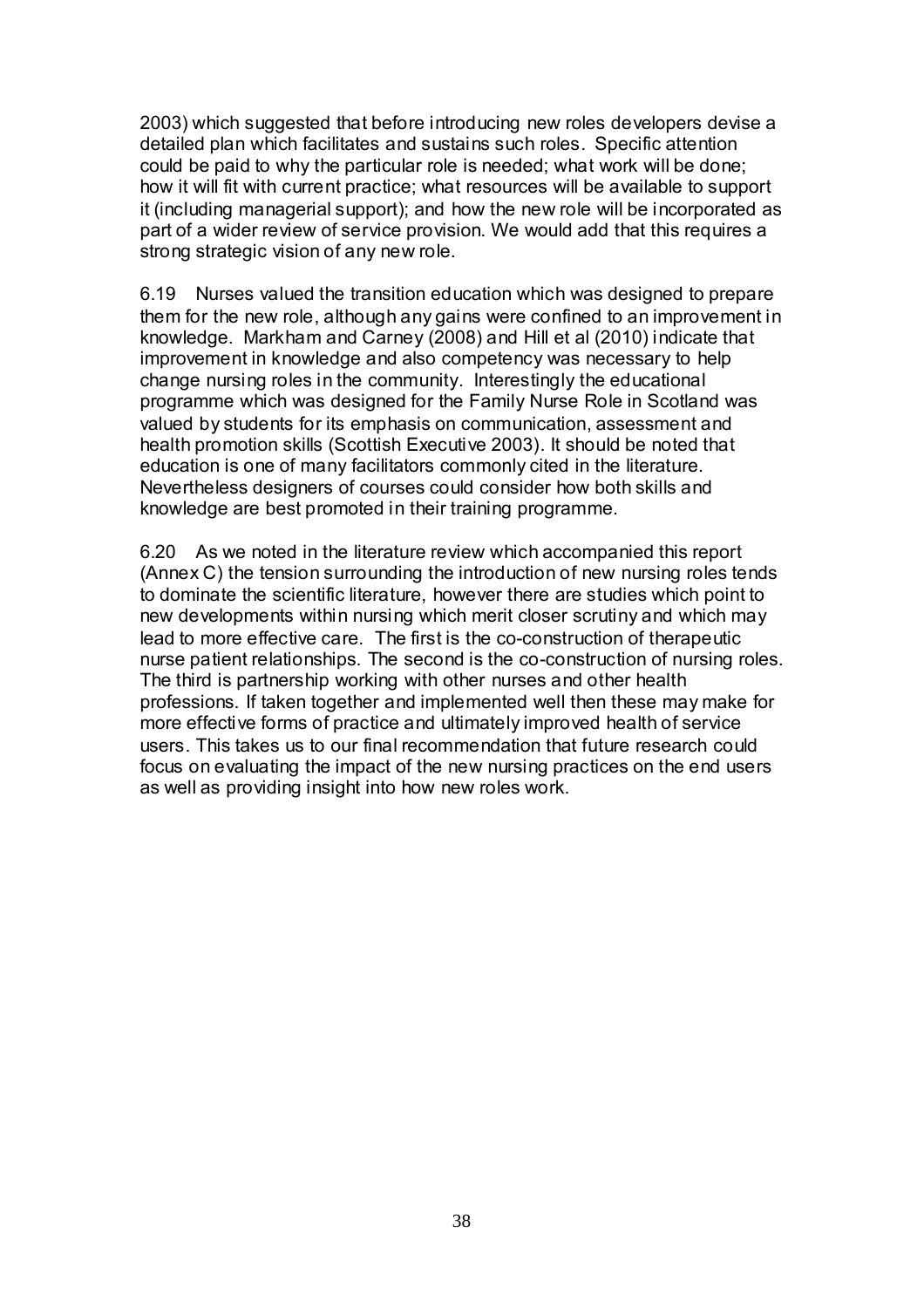2003) which suggested that before introducing new roles developers devise a detailed plan which facilitates and sustains such roles. Specific attention could be paid to why the particular role is needed; what work will be done; how it will fit with current practice; what resources will be available to support it (including managerial support); and how the new role will be incorporated as part of a wider review of service provision. We would add that this requires a strong strategic vision of any new role.

6.19 Nurses valued the transition education which was designed to prepare them for the new role, although any gains were confined to an improvement in knowledge. Markham and Carney (2008) and Hill et al (2010) indicate that improvement in knowledge and also competency was necessary to help change nursing roles in the community. Interestingly the educational programme which was designed for the Family Nurse Role in Scotland was valued by students for its emphasis on communication, assessment and health promotion skills (Scottish Executive 2003). It should be noted that education is one of many facilitators commonly cited in the literature. Nevertheless designers of courses could consider how both skills and knowledge are best promoted in their training programme.

6.20 As we noted in the literature review which accompanied this report (Annex C) the tension surrounding the introduction of new nursing roles tends to dominate the scientific literature, however there are studies which point to new developments within nursing which merit closer scrutiny and which may lead to more effective care. The first is the co-construction of therapeutic nurse patient relationships. The second is the co-construction of nursing roles. The third is partnership working with other nurses and other health professions. If taken together and implemented well then these may make for more effective forms of practice and ultimately improved health of service users. This takes us to our final recommendation that future research could focus on evaluating the impact of the new nursing practices on the end users as well as providing insight into how new roles work.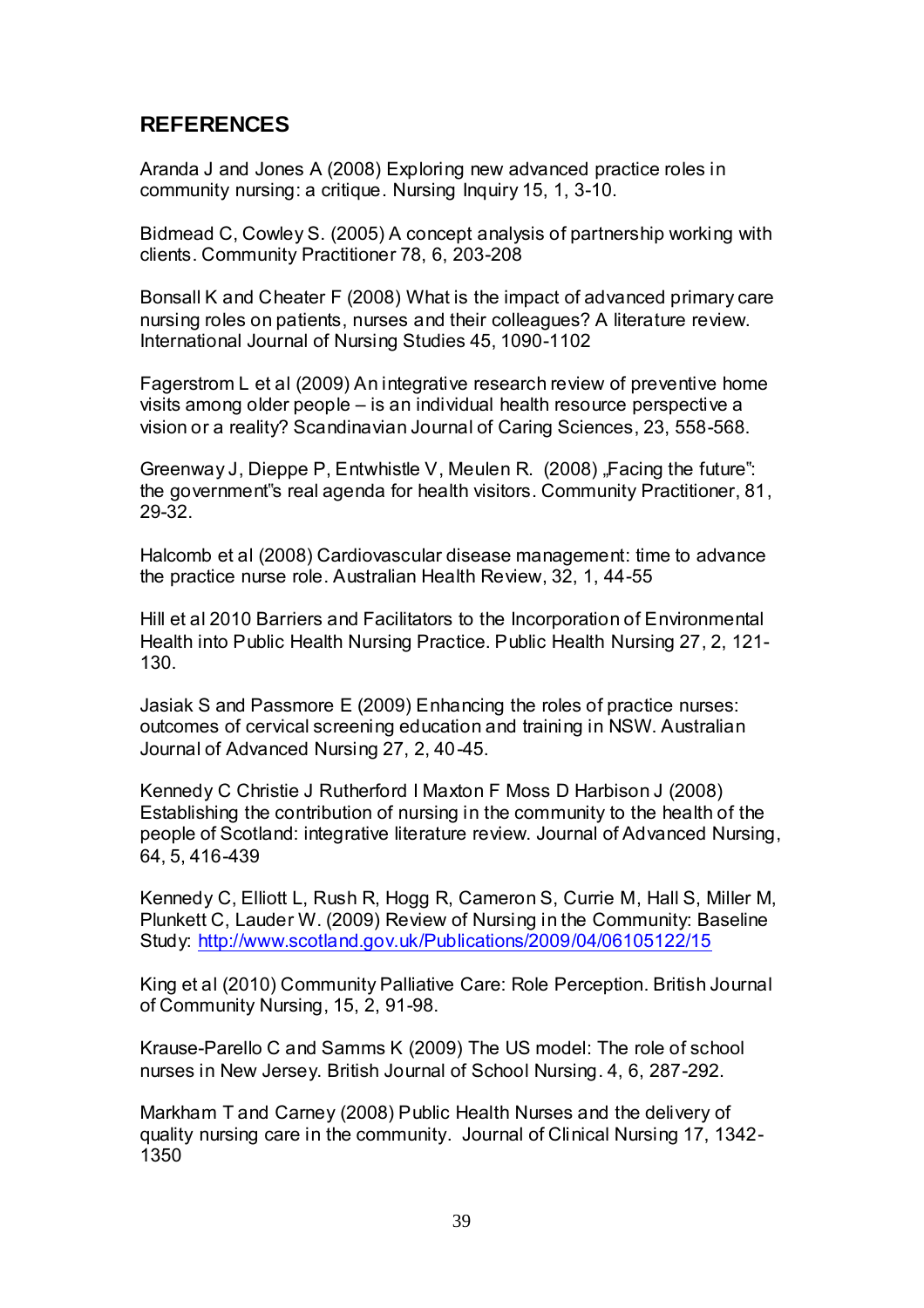# **REFERENCES**

Aranda J and Jones A (2008) Exploring new advanced practice roles in community nursing: a critique. Nursing Inquiry 15, 1, 3-10.

Bidmead C, Cowley S. (2005) A concept analysis of partnership working with clients. Community Practitioner 78, 6, 203-208

Bonsall K and Cheater F (2008) What is the impact of advanced primary care nursing roles on patients, nurses and their colleagues? A literature review. International Journal of Nursing Studies 45, 1090-1102

Fagerstrom L et al (2009) An integrative research review of preventive home visits among older people – is an individual health resource perspective a vision or a reality? Scandinavian Journal of Caring Sciences, 23, 558-568.

Greenway J, Dieppe P, Entwhistle V, Meulen R. (2008) "Facing the future": the government"s real agenda for health visitors. Community Practitioner, 81, 29-32.

Halcomb et al (2008) Cardiovascular disease management: time to advance the practice nurse role. Australian Health Review, 32, 1, 44-55

Hill et al 2010 Barriers and Facilitators to the Incorporation of Environmental Health into Public Health Nursing Practice. Public Health Nursing 27, 2, 121- 130.

Jasiak S and Passmore E (2009) Enhancing the roles of practice nurses: outcomes of cervical screening education and training in NSW. Australian Journal of Advanced Nursing 27, 2, 40-45.

Kennedy C Christie J Rutherford I Maxton F Moss D Harbison J (2008) Establishing the contribution of nursing in the community to the health of the people of Scotland: integrative literature review. Journal of Advanced Nursing, 64, 5, 416-439

Kennedy C, Elliott L, Rush R, Hogg R, Cameron S, Currie M, Hall S, Miller M, Plunkett C, Lauder W. (2009) Review of Nursing in the Community: Baseline Study:<http://www.scotland.gov.uk/Publications/2009/04/06105122/15>

King et al (2010) Community Palliative Care: Role Perception. British Journal of Community Nursing, 15, 2, 91-98.

Krause-Parello C and Samms K (2009) The US model: The role of school nurses in New Jersey. British Journal of School Nursing. 4, 6, 287-292.

Markham T and Carney (2008) Public Health Nurses and the delivery of quality nursing care in the community. Journal of Clinical Nursing 17, 1342- 1350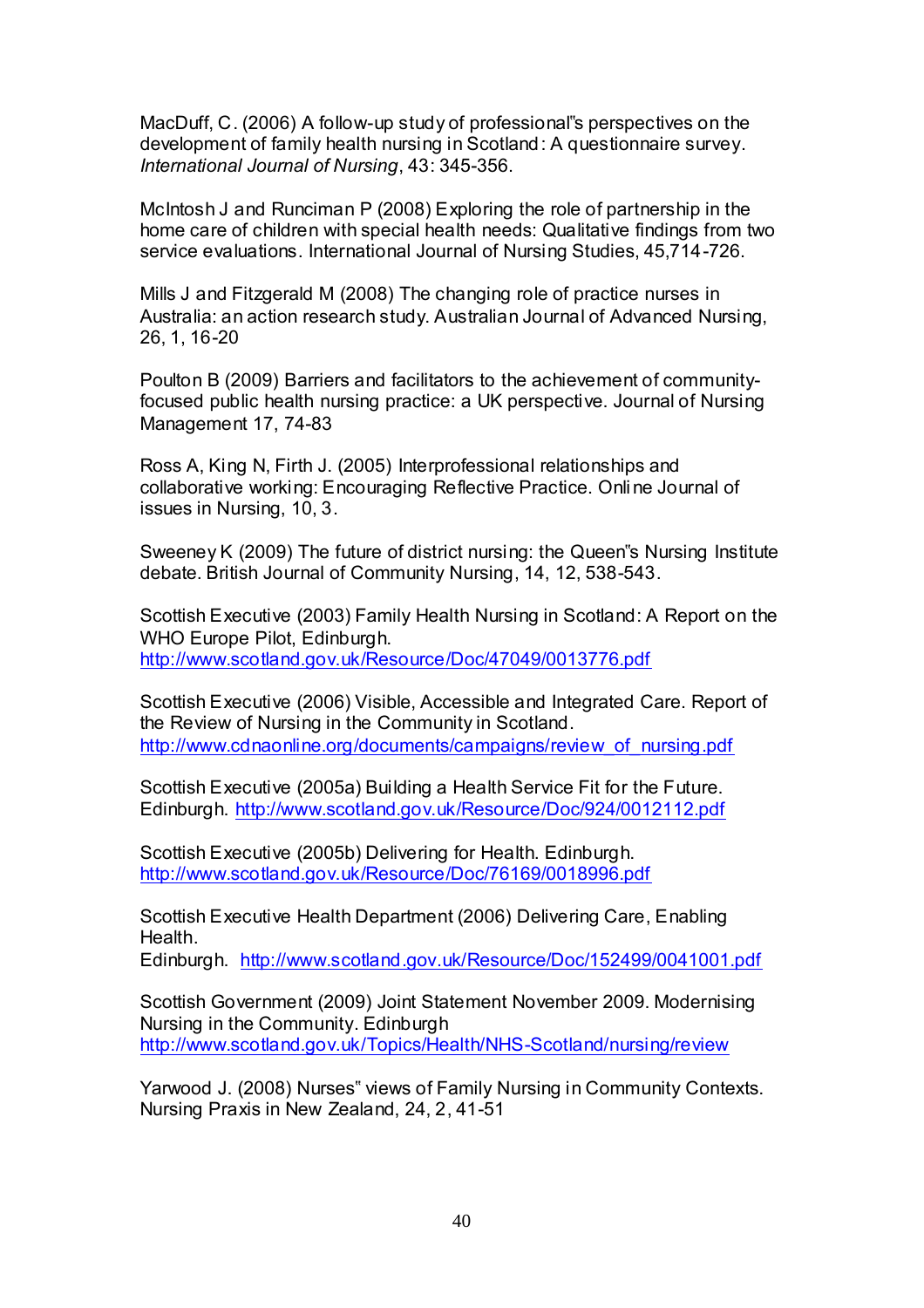MacDuff, C. (2006) A follow-up study of professional"s perspectives on the development of family health nursing in Scotland: A questionnaire survey. *International Journal of Nursing*, 43: 345-356.

McIntosh J and Runciman P (2008) Exploring the role of partnership in the home care of children with special health needs: Qualitative findings from two service evaluations. International Journal of Nursing Studies, 45,714-726.

Mills J and Fitzgerald M (2008) The changing role of practice nurses in Australia: an action research study. Australian Journal of Advanced Nursing, 26, 1, 16-20

Poulton B (2009) Barriers and facilitators to the achievement of communityfocused public health nursing practice: a UK perspective. Journal of Nursing Management 17, 74-83

Ross A, King N, Firth J. (2005) Interprofessional relationships and collaborative working: Encouraging Reflective Practice. Onli ne Journal of issues in Nursing, 10, 3.

Sweeney K (2009) The future of district nursing: the Queen"s Nursing Institute debate. British Journal of Community Nursing, 14, 12, 538-543.

Scottish Executive (2003) Family Health Nursing in Scotland: A Report on the WHO Europe Pilot, Edinburgh. <http://www.scotland.gov.uk/Resource/Doc/47049/0013776.pdf>

Scottish Executive (2006) Visible, Accessible and Integrated Care. Report of the Review of Nursing in the Community in Scotland. [http://www.cdnaonline.org/documents/campaigns/review\\_of\\_nursing.pdf](http://www.cdnaonline.org/documents/campaigns/review_of_nursing.pdf)

Scottish Executive (2005a) Building a Health Service Fit for the Future. Edinburgh.<http://www.scotland.gov.uk/Resource/Doc/924/0012112.pdf>

Scottish Executive (2005b) Delivering for Health. Edinburgh. <http://www.scotland.gov.uk/Resource/Doc/76169/0018996.pdf>

Scottish Executive Health Department (2006) Delivering Care, Enabling Health.

Edinburgh. <http://www.scotland.gov.uk/Resource/Doc/152499/0041001.pdf>

Scottish Government (2009) Joint Statement November 2009. Modernising Nursing in the Community. Edinburgh <http://www.scotland.gov.uk/Topics/Health/NHS-Scotland/nursing/review>

Yarwood J. (2008) Nurses" views of Family Nursing in Community Contexts. Nursing Praxis in New Zealand, 24, 2, 41-51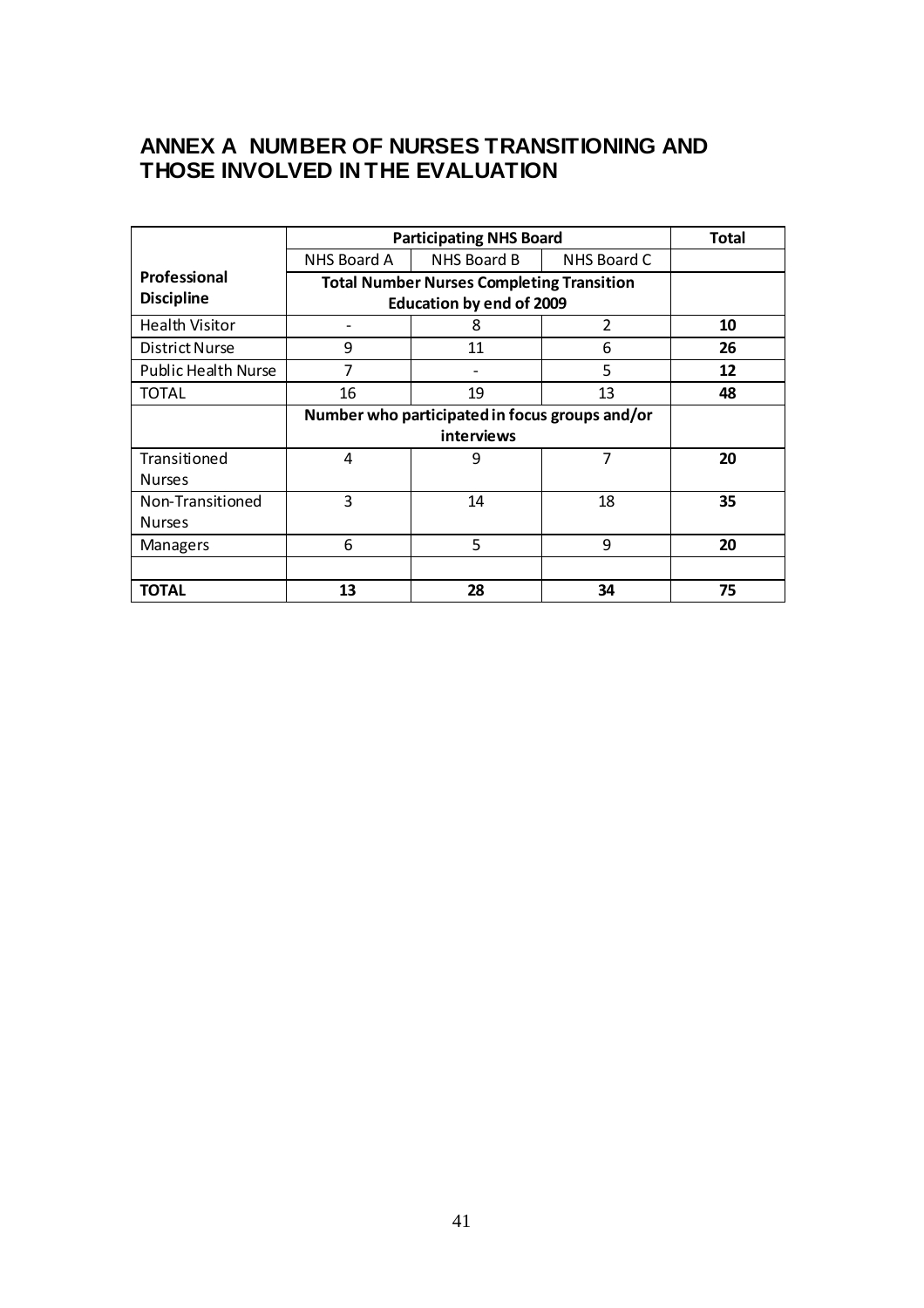# **ANNEX A NUMBER OF NURSES TRANSITIONING AND THOSE INVOLVED IN THE EVALUATION**

|                            | <b>Participating NHS Board</b>                   |             |             | Total |
|----------------------------|--------------------------------------------------|-------------|-------------|-------|
|                            | NHS Board A                                      | NHS Board B | NHS Board C |       |
| Professional               | <b>Total Number Nurses Completing Transition</b> |             |             |       |
| <b>Discipline</b>          | <b>Education by end of 2009</b>                  |             |             |       |
| <b>Health Visitor</b>      |                                                  | 8           | 2           | 10    |
| <b>District Nurse</b>      | 9                                                | 11          | 6           | 26    |
| <b>Public Health Nurse</b> | 7                                                |             | 5           | 12    |
| <b>TOTAL</b>               | 16                                               | 19          | 13          | 48    |
|                            | Number who participated in focus groups and/or   |             |             |       |
|                            | interviews                                       |             |             |       |
| Transitioned               | 4                                                | 9           | 7           | 20    |
| <b>Nurses</b>              |                                                  |             |             |       |
| Non-Transitioned           | 3                                                | 14          | 18          | 35    |
| <b>Nurses</b>              |                                                  |             |             |       |
| Managers                   | 6                                                | 5           | 9           | 20    |
|                            |                                                  |             |             |       |
| <b>TOTAL</b>               | 13                                               | 28          | 34          | 75    |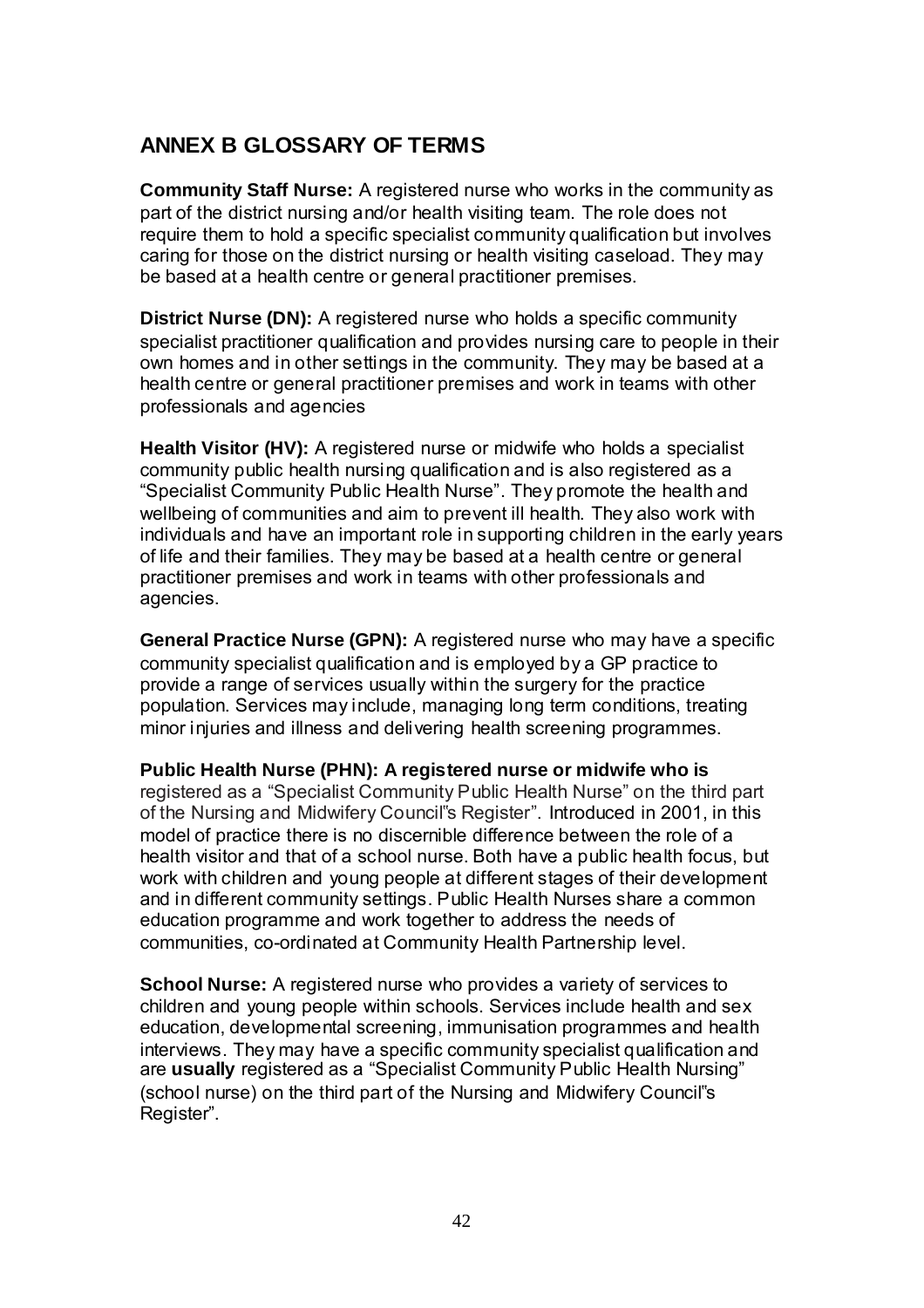# **ANNEX B GLOSSARY OF TERMS**

**Community Staff Nurse:** A registered nurse who works in the community as part of the district nursing and/or health visiting team. The role does not require them to hold a specific specialist community qualification but involves caring for those on the district nursing or health visiting caseload. They may be based at a health centre or general practitioner premises.

**District Nurse (DN):** A registered nurse who holds a specific community specialist practitioner qualification and provides nursing care to people in their own homes and in other settings in the community. They may be based at a health centre or general practitioner premises and work in teams with other professionals and agencies

**Health Visitor (HV):** A registered nurse or midwife who holds a specialist community public health nursing qualification and is also registered as a "Specialist Community Public Health Nurse". They promote the health and wellbeing of communities and aim to prevent ill health. They also work with individuals and have an important role in supporting children in the early years of life and their families. They may be based at a health centre or general practitioner premises and work in teams with other professionals and agencies.

**General Practice Nurse (GPN):** A registered nurse who may have a specific community specialist qualification and is employed by a GP practice to provide a range of services usually within the surgery for the practice population. Services may include, managing long term conditions, treating minor injuries and illness and delivering health screening programmes.

**Public Health Nurse (PHN): A registered nurse or midwife who is**  registered as a "Specialist Community Public Health Nurse" on the third part of the Nursing and Midwifery Council"s Register". Introduced in 2001, in this model of practice there is no discernible difference between the role of a health visitor and that of a school nurse. Both have a public health focus, but work with children and young people at different stages of their development and in different community settings. Public Health Nurses share a common education programme and work together to address the needs of communities, co-ordinated at Community Health Partnership level.

**School Nurse:** A registered nurse who provides a variety of services to children and young people within schools. Services include health and sex education, developmental screening, immunisation programmes and health interviews. They may have a specific community specialist qualification and are **usually** registered as a "Specialist Community Public Health Nursing" (school nurse) on the third part of the Nursing and Midwifery Council"s Register".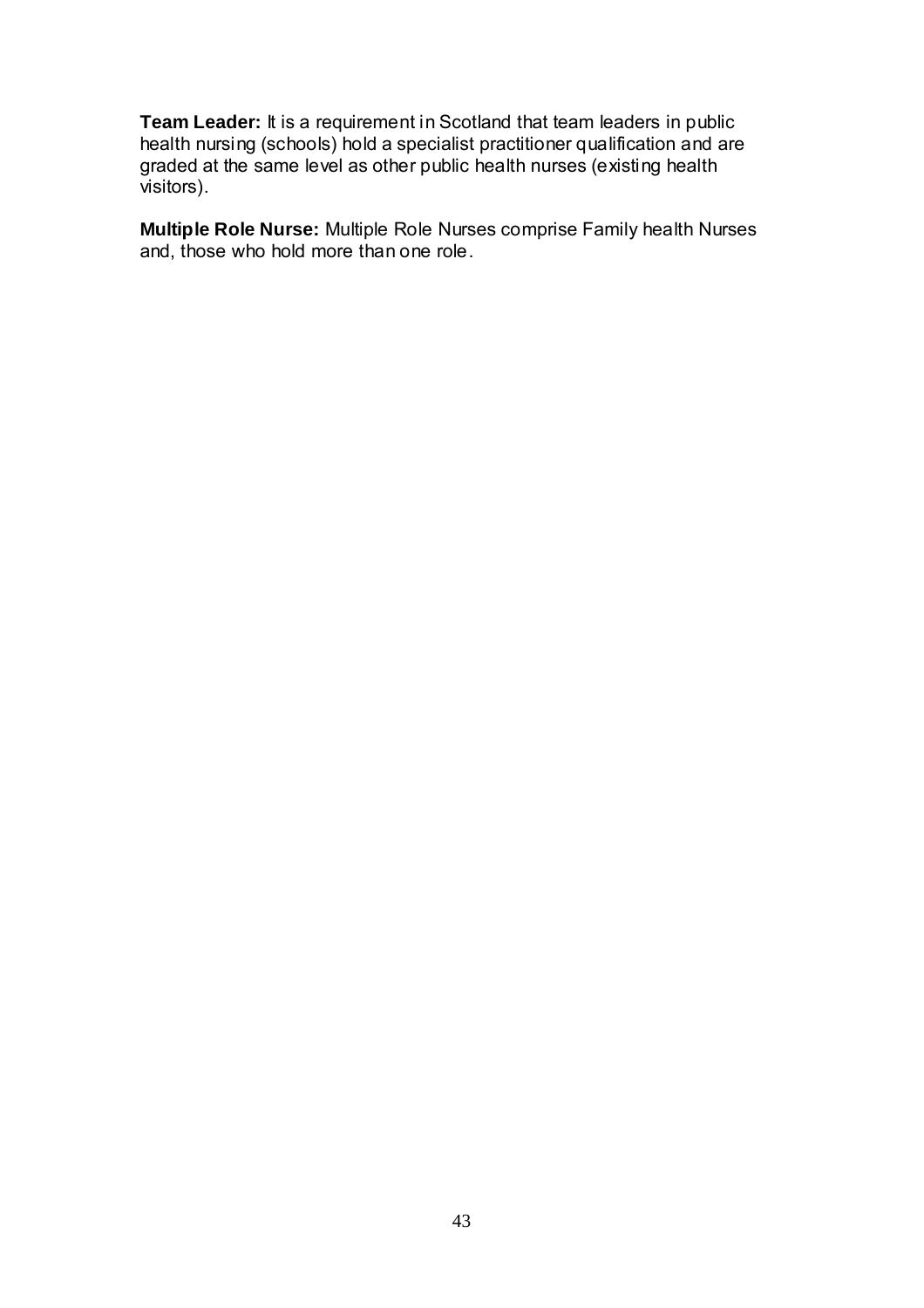**Team Leader:** It is a requirement in Scotland that team leaders in public health nursing (schools) hold a specialist practitioner qualification and are graded at the same level as other public health nurses (existing health visitors).

**Multiple Role Nurse:** Multiple Role Nurses comprise Family health Nurses and, those who hold more than one role.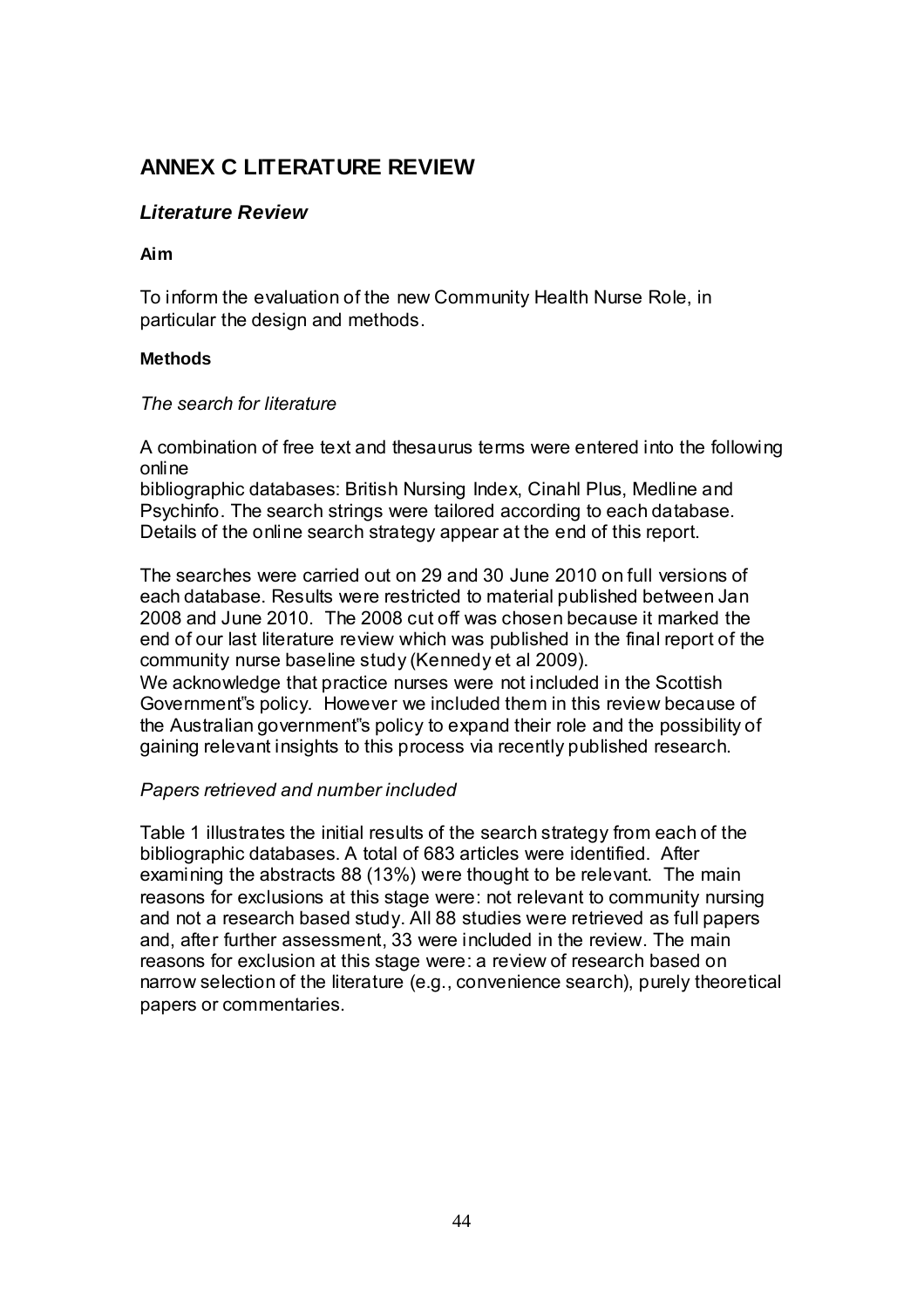# **ANNEX C LITERATURE REVIEW**

## *Literature Review*

#### **Aim**

To inform the evaluation of the new Community Health Nurse Role, in particular the design and methods.

#### **Methods**

#### *The search for literature*

A combination of free text and thesaurus terms were entered into the following online

bibliographic databases: British Nursing Index, Cinahl Plus, Medline and Psychinfo. The search strings were tailored according to each database. Details of the online search strategy appear at the end of this report.

The searches were carried out on 29 and 30 June 2010 on full versions of each database. Results were restricted to material published between Jan 2008 and June 2010. The 2008 cut off was chosen because it marked the end of our last literature review which was published in the final report of the community nurse baseline study (Kennedy et al 2009).

We acknowledge that practice nurses were not included in the Scottish Government"s policy. However we included them in this review because of the Australian government"s policy to expand their role and the possibility of gaining relevant insights to this process via recently published research.

## *Papers retrieved and number included*

Table 1 illustrates the initial results of the search strategy from each of the bibliographic databases. A total of 683 articles were identified. After examining the abstracts 88 (13%) were thought to be relevant. The main reasons for exclusions at this stage were: not relevant to community nursing and not a research based study. All 88 studies were retrieved as full papers and, after further assessment, 33 were included in the review. The main reasons for exclusion at this stage were: a review of research based on narrow selection of the literature (e.g., convenience search), purely theoretical papers or commentaries.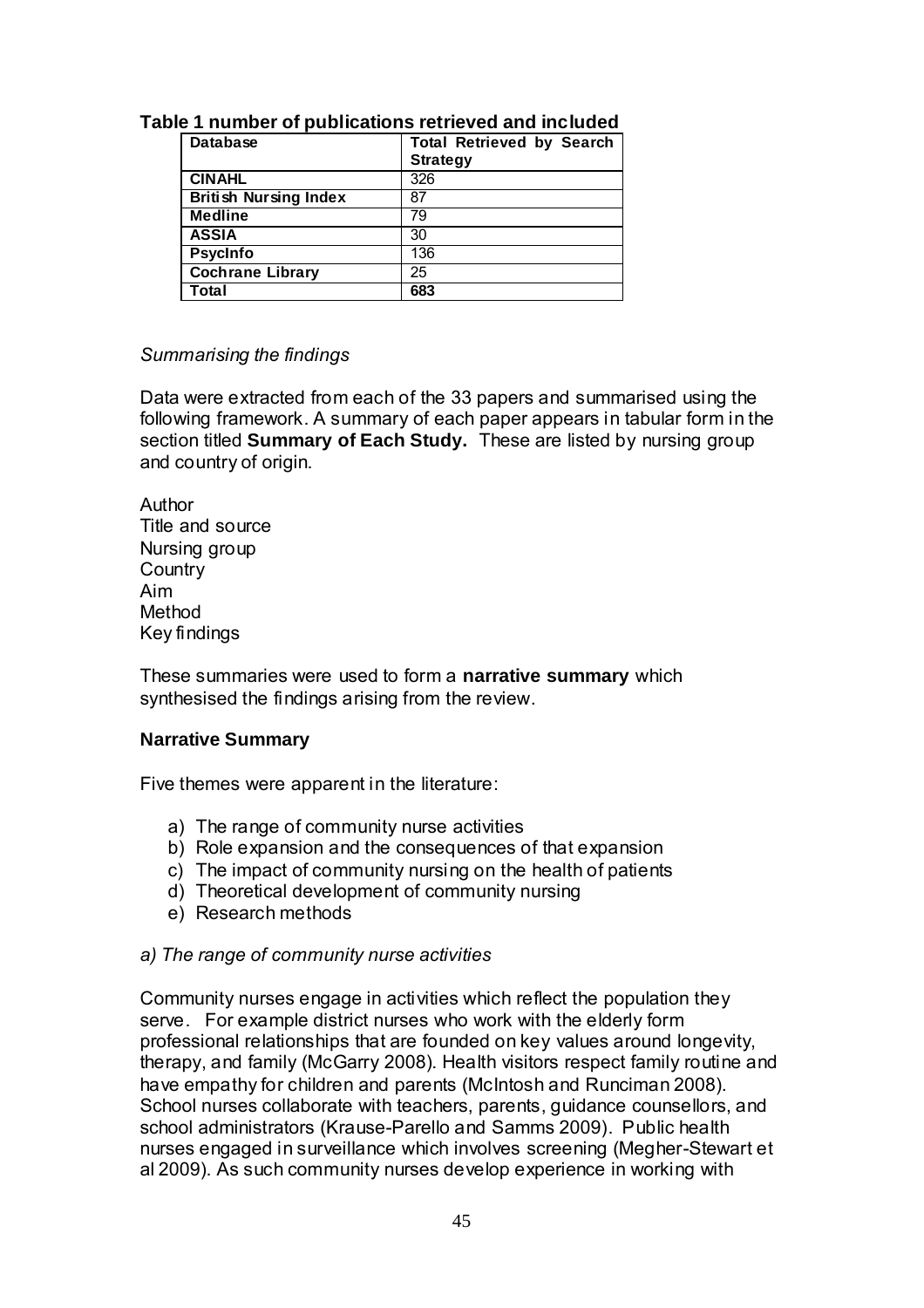| <b>Database</b>              | <b>Total Retrieved by Search</b><br><b>Strategy</b> |
|------------------------------|-----------------------------------------------------|
| <b>CINAHL</b>                | 326                                                 |
| <b>British Nursing Index</b> | 87                                                  |
| <b>Medline</b>               | 79                                                  |
| <b>ASSIA</b>                 | 30                                                  |
| <b>Psycinfo</b>              | 136                                                 |
| <b>Cochrane Library</b>      | 25                                                  |
| Total                        | 683                                                 |

## **Table 1 number of publications retrieved and included**

#### *Summarising the findings*

Data were extracted from each of the 33 papers and summarised using the following framework. A summary of each paper appears in tabular form in the section titled **Summary of Each Study.** These are listed by nursing group and country of origin.

Author Title and source Nursing group **Country** Aim Method Key findings

These summaries were used to form a **narrative summary** which synthesised the findings arising from the review.

#### **Narrative Summary**

Five themes were apparent in the literature:

- a) The range of community nurse activities
- b) Role expansion and the consequences of that expansion
- c) The impact of community nursing on the health of patients
- d) Theoretical development of community nursing
- e) Research methods

#### *a) The range of community nurse activities*

Community nurses engage in activities which reflect the population they serve. For example district nurses who work with the elderly form professional relationships that are founded on key values around longevity, therapy, and family (McGarry 2008). Health visitors respect family routine and have empathy for children and parents (McIntosh and Runciman 2008). School nurses collaborate with teachers, parents, guidance counsellors, and school administrators (Krause-Parello and Samms 2009). Public health nurses engaged in surveillance which involves screening (Megher-Stewart et al 2009). As such community nurses develop experience in working with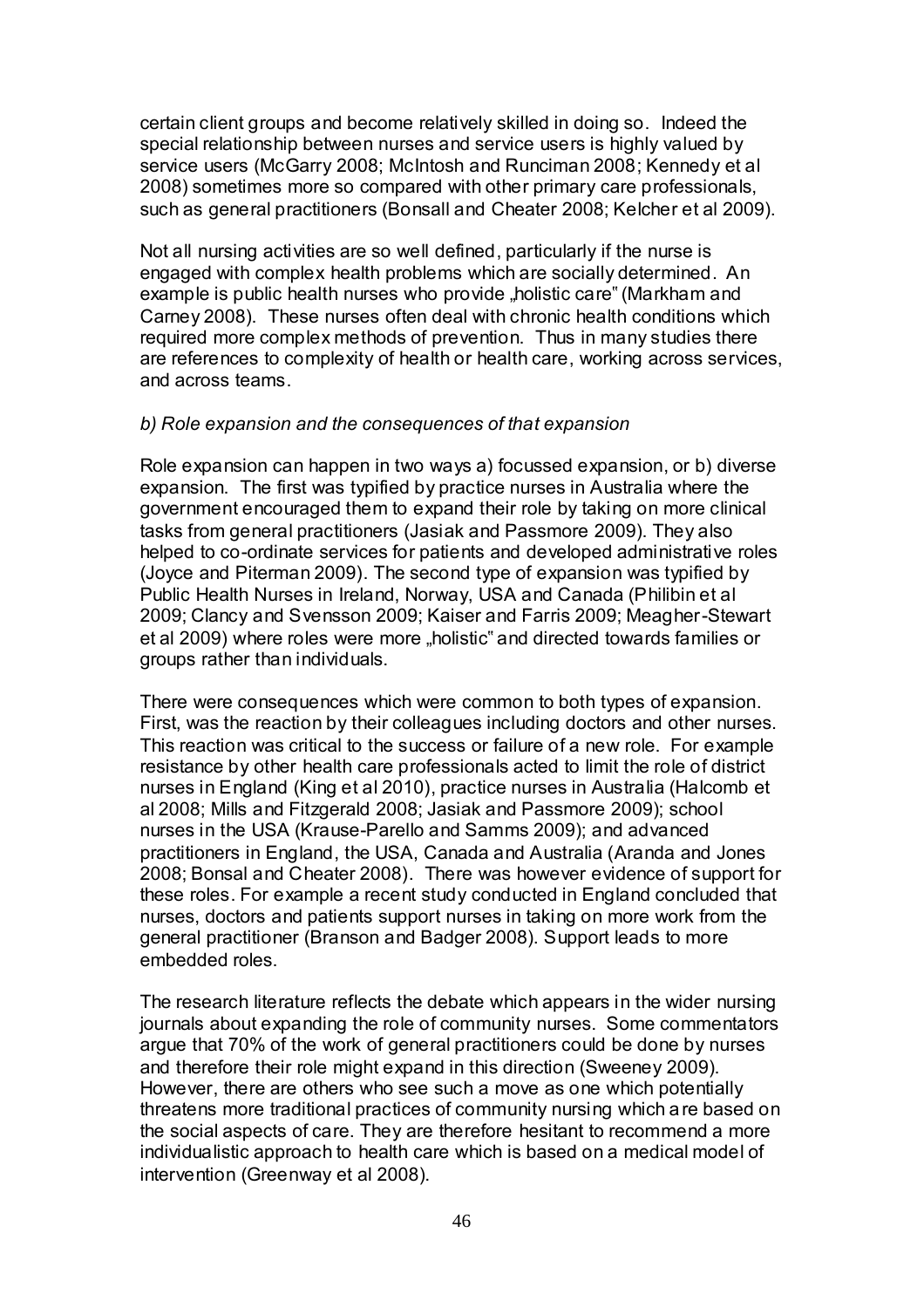certain client groups and become relatively skilled in doing so. Indeed the special relationship between nurses and service users is highly valued by service users (McGarry 2008; McIntosh and Runciman 2008; Kennedy et al 2008) sometimes more so compared with other primary care professionals, such as general practitioners (Bonsall and Cheater 2008; Kelcher et al 2009).

Not all nursing activities are so well defined, particularly if the nurse is engaged with complex health problems which are socially determined. An example is public health nurses who provide "holistic care" (Markham and Carney 2008). These nurses often deal with chronic health conditions which required more complex methods of prevention. Thus in many studies there are references to complexity of health or health care, working across services, and across teams.

#### *b) Role expansion and the consequences of that expansion*

Role expansion can happen in two ways a) focussed expansion, or b) diverse expansion. The first was typified by practice nurses in Australia where the government encouraged them to expand their role by taking on more clinical tasks from general practitioners (Jasiak and Passmore 2009). They also helped to co-ordinate services for patients and developed administrative roles (Joyce and Piterman 2009). The second type of expansion was typified by Public Health Nurses in Ireland, Norway, USA and Canada (Philibin et al 2009; Clancy and Svensson 2009; Kaiser and Farris 2009; Meagher-Stewart et al 2009) where roles were more "holistic" and directed towards families or groups rather than individuals.

There were consequences which were common to both types of expansion. First, was the reaction by their colleagues including doctors and other nurses. This reaction was critical to the success or failure of a new role. For example resistance by other health care professionals acted to limit the role of district nurses in England (King et al 2010), practice nurses in Australia (Halcomb et al 2008; Mills and Fitzgerald 2008; Jasiak and Passmore 2009); school nurses in the USA (Krause-Parello and Samms 2009); and advanced practitioners in England, the USA, Canada and Australia (Aranda and Jones 2008; Bonsal and Cheater 2008). There was however evidence of support for these roles. For example a recent study conducted in England concluded that nurses, doctors and patients support nurses in taking on more work from the general practitioner (Branson and Badger 2008). Support leads to more embedded roles.

The research literature reflects the debate which appears in the wider nursing journals about expanding the role of community nurses. Some commentators argue that 70% of the work of general practitioners could be done by nurses and therefore their role might expand in this direction (Sweeney 2009). However, there are others who see such a move as one which potentially threatens more traditional practices of community nursing which are based on the social aspects of care. They are therefore hesitant to recommend a more individualistic approach to health care which is based on a medical model of intervention (Greenway et al 2008).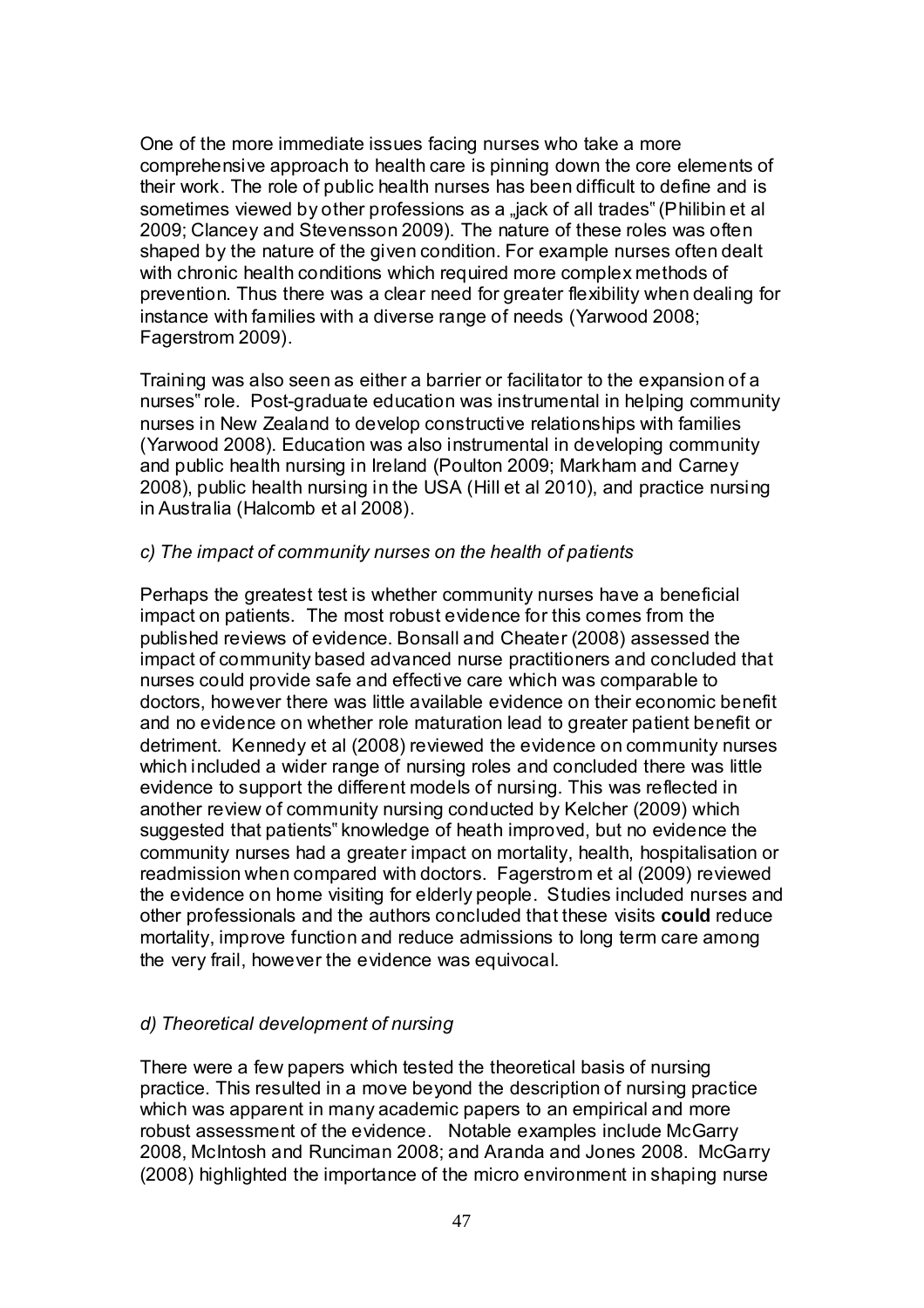One of the more immediate issues facing nurses who take a more comprehensive approach to health care is pinning down the core elements of their work. The role of public health nurses has been difficult to define and is sometimes viewed by other professions as a "jack of all trades" (Philibin et al 2009; Clancey and Stevensson 2009). The nature of these roles was often shaped by the nature of the given condition. For example nurses often dealt with chronic health conditions which required more complex methods of prevention. Thus there was a clear need for greater flexibility when dealing for instance with families with a diverse range of needs (Yarwood 2008; Fagerstrom 2009).

Training was also seen as either a barrier or facilitator to the expansion of a nurses" role. Post-graduate education was instrumental in helping community nurses in New Zealand to develop constructive relationships with families (Yarwood 2008). Education was also instrumental in developing community and public health nursing in Ireland (Poulton 2009; Markham and Carney 2008), public health nursing in the USA (Hill et al 2010), and practice nursing in Australia (Halcomb et al 2008).

## *c) The impact of community nurses on the health of patients*

Perhaps the greatest test is whether community nurses have a beneficial impact on patients. The most robust evidence for this comes from the published reviews of evidence. Bonsall and Cheater (2008) assessed the impact of community based advanced nurse practitioners and concluded that nurses could provide safe and effective care which was comparable to doctors, however there was little available evidence on their economic benefit and no evidence on whether role maturation lead to greater patient benefit or detriment. Kennedy et al (2008) reviewed the evidence on community nurses which included a wider range of nursing roles and concluded there was little evidence to support the different models of nursing. This was reflected in another review of community nursing conducted by Kelcher (2009) which suggested that patients" knowledge of heath improved, but no evidence the community nurses had a greater impact on mortality, health, hospitalisation or readmission when compared with doctors. Fagerstrom et al (2009) reviewed the evidence on home visiting for elderly people. Studies included nurses and other professionals and the authors concluded that these visits **could** reduce mortality, improve function and reduce admissions to long term care among the very frail, however the evidence was equivocal.

## *d) Theoretical development of nursing*

There were a few papers which tested the theoretical basis of nursing practice. This resulted in a move beyond the description of nursing practice which was apparent in many academic papers to an empirical and more robust assessment of the evidence. Notable examples include McGarry 2008, McIntosh and Runciman 2008; and Aranda and Jones 2008. McGarry (2008) highlighted the importance of the micro environment in shaping nurse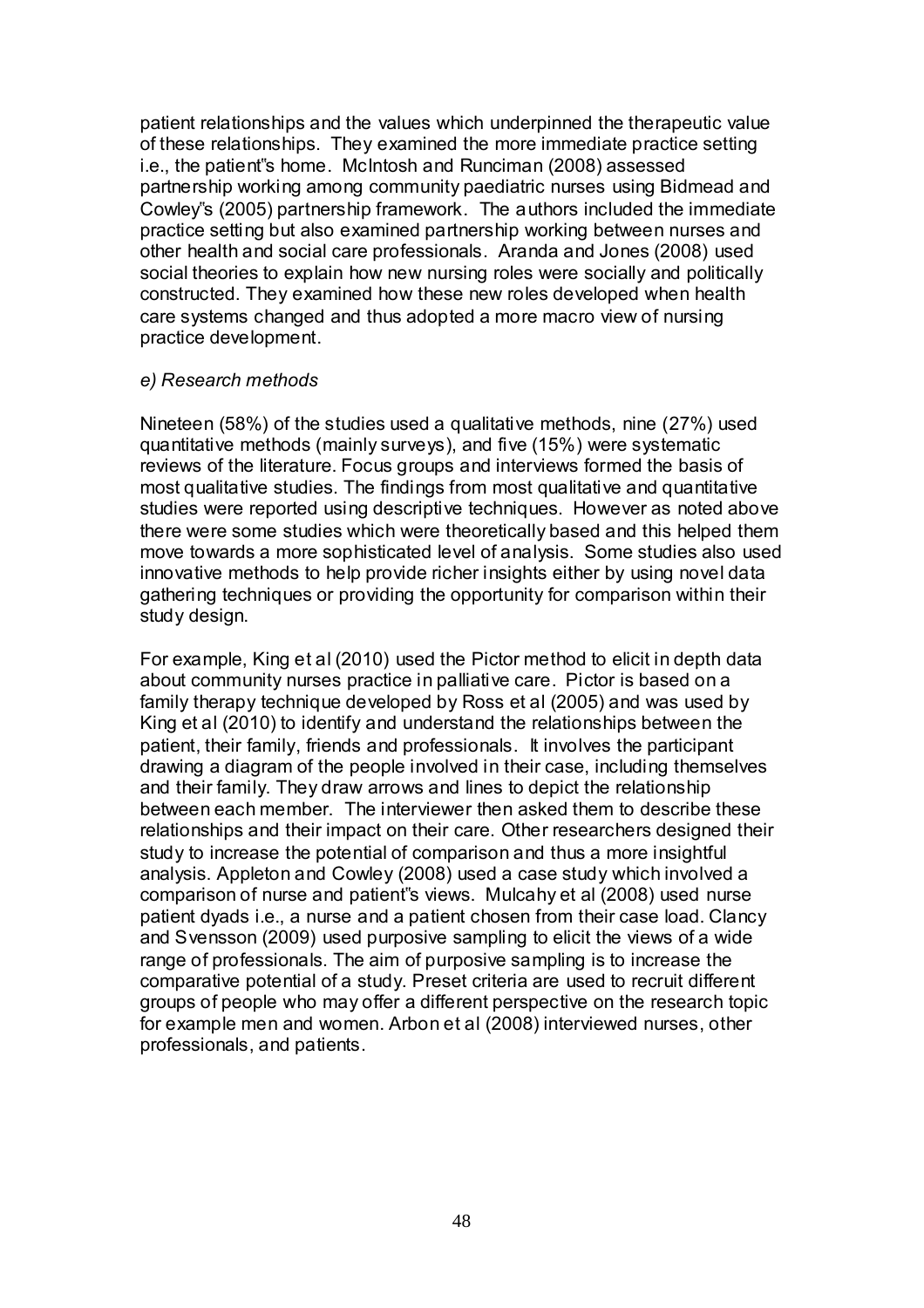patient relationships and the values which underpinned the therapeutic value of these relationships. They examined the more immediate practice setting i.e., the patient"s home. McIntosh and Runciman (2008) assessed partnership working among community paediatric nurses using Bidmead and Cowley"s (2005) partnership framework. The authors included the immediate practice setting but also examined partnership working between nurses and other health and social care professionals. Aranda and Jones (2008) used social theories to explain how new nursing roles were socially and politically constructed. They examined how these new roles developed when health care systems changed and thus adopted a more macro view of nursing practice development.

#### *e) Research methods*

Nineteen (58%) of the studies used a qualitative methods, nine (27%) used quantitative methods (mainly surveys), and five (15%) were systematic reviews of the literature. Focus groups and interviews formed the basis of most qualitative studies. The findings from most qualitative and quantitative studies were reported using descriptive techniques. However as noted above there were some studies which were theoretically based and this helped them move towards a more sophisticated level of analysis. Some studies also used innovative methods to help provide richer insights either by using novel data gathering techniques or providing the opportunity for comparison within their study design.

For example, King et al (2010) used the Pictor method to elicit in depth data about community nurses practice in palliative care. Pictor is based on a family therapy technique developed by Ross et al (2005) and was used by King et al (2010) to identify and understand the relationships between the patient, their family, friends and professionals. It involves the participant drawing a diagram of the people involved in their case, including themselves and their family. They draw arrows and lines to depict the relationship between each member. The interviewer then asked them to describe these relationships and their impact on their care. Other researchers designed their study to increase the potential of comparison and thus a more insightful analysis. Appleton and Cowley (2008) used a case study which involved a comparison of nurse and patient"s views. Mulcahy et al (2008) used nurse patient dyads i.e., a nurse and a patient chosen from their case load. Clancy and Svensson (2009) used purposive sampling to elicit the views of a wide range of professionals. The aim of purposive sampling is to increase the comparative potential of a study. Preset criteria are used to recruit different groups of people who may offer a different perspective on the research topic for example men and women. Arbon et al (2008) interviewed nurses, other professionals, and patients.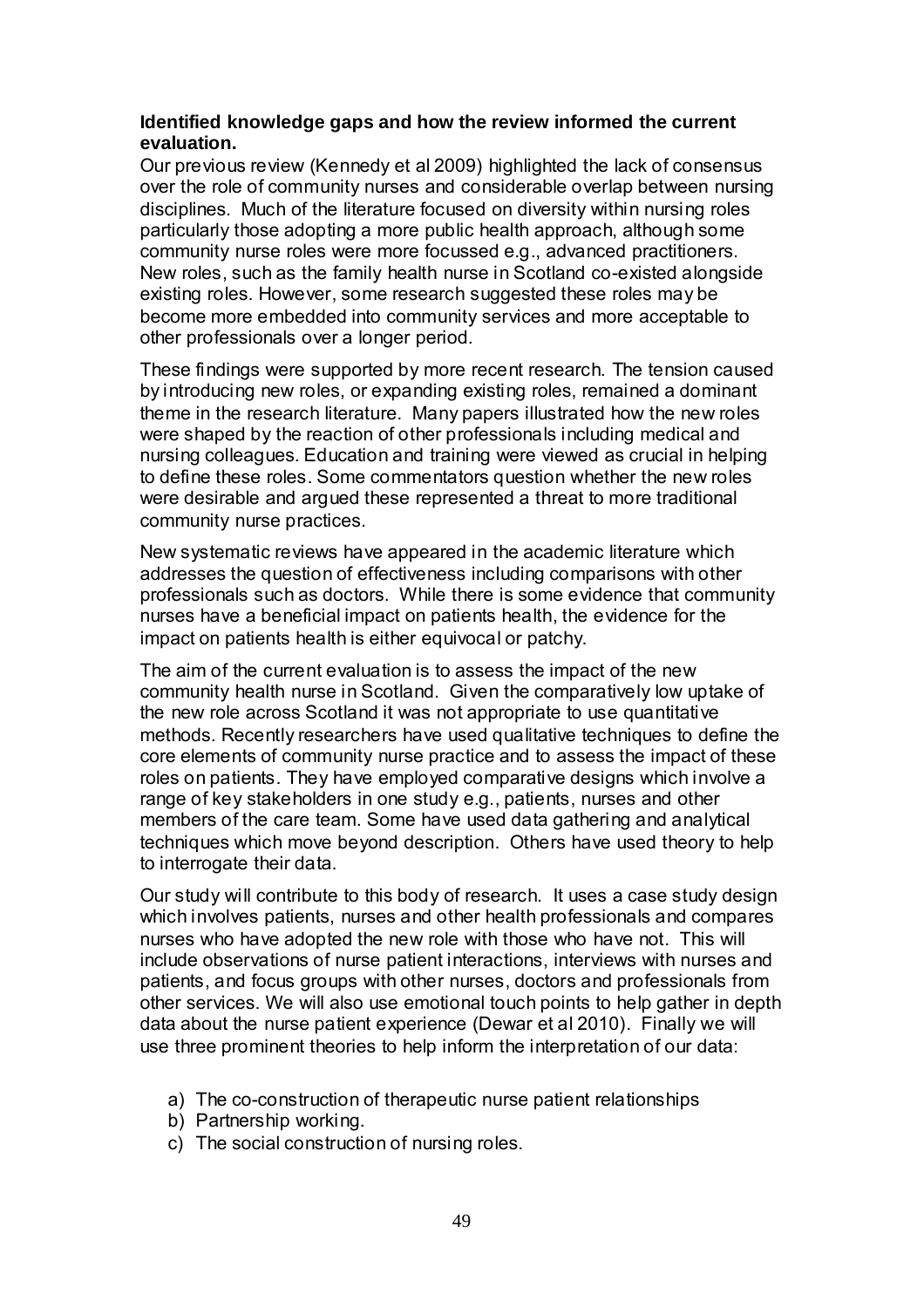### **Identified knowledge gaps and how the review informed the current evaluation.**

Our previous review (Kennedy et al 2009) highlighted the lack of consensus over the role of community nurses and considerable overlap between nursing disciplines. Much of the literature focused on diversity within nursing roles particularly those adopting a more public health approach, although some community nurse roles were more focussed e.g., advanced practitioners. New roles, such as the family health nurse in Scotland co-existed alongside existing roles. However, some research suggested these roles may be become more embedded into community services and more acceptable to other professionals over a longer period.

These findings were supported by more recent research. The tension caused by introducing new roles, or expanding existing roles, remained a dominant theme in the research literature. Many papers illustrated how the new roles were shaped by the reaction of other professionals including medical and nursing colleagues. Education and training were viewed as crucial in helping to define these roles. Some commentators question whether the new roles were desirable and argued these represented a threat to more traditional community nurse practices.

New systematic reviews have appeared in the academic literature which addresses the question of effectiveness including comparisons with other professionals such as doctors. While there is some evidence that community nurses have a beneficial impact on patients health, the evidence for the impact on patients health is either equivocal or patchy.

The aim of the current evaluation is to assess the impact of the new community health nurse in Scotland. Given the comparatively low uptake of the new role across Scotland it was not appropriate to use quantitative methods. Recently researchers have used qualitative techniques to define the core elements of community nurse practice and to assess the impact of these roles on patients. They have employed comparative designs which involve a range of key stakeholders in one study e.g., patients, nurses and other members of the care team. Some have used data gathering and analytical techniques which move beyond description. Others have used theory to help to interrogate their data.

Our study will contribute to this body of research. It uses a case study design which involves patients, nurses and other health professionals and compares nurses who have adopted the new role with those who have not. This will include observations of nurse patient interactions, interviews with nurses and patients, and focus groups with other nurses, doctors and professionals from other services. We will also use emotional touch points to help gather in depth data about the nurse patient experience (Dewar et al 2010). Finally we will use three prominent theories to help inform the interpretation of our data:

- a) The co-construction of therapeutic nurse patient relationships
- b) Partnership working.
- c) The social construction of nursing roles.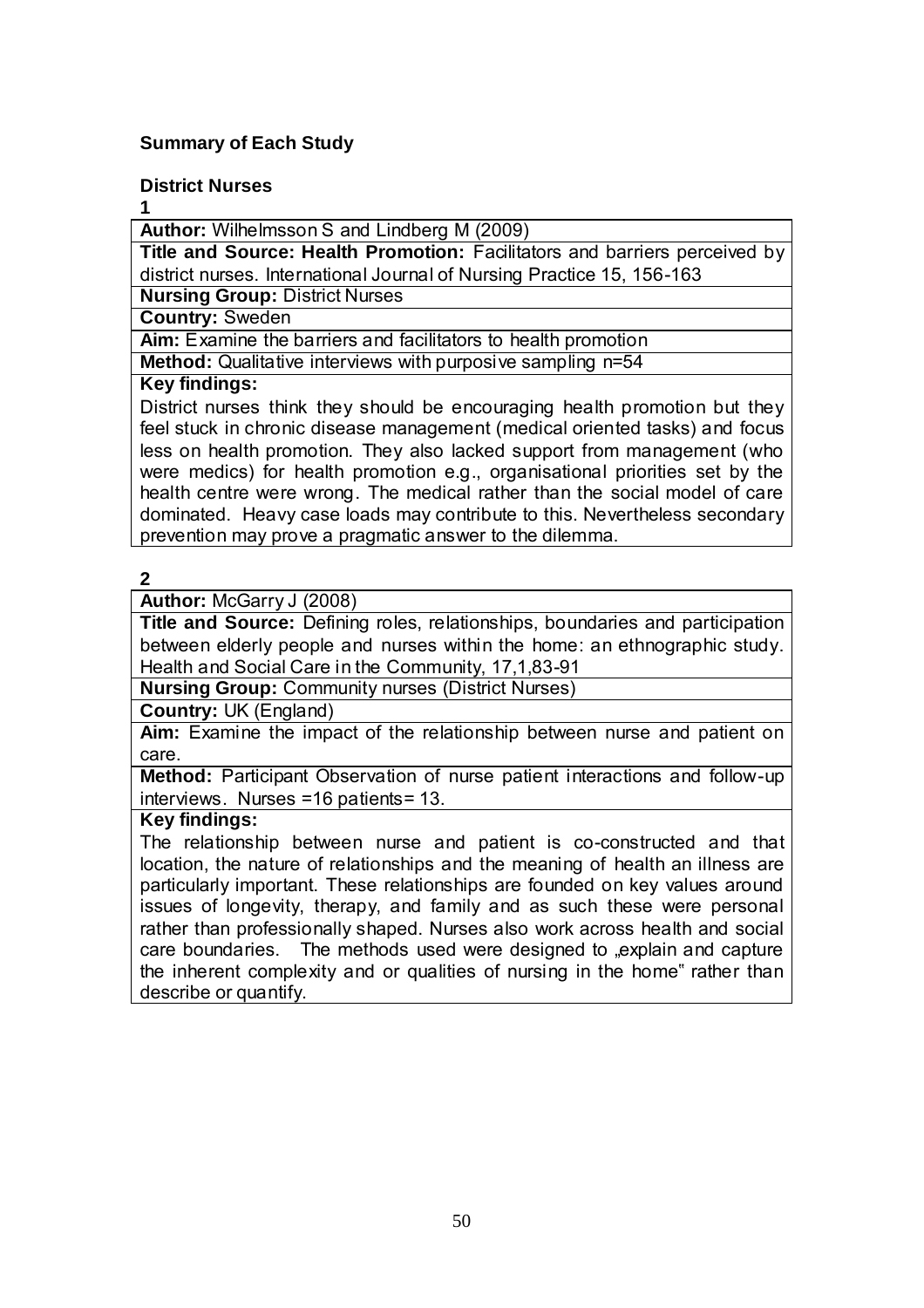## **Summary of Each Study**

#### **District Nurses**

**1** 

**Author:** Wilhelmsson S and Lindberg M (2009)

**Title and Source: Health Promotion:** Facilitators and barriers perceived by district nurses. International Journal of Nursing Practice 15, 156-163

**Nursing Group:** District Nurses

**Country:** Sweden

**Aim:** Examine the barriers and facilitators to health promotion

**Method:** Qualitative interviews with purposive sampling n=54

## **Key findings:**

District nurses think they should be encouraging health promotion but they feel stuck in chronic disease management (medical oriented tasks) and focus less on health promotion. They also lacked support from management (who were medics) for health promotion e.g., organisational priorities set by the health centre were wrong. The medical rather than the social model of care dominated. Heavy case loads may contribute to this. Nevertheless secondary prevention may prove a pragmatic answer to the dilemma.

## **2**

## **Author:** McGarry J (2008)

**Title and Source:** Defining roles, relationships, boundaries and participation between elderly people and nurses within the home: an ethnographic study. Health and Social Care in the Community, 17,1,83-91

**Nursing Group:** Community nurses (District Nurses)

**Country:** UK (England)

**Aim:** Examine the impact of the relationship between nurse and patient on care.

**Method:** Participant Observation of nurse patient interactions and follow-up interviews. Nurses =16 patients= 13.

## **Key findings:**

The relationship between nurse and patient is co-constructed and that location, the nature of relationships and the meaning of health an illness are particularly important. These relationships are founded on key values around issues of longevity, therapy, and family and as such these were personal rather than professionally shaped. Nurses also work across health and social care boundaries. The methods used were designed to "explain and capture the inherent complexity and or qualities of nursing in the home" rather than describe or quantify.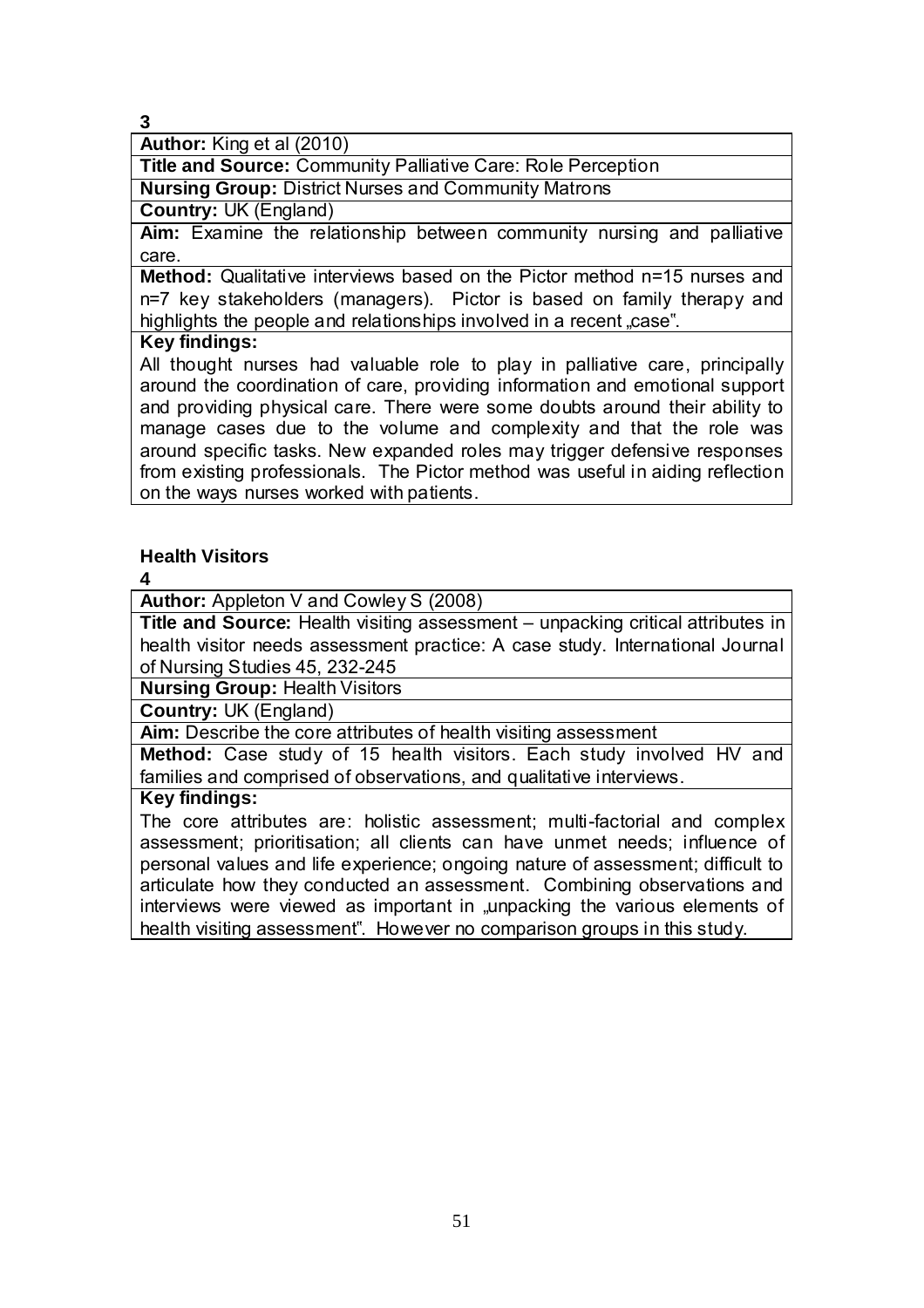**Author:** King et al (2010)

**Title and Source:** Community Palliative Care: Role Perception **Nursing Group:** District Nurses and Community Matrons

**Country:** UK (England)

**Aim:** Examine the relationship between community nursing and palliative care.

**Method:** Qualitative interviews based on the Pictor method n=15 nurses and n=7 key stakeholders (managers). Pictor is based on family therapy and highlights the people and relationships involved in a recent case".

## **Key findings:**

All thought nurses had valuable role to play in palliative care, principally around the coordination of care, providing information and emotional support and providing physical care. There were some doubts around their ability to manage cases due to the volume and complexity and that the role was around specific tasks. New expanded roles may trigger defensive responses from existing professionals. The Pictor method was useful in aiding reflection on the ways nurses worked with patients.

## **Health Visitors**

**4** 

**Author:** Appleton V and Cowley S (2008)

**Title and Source:** Health visiting assessment – unpacking critical attributes in health visitor needs assessment practice: A case study. International Journal of Nursing Studies 45, 232-245

**Nursing Group:** Health Visitors

**Country:** UK (England)

**Aim:** Describe the core attributes of health visiting assessment

**Method:** Case study of 15 health visitors. Each study involved HV and families and comprised of observations, and qualitative interviews.

#### **Key findings:**

The core attributes are: holistic assessment; multi-factorial and complex assessment; prioritisation; all clients can have unmet needs; influence of personal values and life experience; ongoing nature of assessment; difficult to articulate how they conducted an assessment. Combining observations and interviews were viewed as important in "unpacking the various elements of health visiting assessment". However no comparison groups in this study.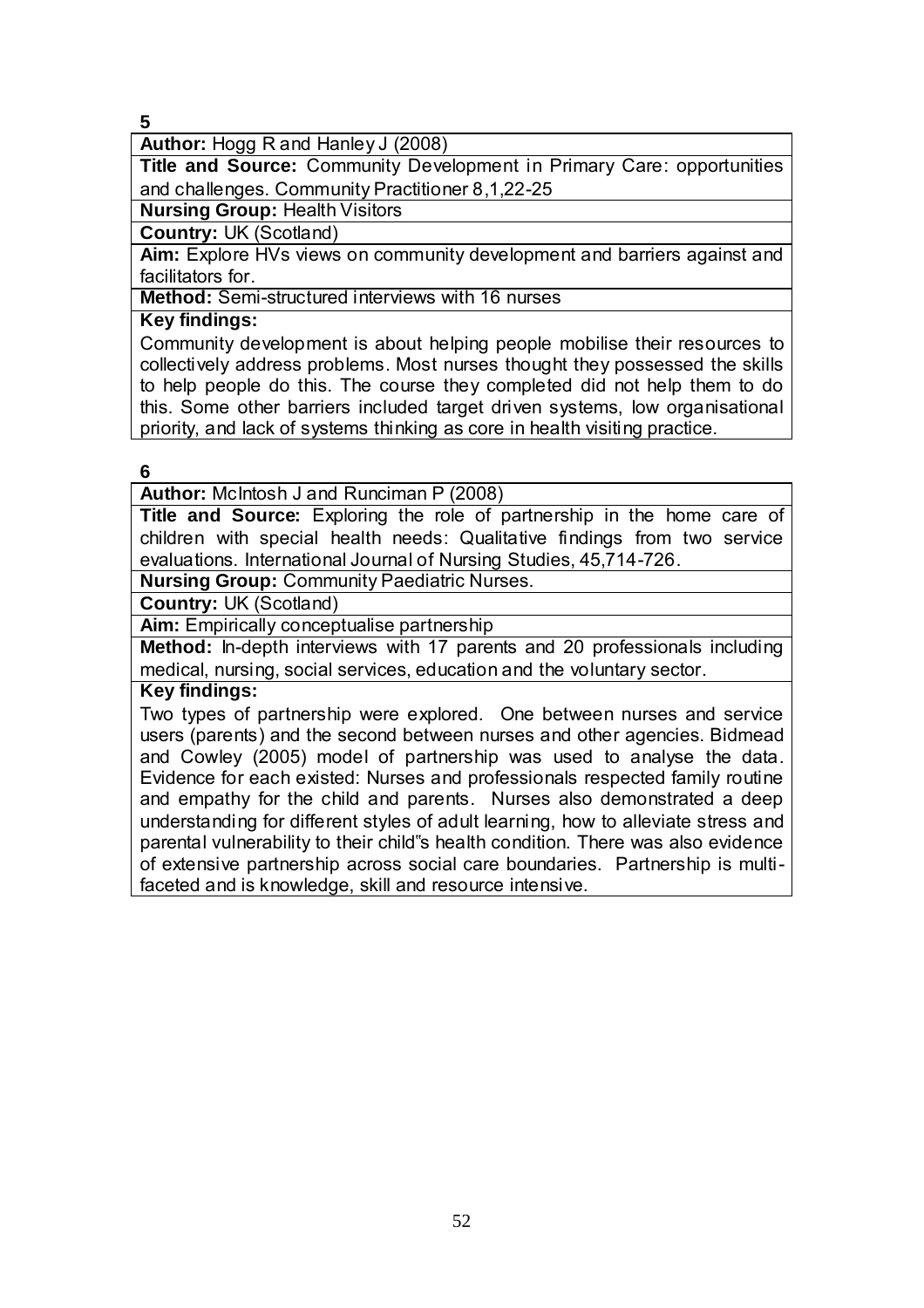**Author:** Hogg R and Hanley J (2008)

**Title and Source:** Community Development in Primary Care: opportunities and challenges. Community Practitioner 8,1,22-25

**Nursing Group:** Health Visitors

**Country:** UK (Scotland)

**Aim:** Explore HVs views on community development and barriers against and facilitators for.

**Method:** Semi-structured interviews with 16 nurses

#### **Key findings:**

Community development is about helping people mobilise their resources to collectively address problems. Most nurses thought they possessed the skills to help people do this. The course they completed did not help them to do this. Some other barriers included target driven systems, low organisational priority, and lack of systems thinking as core in health visiting practice.

#### **6**

**Author:** McIntosh J and Runciman P (2008)

**Title and Source:** Exploring the role of partnership in the home care of children with special health needs: Qualitative findings from two service evaluations. International Journal of Nursing Studies, 45,714-726.

**Nursing Group:** Community Paediatric Nurses.

**Country:** UK (Scotland)

**Aim:** Empirically conceptualise partnership

**Method:** In-depth interviews with 17 parents and 20 professionals including medical, nursing, social services, education and the voluntary sector.

**Key findings:**

Two types of partnership were explored. One between nurses and service users (parents) and the second between nurses and other agencies. Bidmead and Cowley (2005) model of partnership was used to analyse the data. Evidence for each existed: Nurses and professionals respected family routine and empathy for the child and parents. Nurses also demonstrated a deep understanding for different styles of adult learning, how to alleviate stress and parental vulnerability to their child"s health condition. There was also evidence of extensive partnership across social care boundaries. Partnership is multifaceted and is knowledge, skill and resource intensive.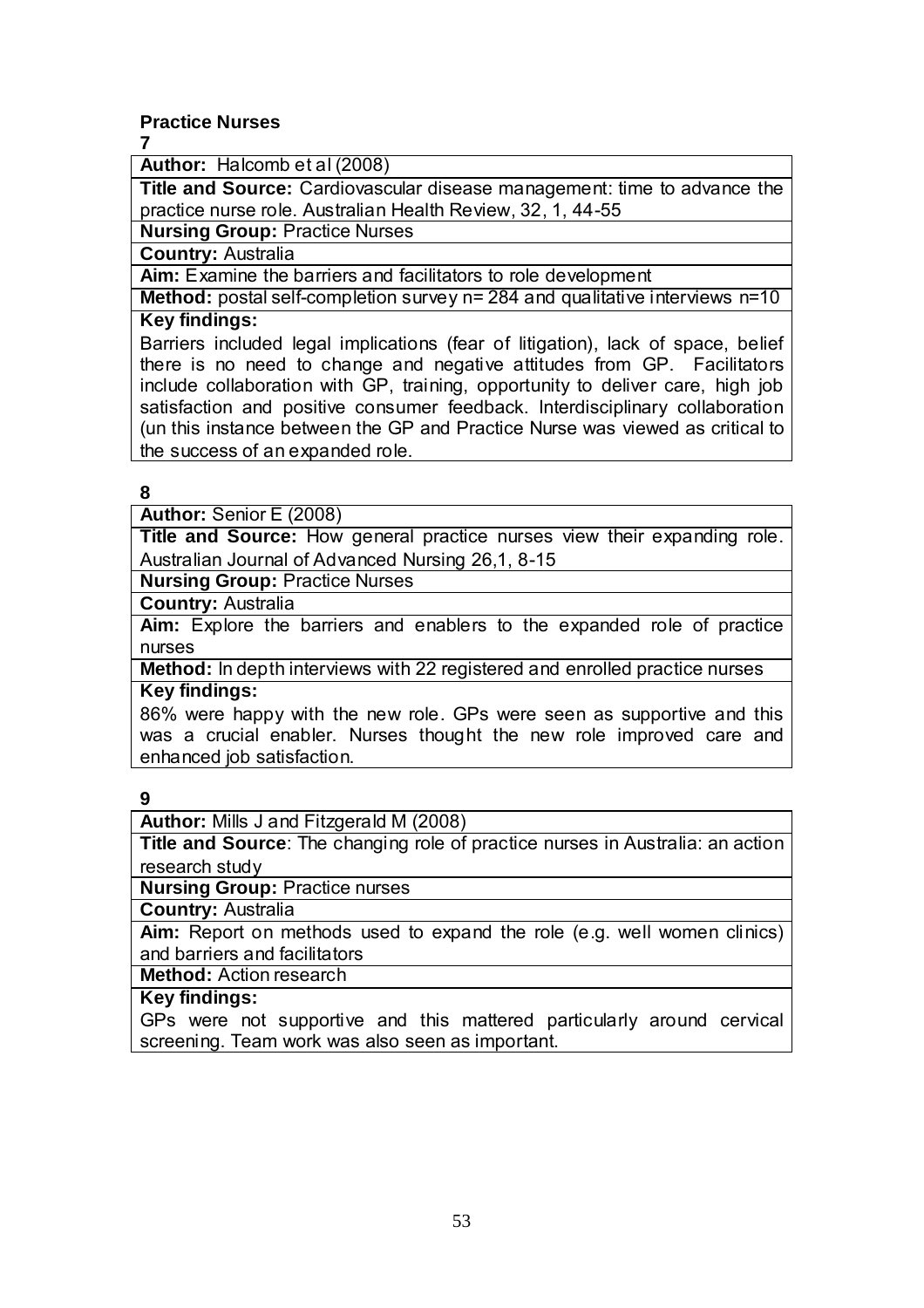## **Practice Nurses**

**7** 

**Author:** Halcomb et al (2008)

**Title and Source:** Cardiovascular disease management: time to advance the practice nurse role. Australian Health Review, 32, 1, 44-55

**Nursing Group: Practice Nurses** 

**Country:** Australia

**Aim:** Examine the barriers and facilitators to role development

**Method:** postal self-completion survey n= 284 and qualitative interviews n=10 **Key findings:** 

Barriers included legal implications (fear of litigation), lack of space, belief there is no need to change and negative attitudes from GP. Facilitators include collaboration with GP, training, opportunity to deliver care, high job satisfaction and positive consumer feedback. Interdisciplinary collaboration (un this instance between the GP and Practice Nurse was viewed as critical to the success of an expanded role.

#### **8**

**Author:** Senior E (2008)

**Title and Source:** How general practice nurses view their expanding role. Australian Journal of Advanced Nursing 26,1, 8-15

**Nursing Group:** Practice Nurses

**Country:** Australia

**Aim:** Explore the barriers and enablers to the expanded role of practice nurses

**Method:** In depth interviews with 22 registered and enrolled practice nurses **Key findings:**

86% were happy with the new role. GPs were seen as supportive and this was a crucial enabler. Nurses thought the new role improved care and enhanced job satisfaction.

## **9**

**Author:** Mills J and Fitzgerald M (2008)

**Title and Source**: The changing role of practice nurses in Australia: an action research study

**Nursing Group: Practice nurses** 

**Country:** Australia

Aim: Report on methods used to expand the role (e.g. well women clinics) and barriers and facilitators

**Method:** Action research

## **Key findings:**

GPs were not supportive and this mattered particularly around cervical screening. Team work was also seen as important.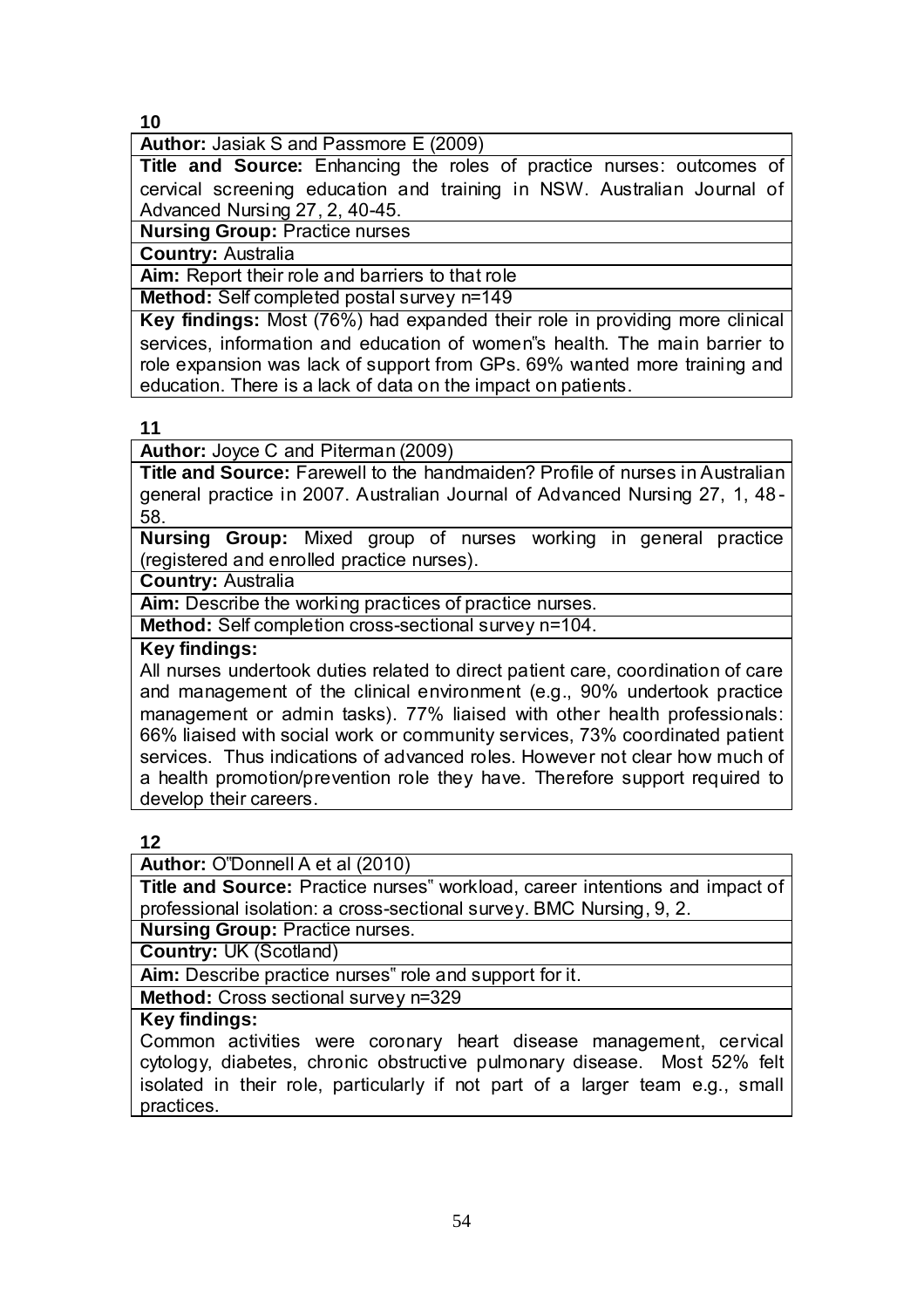**Author:** Jasiak S and Passmore E (2009)

**Title and Source:** Enhancing the roles of practice nurses: outcomes of cervical screening education and training in NSW. Australian Journal of Advanced Nursing 27, 2, 40-45.

**Nursing Group: Practice nurses** 

**Country:** Australia

**Aim:** Report their role and barriers to that role

**Method:** Self completed postal survey n=149

**Key findings:** Most (76%) had expanded their role in providing more clinical services, information and education of women"s health. The main barrier to role expansion was lack of support from GPs. 69% wanted more training and education. There is a lack of data on the impact on patients.

**11**

**Author:** Joyce C and Piterman (2009)

**Title and Source:** Farewell to the handmaiden? Profile of nurses in Australian general practice in 2007. Australian Journal of Advanced Nursing 27, 1, 48 - 58.

**Nursing Group:** Mixed group of nurses working in general practice (registered and enrolled practice nurses).

**Country:** Australia

Aim: Describe the working practices of practice nurses.

**Method:** Self completion cross-sectional survey n=104.

### **Key findings:**

All nurses undertook duties related to direct patient care, coordination of care and management of the clinical environment (e.g., 90% undertook practice management or admin tasks). 77% liaised with other health professionals: 66% liaised with social work or community services, 73% coordinated patient services. Thus indications of advanced roles. However not clear how much of a health promotion/prevention role they have. Therefore support required to develop their careers.

#### **12**

**Author:** O"Donnell A et al (2010)

**Title and Source:** Practice nurses" workload, career intentions and impact of professional isolation: a cross-sectional survey. BMC Nursing, 9, 2.

**Nursing Group: Practice nurses.** 

**Country:** UK (Scotland)

**Aim:** Describe practice nurses" role and support for it.

**Method:** Cross sectional survey n=329

#### **Key findings:**

Common activities were coronary heart disease management, cervical cytology, diabetes, chronic obstructive pulmonary disease. Most 52% felt isolated in their role, particularly if not part of a larger team e.g., small practices.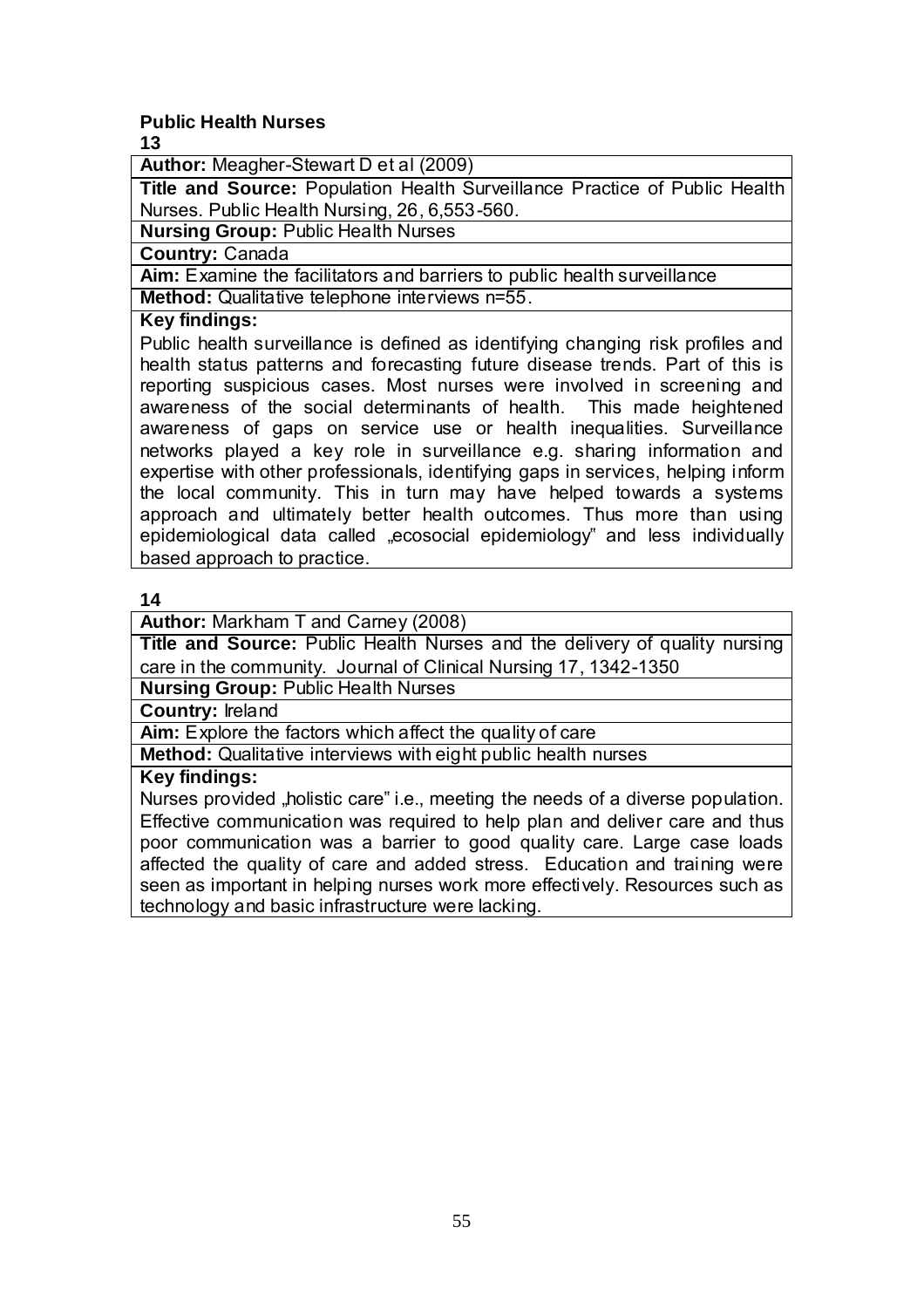## **Public Health Nurses**

**13**

**Author:** Meagher-Stewart D et al (2009)

**Title and Source:** Population Health Surveillance Practice of Public Health Nurses. Public Health Nursing, 26, 6,553-560.

**Nursing Group:** Public Health Nurses

**Country:** Canada

**Aim:** Examine the facilitators and barriers to public health surveillance

**Method:** Qualitative telephone interviews n=55.

#### **Key findings:**

Public health surveillance is defined as identifying changing risk profiles and health status patterns and forecasting future disease trends. Part of this is reporting suspicious cases. Most nurses were involved in screening and awareness of the social determinants of health. This made heightened awareness of gaps on service use or health inequalities. Surveillance networks played a key role in surveillance e.g. sharing information and expertise with other professionals, identifying gaps in services, helping inform the local community. This in turn may have helped towards a systems approach and ultimately better health outcomes. Thus more than using epidemiological data called "ecosocial epidemiology" and less individually based approach to practice.

**14**

**Author:** Markham T and Carney (2008)

**Title and Source:** Public Health Nurses and the delivery of quality nursing care in the community. Journal of Clinical Nursing 17, 1342-1350

**Nursing Group:** Public Health Nurses

**Country:** Ireland

**Aim:** Explore the factors which affect the quality of care

**Method:** Qualitative interviews with eight public health nurses

### **Key findings:**

Nurses provided "holistic care" i.e., meeting the needs of a diverse population. Effective communication was required to help plan and deliver care and thus poor communication was a barrier to good quality care. Large case loads affected the quality of care and added stress. Education and training were seen as important in helping nurses work more effectively. Resources such as technology and basic infrastructure were lacking.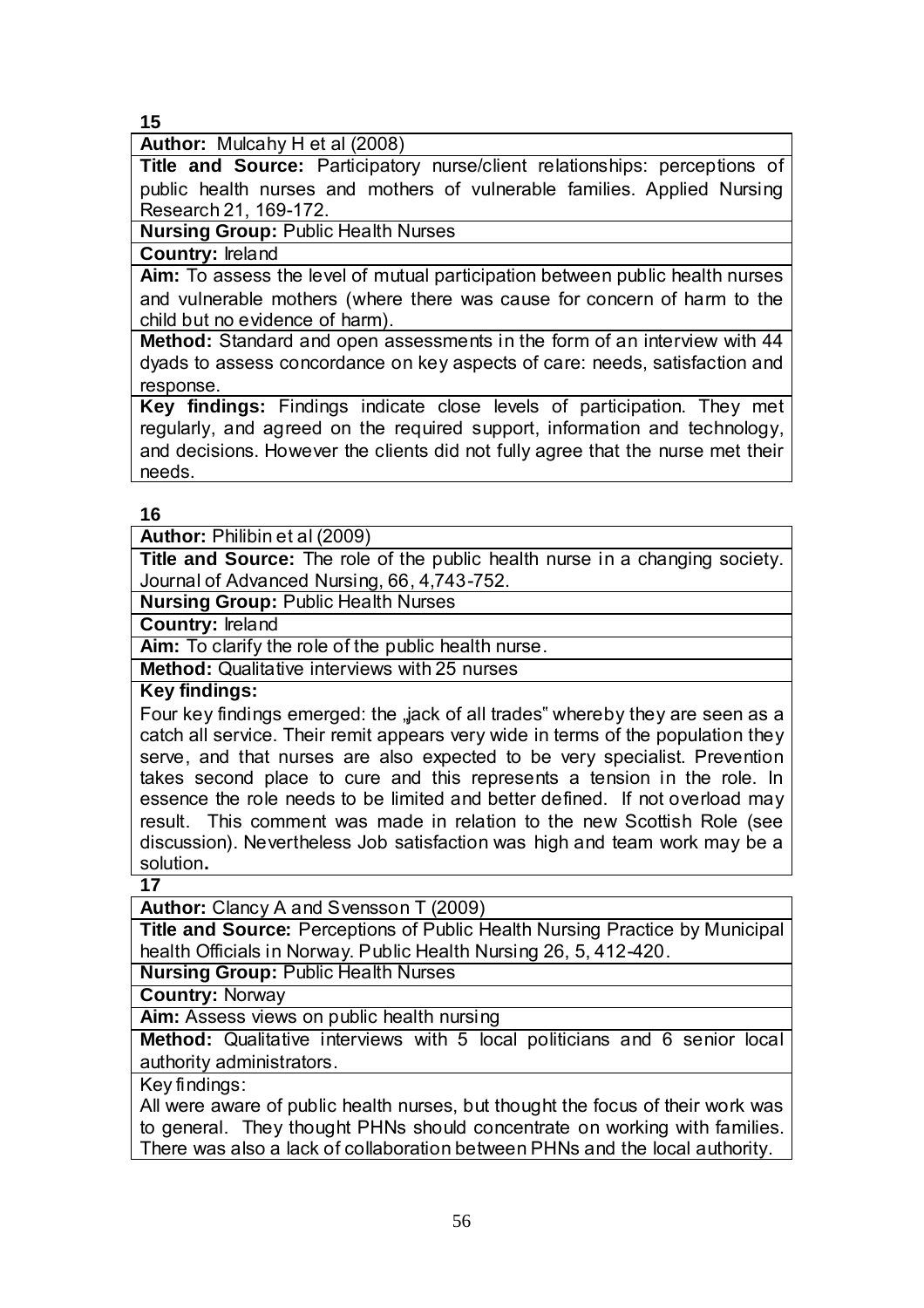**Author:** Mulcahy H et al (2008)

**Title and Source:** Participatory nurse/client relationships: perceptions of public health nurses and mothers of vulnerable families. Applied Nursing Research 21, 169-172.

**Nursing Group:** Public Health Nurses

#### **Country:** Ireland

**Aim:** To assess the level of mutual participation between public health nurses and vulnerable mothers (where there was cause for concern of harm to the child but no evidence of harm).

**Method:** Standard and open assessments in the form of an interview with 44 dyads to assess concordance on key aspects of care: needs, satisfaction and response.

**Key findings:** Findings indicate close levels of participation. They met regularly, and agreed on the required support, information and technology, and decisions. However the clients did not fully agree that the nurse met their needs.

#### **16**

**Author:** Philibin et al (2009)

**Title and Source:** The role of the public health nurse in a changing society. Journal of Advanced Nursing, 66, 4,743-752.

**Nursing Group:** Public Health Nurses

**Country:** Ireland

**Aim:** To clarify the role of the public health nurse.

**Method:** Qualitative interviews with 25 nurses

**Key findings:**

Four key findings emerged: the "jack of all trades" whereby they are seen as a catch all service. Their remit appears very wide in terms of the population they serve, and that nurses are also expected to be very specialist. Prevention takes second place to cure and this represents a tension in the role. In essence the role needs to be limited and better defined. If not overload may result. This comment was made in relation to the new Scottish Role (see discussion). Nevertheless Job satisfaction was high and team work may be a solution**.** 

**17**

**Author:** Clancy A and Svensson T (2009)

**Title and Source:** Perceptions of Public Health Nursing Practice by Municipal health Officials in Norway. Public Health Nursing 26, 5, 412-420.

**Nursing Group:** Public Health Nurses

**Country:** Norway

**Aim:** Assess views on public health nursing

**Method:** Qualitative interviews with 5 local politicians and 6 senior local authority administrators.

Key findings:

All were aware of public health nurses, but thought the focus of their work was to general. They thought PHNs should concentrate on working with families. There was also a lack of collaboration between PHNs and the local authority.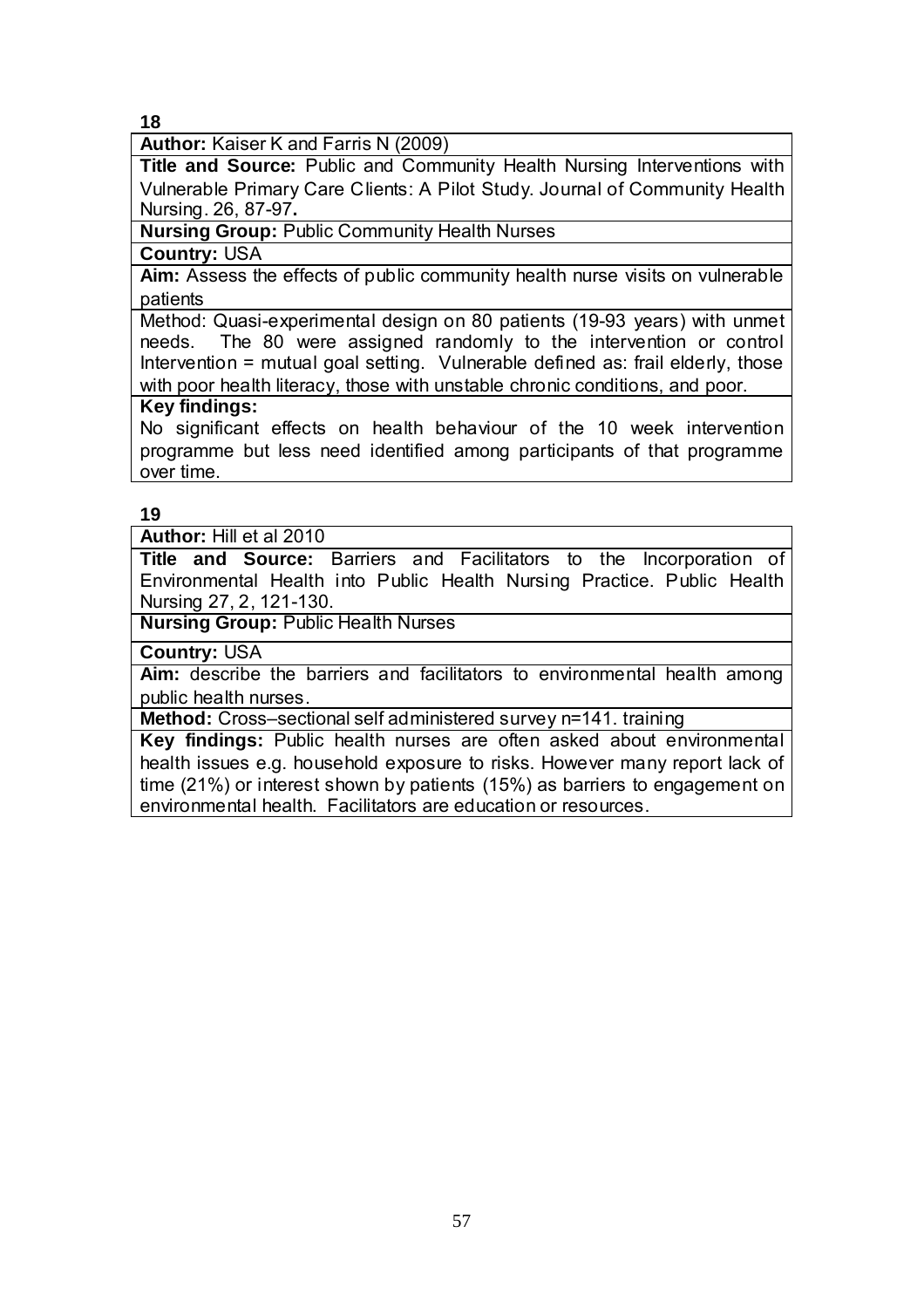**Author:** Kaiser K and Farris N (2009)

**Title and Source:** Public and Community Health Nursing Interventions with Vulnerable Primary Care Clients: A Pilot Study. Journal of Community Health Nursing. 26, 87-97**.**

#### **Nursing Group:** Public Community Health Nurses

**Country:** USA

**Aim:** Assess the effects of public community health nurse visits on vulnerable patients

Method: Quasi-experimental design on 80 patients (19-93 years) with unmet needs. The 80 were assigned randomly to the intervention or control Intervention = mutual goal setting. Vulnerable defined as: frail elderly, those with poor health literacy, those with unstable chronic conditions, and poor.

#### **Key findings:**

No significant effects on health behaviour of the 10 week intervention programme but less need identified among participants of that programme over time.

#### **19**

**Author:** Hill et al 2010

**Title and Source:** Barriers and Facilitators to the Incorporation of Environmental Health into Public Health Nursing Practice. Public Health Nursing 27, 2, 121-130.

**Nursing Group:** Public Health Nurses

**Country:** USA

**Aim:** describe the barriers and facilitators to environmental health among public health nurses.

**Method:** Cross–sectional self administered survey n=141. training

**Key findings:** Public health nurses are often asked about environmental health issues e.g. household exposure to risks. However many report lack of time (21%) or interest shown by patients (15%) as barriers to engagement on environmental health. Facilitators are education or resources.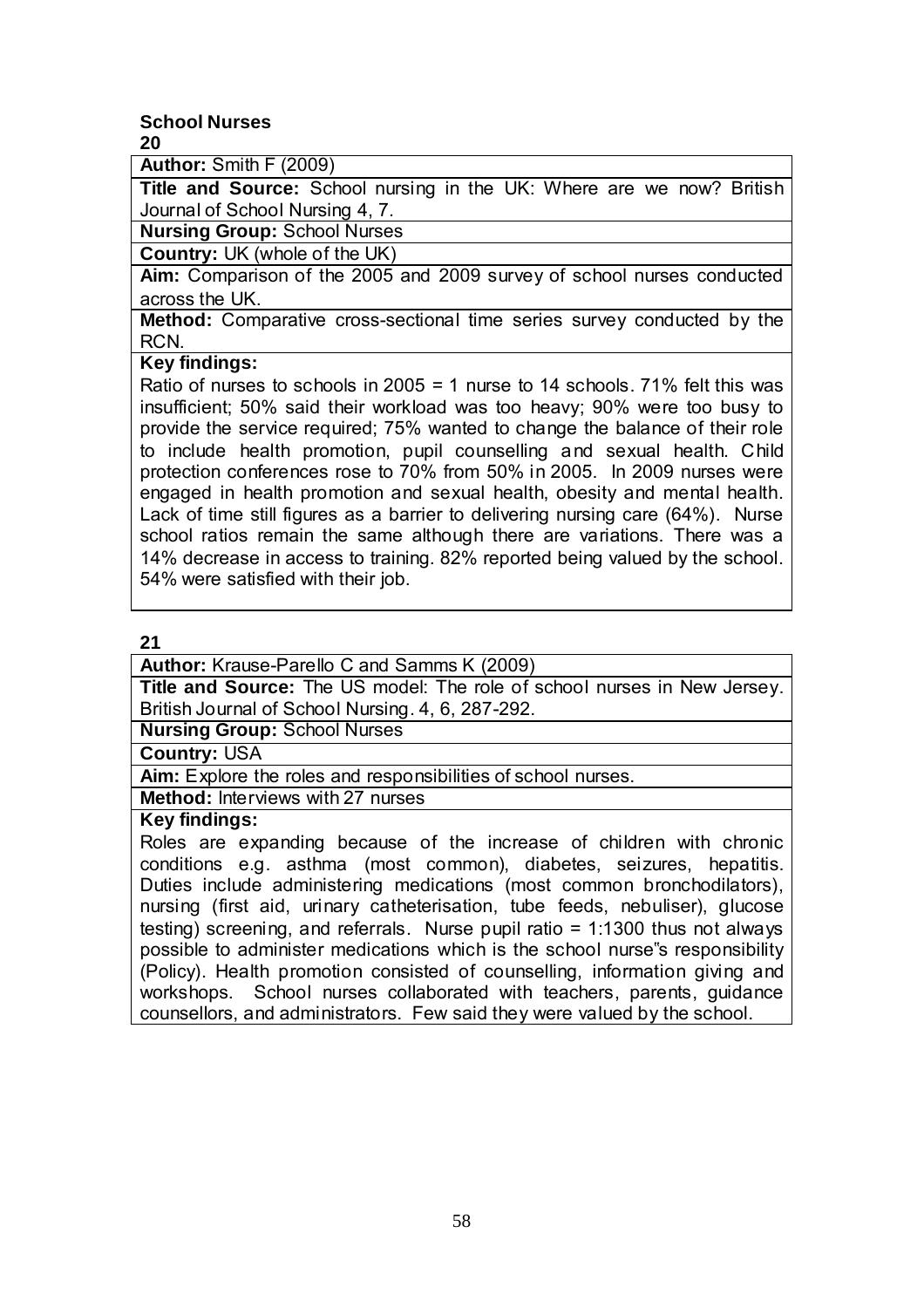#### **School Nurses 20**

**Author:** Smith F (2009)

**Title and Source:** School nursing in the UK: Where are we now? British Journal of School Nursing 4, 7.

**Nursing Group:** School Nurses

**Country:** UK (whole of the UK)

**Aim:** Comparison of the 2005 and 2009 survey of school nurses conducted across the UK.

**Method:** Comparative cross-sectional time series survey conducted by the RCN.

## **Key findings:**

Ratio of nurses to schools in 2005 = 1 nurse to 14 schools.  $71\%$  felt this was insufficient; 50% said their workload was too heavy; 90% were too busy to provide the service required; 75% wanted to change the balance of their role to include health promotion, pupil counselling and sexual health. Child protection conferences rose to 70% from 50% in 2005. In 2009 nurses were engaged in health promotion and sexual health, obesity and mental health. Lack of time still figures as a barrier to delivering nursing care (64%). Nurse school ratios remain the same although there are variations. There was a 14% decrease in access to training. 82% reported being valued by the school. 54% were satisfied with their job.

## **21**

**Author:** Krause-Parello C and Samms K (2009)

**Title and Source:** The US model: The role of school nurses in New Jersey. British Journal of School Nursing. 4, 6, 287-292.

**Nursing Group:** School Nurses

**Country:** USA

Aim: Explore the roles and responsibilities of school nurses.

**Method:** Interviews with 27 nurses

#### **Key findings:**

Roles are expanding because of the increase of children with chronic conditions e.g. asthma (most common), diabetes, seizures, hepatitis. Duties include administering medications (most common bronchodilators), nursing (first aid, urinary catheterisation, tube feeds, nebuliser), glucose testing) screening, and referrals. Nurse pupil ratio = 1:1300 thus not always possible to administer medications which is the school nurse"s responsibility (Policy). Health promotion consisted of counselling, information giving and workshops. School nurses collaborated with teachers, parents, guidance counsellors, and administrators. Few said they were valued by the school.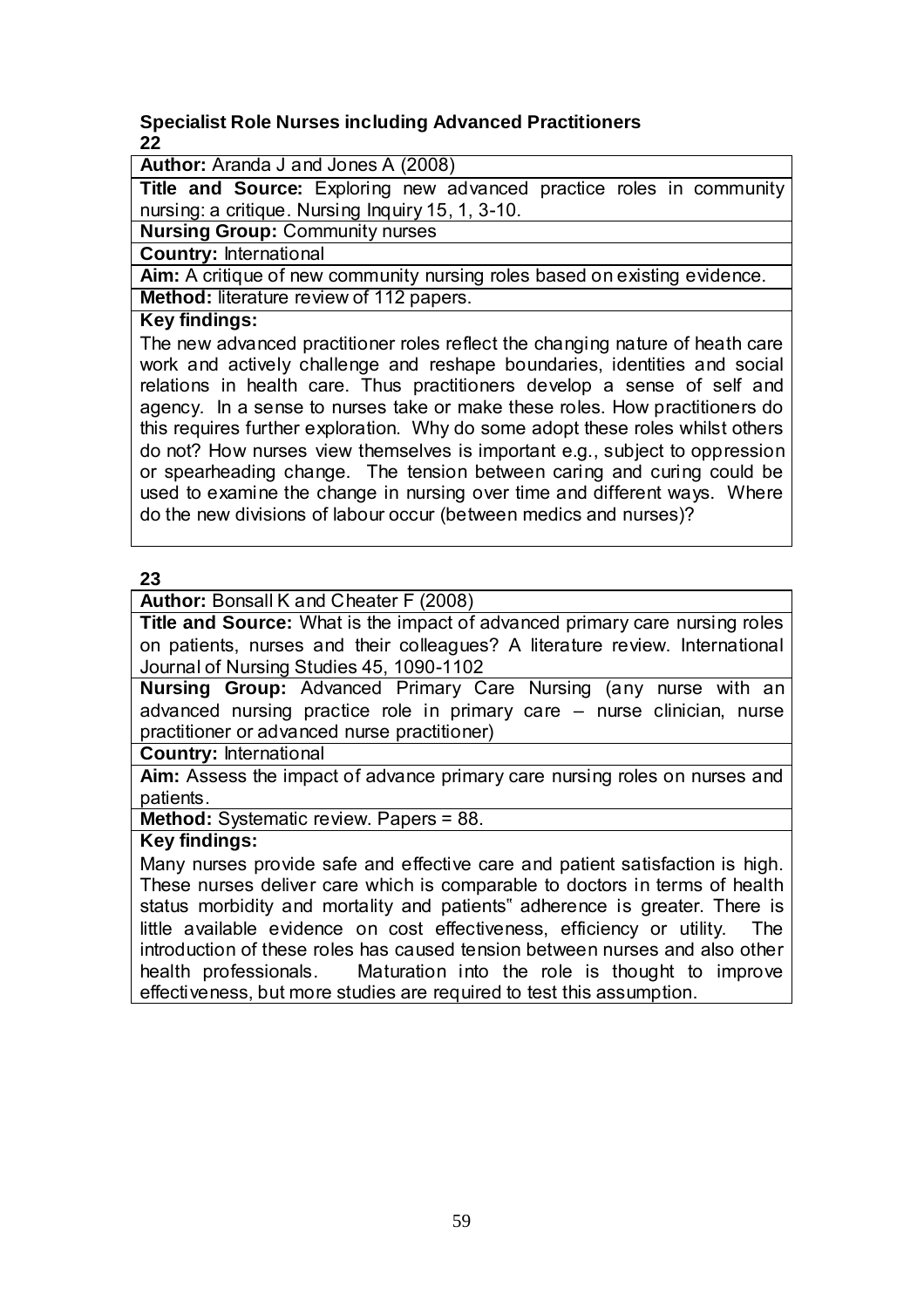### **Specialist Role Nurses including Advanced Practitioners 22**

**Author:** Aranda J and Jones A (2008)

**Title and Source:** Exploring new advanced practice roles in community nursing: a critique. Nursing Inquiry 15, 1, 3-10.

**Nursing Group:** Community nurses

**Country:** International

**Aim:** A critique of new community nursing roles based on existing evidence. **Method:** literature review of 112 papers.

#### **Key findings:**

The new advanced practitioner roles reflect the changing nature of heath care work and actively challenge and reshape boundaries, identities and social relations in health care. Thus practitioners develop a sense of self and agency. In a sense to nurses take or make these roles. How practitioners do this requires further exploration. Why do some adopt these roles whilst others do not? How nurses view themselves is important e.g., subject to oppression or spearheading change. The tension between caring and curing could be used to examine the change in nursing over time and different ways. Where do the new divisions of labour occur (between medics and nurses)?

#### **23**

**Author:** Bonsall K and Cheater F (2008)

**Title and Source:** What is the impact of advanced primary care nursing roles on patients, nurses and their colleagues? A literature review. International Journal of Nursing Studies 45, 1090-1102

**Nursing Group:** Advanced Primary Care Nursing (any nurse with an advanced nursing practice role in primary care – nurse clinician, nurse practitioner or advanced nurse practitioner)

**Country:** International

**Aim:** Assess the impact of advance primary care nursing roles on nurses and patients.

**Method:** Systematic review. Papers = 88.

#### **Key findings:**

Many nurses provide safe and effective care and patient satisfaction is high. These nurses deliver care which is comparable to doctors in terms of health status morbidity and mortality and patients" adherence is greater. There is little available evidence on cost effectiveness, efficiency or utility. The introduction of these roles has caused tension between nurses and also other health professionals. Maturation into the role is thought to improve effectiveness, but more studies are required to test this assumption.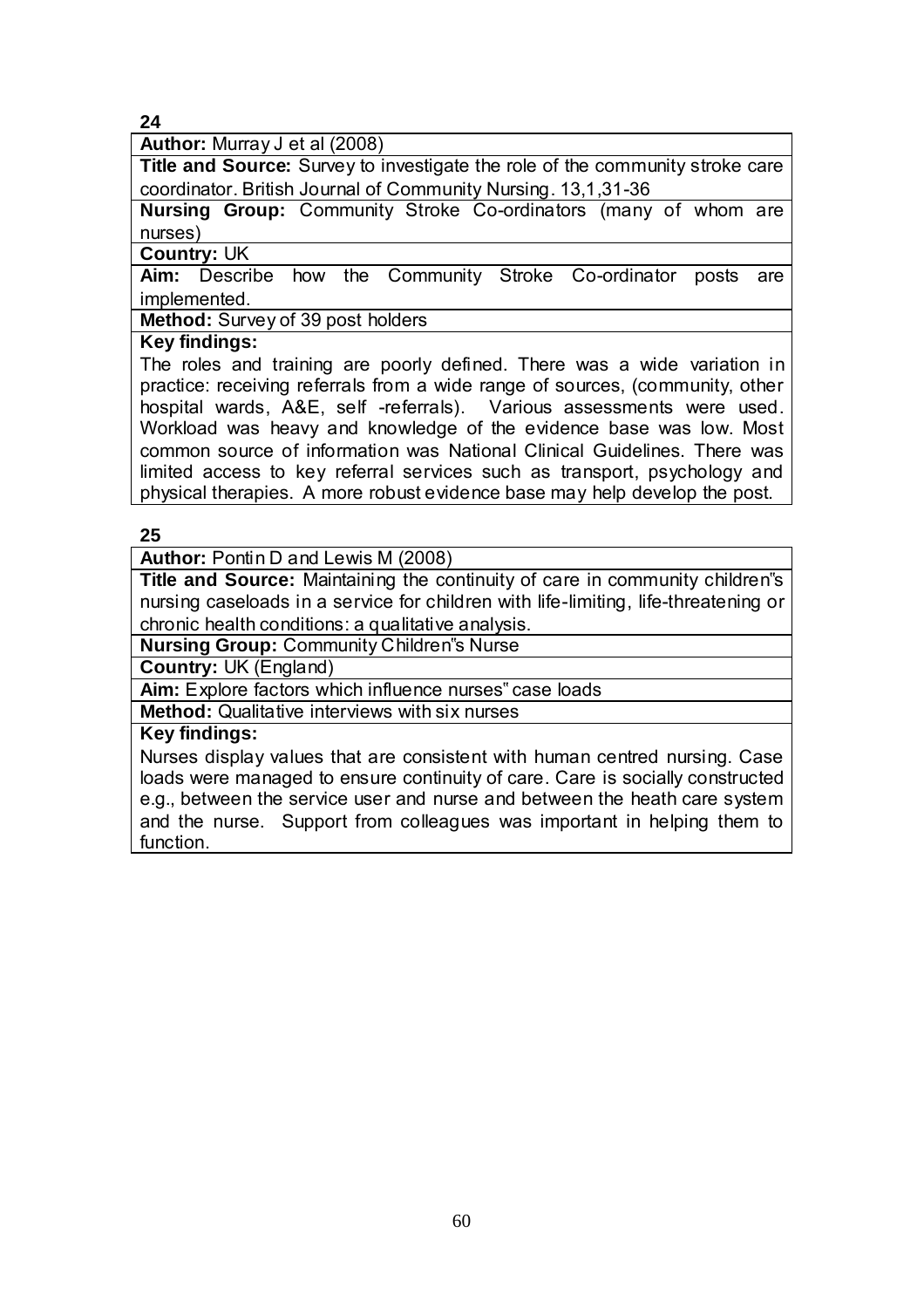**Author:** Murray J et al (2008)

**Title and Source:** Survey to investigate the role of the community stroke care coordinator. British Journal of Community Nursing. 13,1,31-36

**Nursing Group:** Community Stroke Co-ordinators (many of whom are nurses)

**Country:** UK

**Aim:** Describe how the Community Stroke Co-ordinator posts are implemented.

**Method:** Survey of 39 post holders

#### **Key findings:**

The roles and training are poorly defined. There was a wide variation in practice: receiving referrals from a wide range of sources, (community, other hospital wards, A&E, self -referrals). Various assessments were used. Workload was heavy and knowledge of the evidence base was low. Most common source of information was National Clinical Guidelines. There was limited access to key referral services such as transport, psychology and physical therapies. A more robust evidence base may help develop the post.

#### **25**

**Author:** Pontin D and Lewis M (2008)

**Title and Source:** Maintaining the continuity of care in community children"s nursing caseloads in a service for children with life-limiting, life-threatening or chronic health conditions: a qualitative analysis.

**Nursing Group:** Community Children"s Nurse

**Country:** UK (England)

**Aim:** Explore factors which influence nurses" case loads

**Method:** Qualitative interviews with six nurses

#### **Key findings:**

Nurses display values that are consistent with human centred nursing. Case loads were managed to ensure continuity of care. Care is socially constructed e.g., between the service user and nurse and between the heath care system and the nurse. Support from colleagues was important in helping them to function.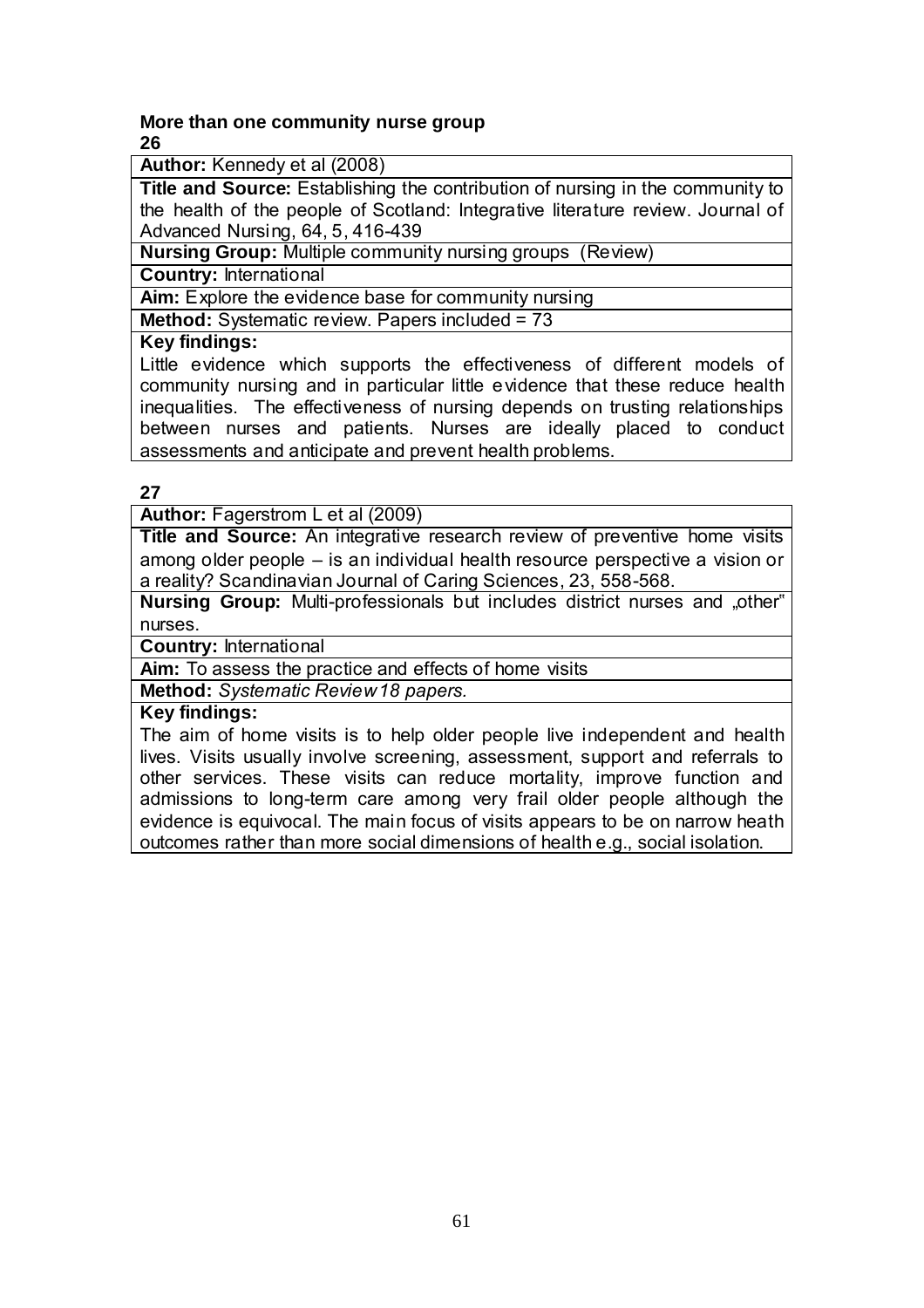#### **More than one community nurse group 26**

**Author:** Kennedy et al (2008)

**Title and Source:** Establishing the contribution of nursing in the community to the health of the people of Scotland: Integrative literature review. Journal of Advanced Nursing, 64, 5, 416-439

**Nursing Group:** Multiple community nursing groups (Review)

**Country:** International

**Aim:** Explore the evidence base for community nursing

**Method:** Systematic review. Papers included = 73

#### **Key findings:**

Little evidence which supports the effectiveness of different models of community nursing and in particular little evidence that these reduce health inequalities. The effectiveness of nursing depends on trusting relationships between nurses and patients. Nurses are ideally placed to conduct assessments and anticipate and prevent health problems.

#### **27**

**Author:** Fagerstrom L et al (2009)

**Title and Source:** An integrative research review of preventive home visits among older people – is an individual health resource perspective a vision or a reality? Scandinavian Journal of Caring Sciences, 23, 558-568.

**Nursing Group:** Multi-professionals but includes district nurses and "other" nurses.

**Country:** International

**Aim:** To assess the practice and effects of home visits

**Method:** *Systematic Review 18 papers.*

#### **Key findings:**

The aim of home visits is to help older people live independent and health lives. Visits usually involve screening, assessment, support and referrals to other services. These visits can reduce mortality, improve function and admissions to long-term care among very frail older people although the evidence is equivocal. The main focus of visits appears to be on narrow heath outcomes rather than more social dimensions of health e.g., social isolation.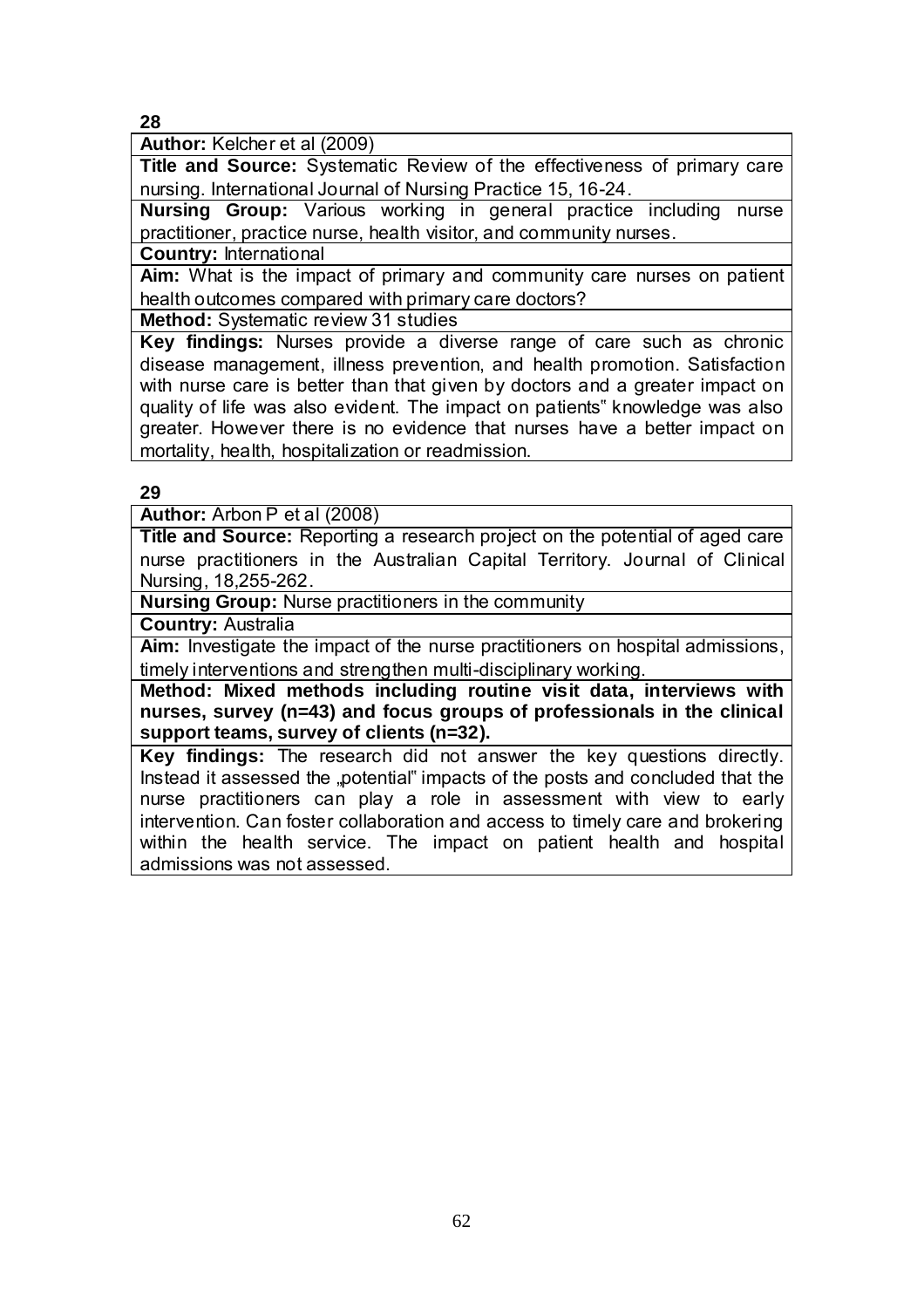**Author:** Kelcher et al (2009)

**Title and Source:** Systematic Review of the effectiveness of primary care nursing. International Journal of Nursing Practice 15, 16-24.

**Nursing Group:** Various working in general practice including nurse practitioner, practice nurse, health visitor, and community nurses.

**Country:** International

**Aim:** What is the impact of primary and community care nurses on patient health outcomes compared with primary care doctors?

**Method:** Systematic review 31 studies

**Key findings:** Nurses provide a diverse range of care such as chronic disease management, illness prevention, and health promotion. Satisfaction with nurse care is better than that given by doctors and a greater impact on quality of life was also evident. The impact on patients" knowledge was also greater. However there is no evidence that nurses have a better impact on mortality, health, hospitalization or readmission.

**29**

**Author:** Arbon P et al (2008)

**Title and Source:** Reporting a research project on the potential of aged care nurse practitioners in the Australian Capital Territory. Journal of Clinical Nursing, 18,255-262.

**Nursing Group:** Nurse practitioners in the community

**Country:** Australia

**Aim:** Investigate the impact of the nurse practitioners on hospital admissions, timely interventions and strengthen multi-disciplinary working.

**Method: Mixed methods including routine visit data, interviews with nurses, survey (n=43) and focus groups of professionals in the clinical support teams, survey of clients (n=32).** 

**Key findings:** The research did not answer the key questions directly. Instead it assessed the "potential" impacts of the posts and concluded that the nurse practitioners can play a role in assessment with view to early intervention. Can foster collaboration and access to timely care and brokering within the health service. The impact on patient health and hospital admissions was not assessed.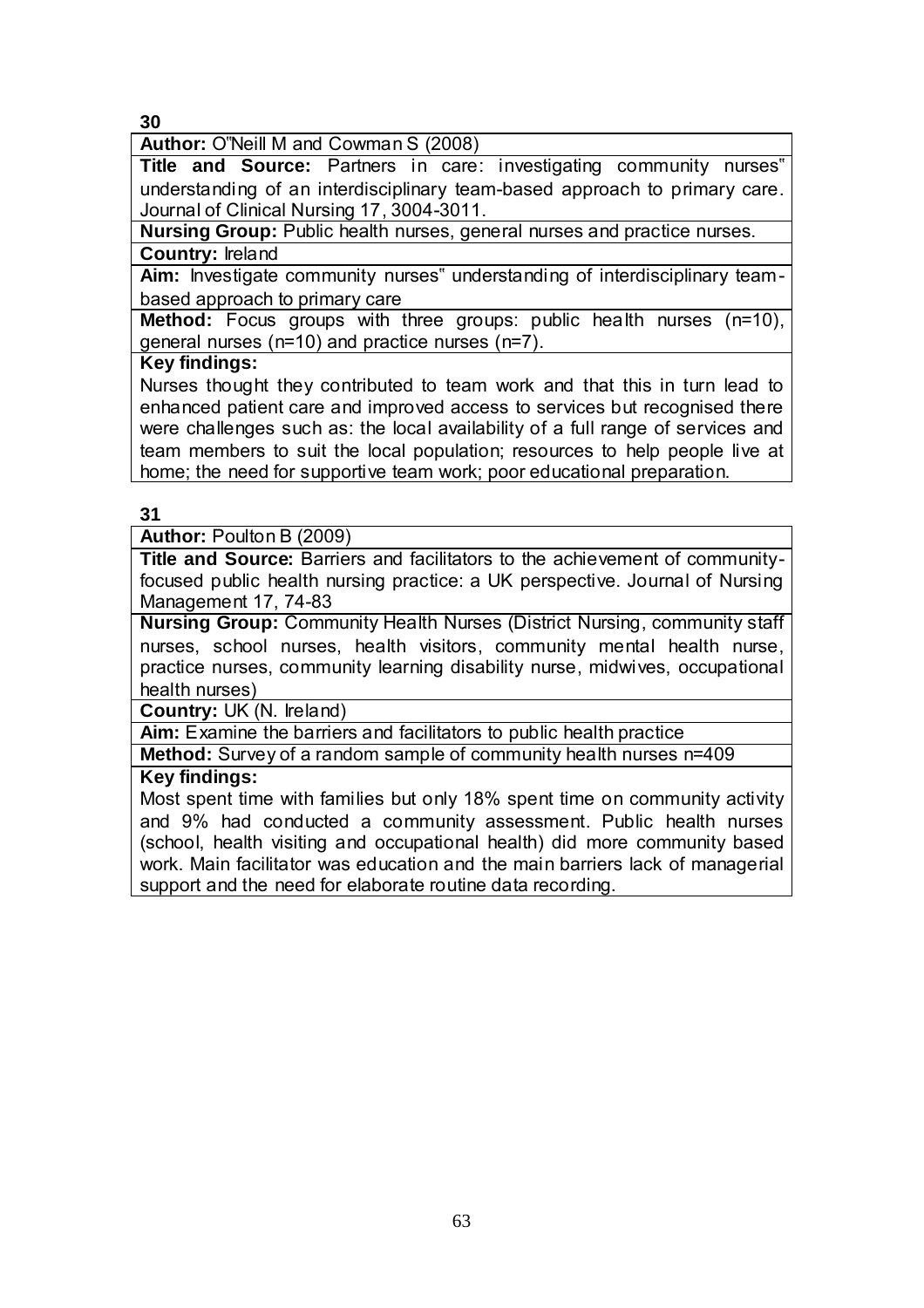**Author:** O"Neill M and Cowman S (2008)

**Title and Source:** Partners in care: investigating community nurses" understanding of an interdisciplinary team-based approach to primary care. Journal of Clinical Nursing 17, 3004-3011.

**Nursing Group:** Public health nurses, general nurses and practice nurses. **Country:** Ireland

**Aim:** Investigate community nurses" understanding of interdisciplinary teambased approach to primary care

**Method:** Focus groups with three groups: public health nurses (n=10), general nurses (n=10) and practice nurses (n=7).

## **Key findings:**

Nurses thought they contributed to team work and that this in turn lead to enhanced patient care and improved access to services but recognised there were challenges such as: the local availability of a full range of services and team members to suit the local population; resources to help people live at home; the need for supportive team work; poor educational preparation.

## **31**

**Author:** Poulton B (2009)

**Title and Source:** Barriers and facilitators to the achievement of communityfocused public health nursing practice: a UK perspective. Journal of Nursing Management 17, 74-83

**Nursing Group:** Community Health Nurses (District Nursing, community staff nurses, school nurses, health visitors, community mental health nurse, practice nurses, community learning disability nurse, midwives, occupational health nurses)

**Country:** UK (N. Ireland)

**Aim:** Examine the barriers and facilitators to public health practice

**Method:** Survey of a random sample of community health nurses n=409

## **Key findings:**

Most spent time with families but only 18% spent time on community activity and 9% had conducted a community assessment. Public health nurses (school, health visiting and occupational health) did more community based work. Main facilitator was education and the main barriers lack of managerial support and the need for elaborate routine data recording.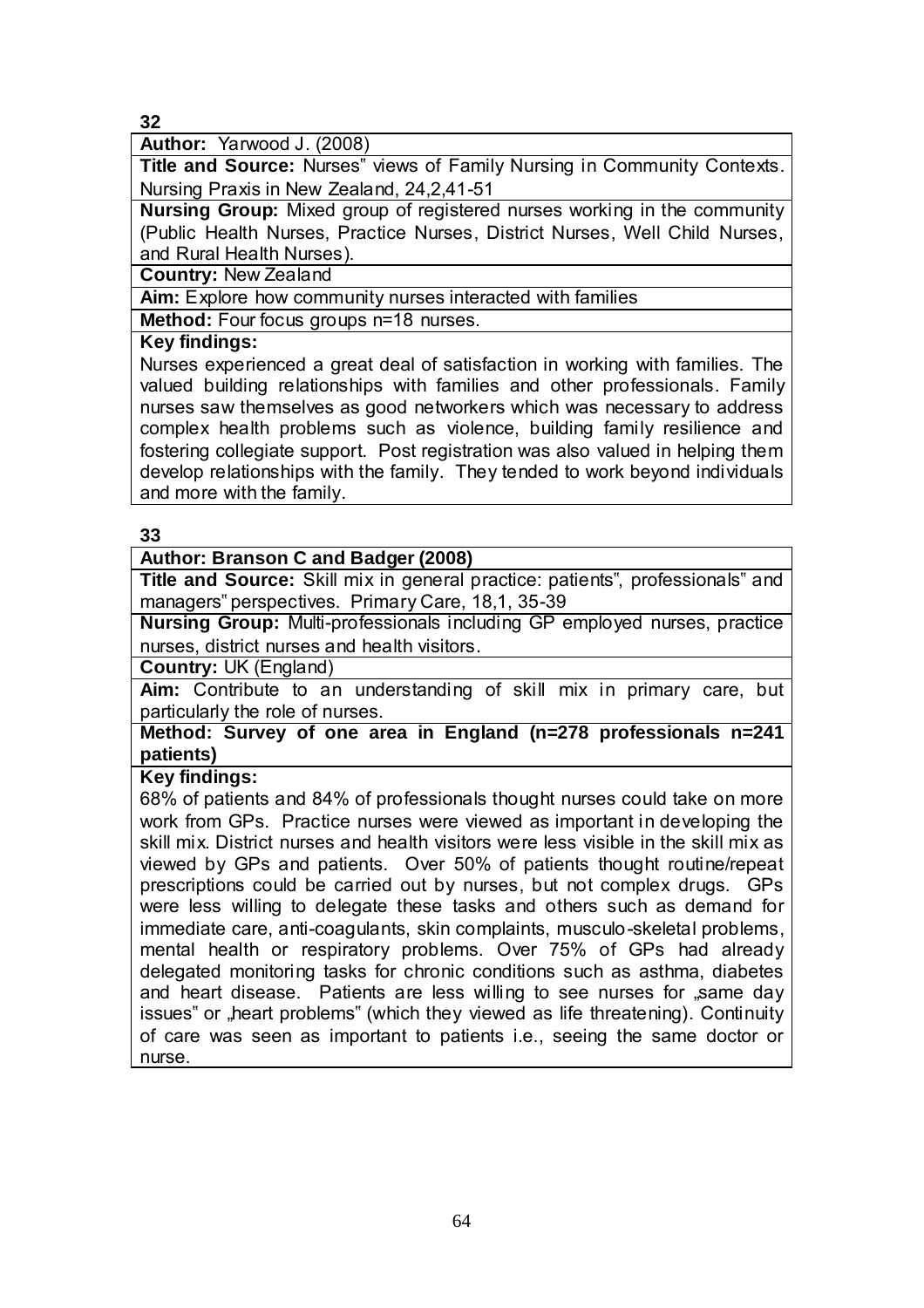**Author:** Yarwood J. (2008)

**Title and Source:** Nurses" views of Family Nursing in Community Contexts. Nursing Praxis in New Zealand, 24,2,41-51

**Nursing Group:** Mixed group of registered nurses working in the community (Public Health Nurses, Practice Nurses, District Nurses, Well Child Nurses, and Rural Health Nurses).

**Country:** New Zealand

**Aim:** Explore how community nurses interacted with families

**Method:** Four focus groups n=18 nurses.

#### **Key findings:**

Nurses experienced a great deal of satisfaction in working with families. The valued building relationships with families and other professionals. Family nurses saw themselves as good networkers which was necessary to address complex health problems such as violence, building family resilience and fostering collegiate support. Post registration was also valued in helping them develop relationships with the family. They tended to work beyond individuals and more with the family.

#### **33**

## **Author: Branson C and Badger (2008)**

**Title and Source:** Skill mix in general practice: patients", professionals" and managers" perspectives. Primary Care, 18,1, 35-39

**Nursing Group:** Multi-professionals including GP employed nurses, practice nurses, district nurses and health visitors.

**Country:** UK (England)

**Aim:** Contribute to an understanding of skill mix in primary care, but particularly the role of nurses.

**Method: Survey of one area in England (n=278 professionals n=241 patients)**

#### **Key findings:**

68% of patients and 84% of professionals thought nurses could take on more work from GPs. Practice nurses were viewed as important in developing the skill mix. District nurses and health visitors were less visible in the skill mix as viewed by GPs and patients. Over 50% of patients thought routine/repeat prescriptions could be carried out by nurses, but not complex drugs. GPs were less willing to delegate these tasks and others such as demand for immediate care, anti-coagulants, skin complaints, musculo-skeletal problems, mental health or respiratory problems. Over 75% of GPs had already delegated monitoring tasks for chronic conditions such as asthma, diabetes and heart disease. Patients are less willing to see nurses for "same day issues" or "heart problems" (which they viewed as life threatening). Continuity of care was seen as important to patients i.e., seeing the same doctor or nurse.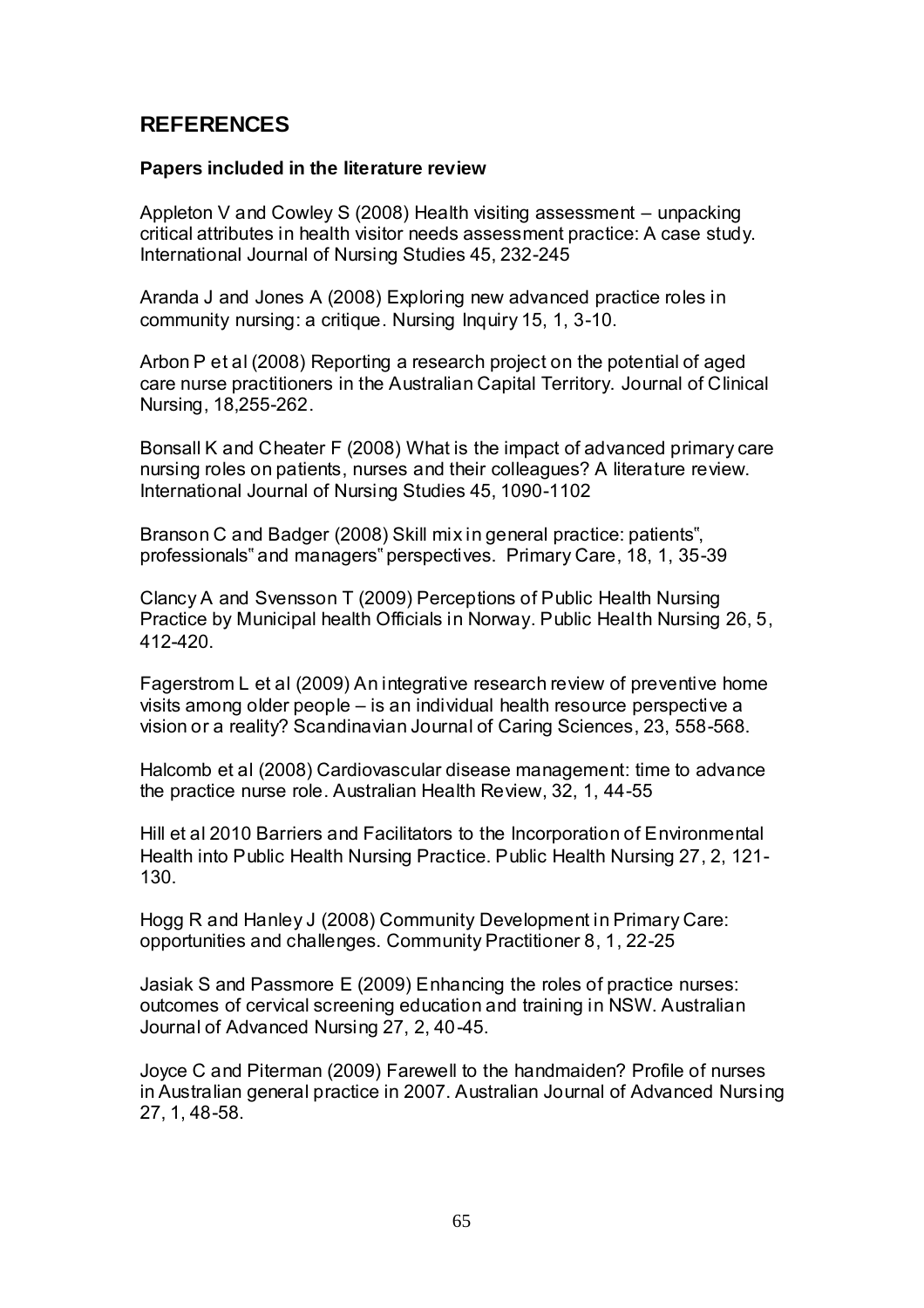# **REFERENCES**

#### **Papers included in the literature review**

Appleton V and Cowley S (2008) Health visiting assessment – unpacking critical attributes in health visitor needs assessment practice: A case study. International Journal of Nursing Studies 45, 232-245

Aranda J and Jones A (2008) Exploring new advanced practice roles in community nursing: a critique. Nursing Inquiry 15, 1, 3-10.

Arbon P et al (2008) Reporting a research project on the potential of aged care nurse practitioners in the Australian Capital Territory. Journal of Clinical Nursing, 18,255-262.

Bonsall K and Cheater F (2008) What is the impact of advanced primary care nursing roles on patients, nurses and their colleagues? A literature review. International Journal of Nursing Studies 45, 1090-1102

Branson C and Badger (2008) Skill mix in general practice: patients", professionals" and managers" perspectives. Primary Care, 18, 1, 35-39

Clancy A and Svensson T (2009) Perceptions of Public Health Nursing Practice by Municipal health Officials in Norway. Public Health Nursing 26, 5, 412-420.

Fagerstrom L et al (2009) An integrative research review of preventive home visits among older people – is an individual health resource perspective a vision or a reality? Scandinavian Journal of Caring Sciences, 23, 558-568.

Halcomb et al (2008) Cardiovascular disease management: time to advance the practice nurse role. Australian Health Review, 32, 1, 44-55

Hill et al 2010 Barriers and Facilitators to the Incorporation of Environmental Health into Public Health Nursing Practice. Public Health Nursing 27, 2, 121- 130.

Hogg R and Hanley J (2008) Community Development in Primary Care: opportunities and challenges. Community Practitioner 8, 1, 22-25

Jasiak S and Passmore E (2009) Enhancing the roles of practice nurses: outcomes of cervical screening education and training in NSW. Australian Journal of Advanced Nursing 27, 2, 40-45.

Joyce C and Piterman (2009) Farewell to the handmaiden? Profile of nurses in Australian general practice in 2007. Australian Journal of Advanced Nursing 27, 1, 48-58.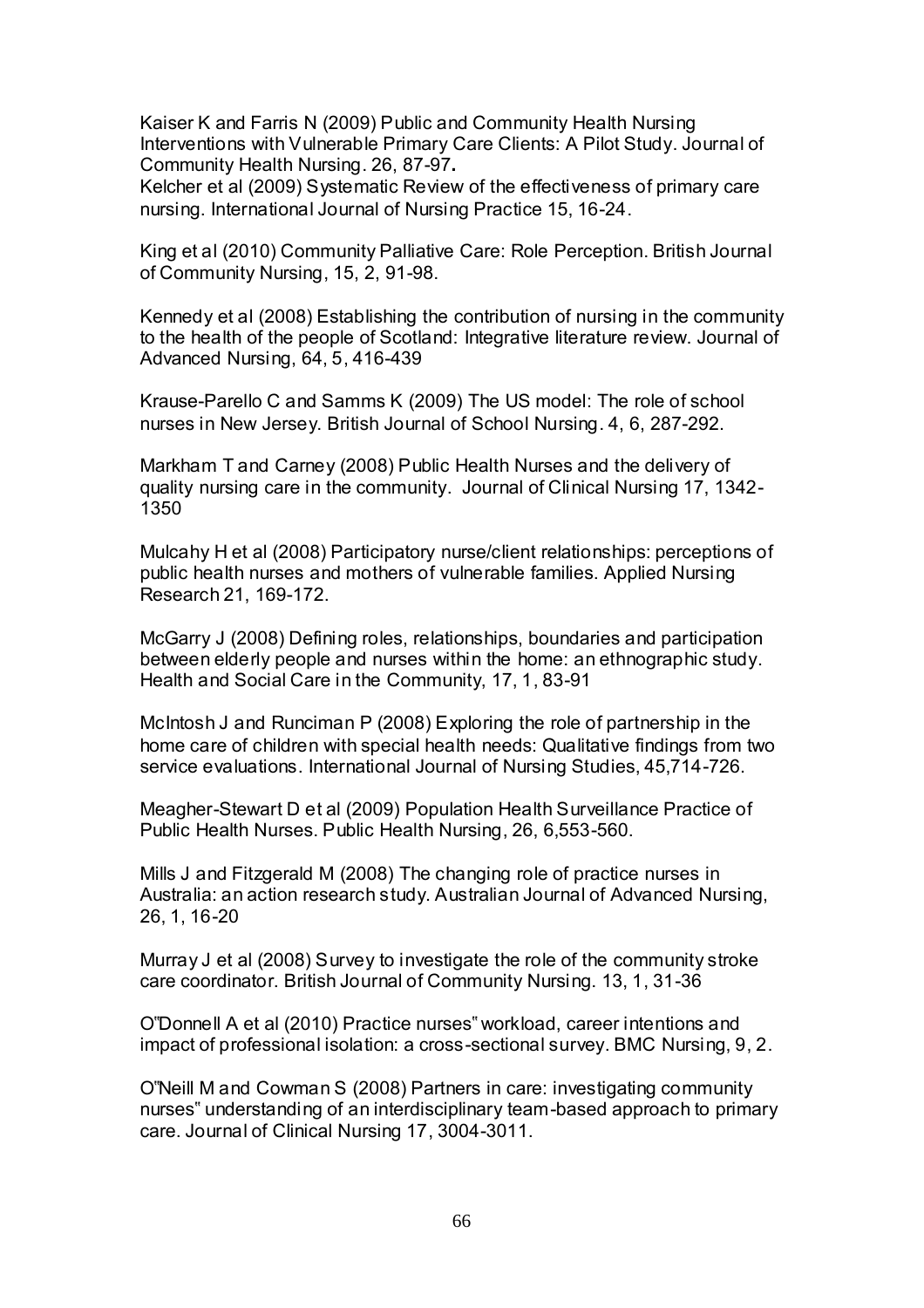Kaiser K and Farris N (2009) Public and Community Health Nursing Interventions with Vulnerable Primary Care Clients: A Pilot Study. Journal of Community Health Nursing. 26, 87-97**.** 

Kelcher et al (2009) Systematic Review of the effectiveness of primary care nursing. International Journal of Nursing Practice 15, 16-24.

King et al (2010) Community Palliative Care: Role Perception. British Journal of Community Nursing, 15, 2, 91-98.

Kennedy et al (2008) Establishing the contribution of nursing in the community to the health of the people of Scotland: Integrative literature review. Journal of Advanced Nursing, 64, 5, 416-439

Krause-Parello C and Samms K (2009) The US model: The role of school nurses in New Jersey. British Journal of School Nursing. 4, 6, 287-292.

Markham T and Carney (2008) Public Health Nurses and the delivery of quality nursing care in the community. Journal of Clinical Nursing 17, 1342- 1350

Mulcahy H et al (2008) Participatory nurse/client relationships: perceptions of public health nurses and mothers of vulnerable families. Applied Nursing Research 21, 169-172.

McGarry J (2008) Defining roles, relationships, boundaries and participation between elderly people and nurses within the home: an ethnographic study. Health and Social Care in the Community, 17, 1, 83-91

McIntosh J and Runciman P (2008) Exploring the role of partnership in the home care of children with special health needs: Qualitative findings from two service evaluations. International Journal of Nursing Studies, 45,714-726.

Meagher-Stewart D et al (2009) Population Health Surveillance Practice of Public Health Nurses. Public Health Nursing, 26, 6,553-560.

Mills J and Fitzgerald M (2008) The changing role of practice nurses in Australia: an action research study. Australian Journal of Advanced Nursing, 26, 1, 16-20

Murray J et al (2008) Survey to investigate the role of the community stroke care coordinator. British Journal of Community Nursing. 13, 1, 31-36

O"Donnell A et al (2010) Practice nurses" workload, career intentions and impact of professional isolation: a cross-sectional survey. BMC Nursing, 9, 2.

O"Neill M and Cowman S (2008) Partners in care: investigating community nurses" understanding of an interdisciplinary team-based approach to primary care. Journal of Clinical Nursing 17, 3004-3011.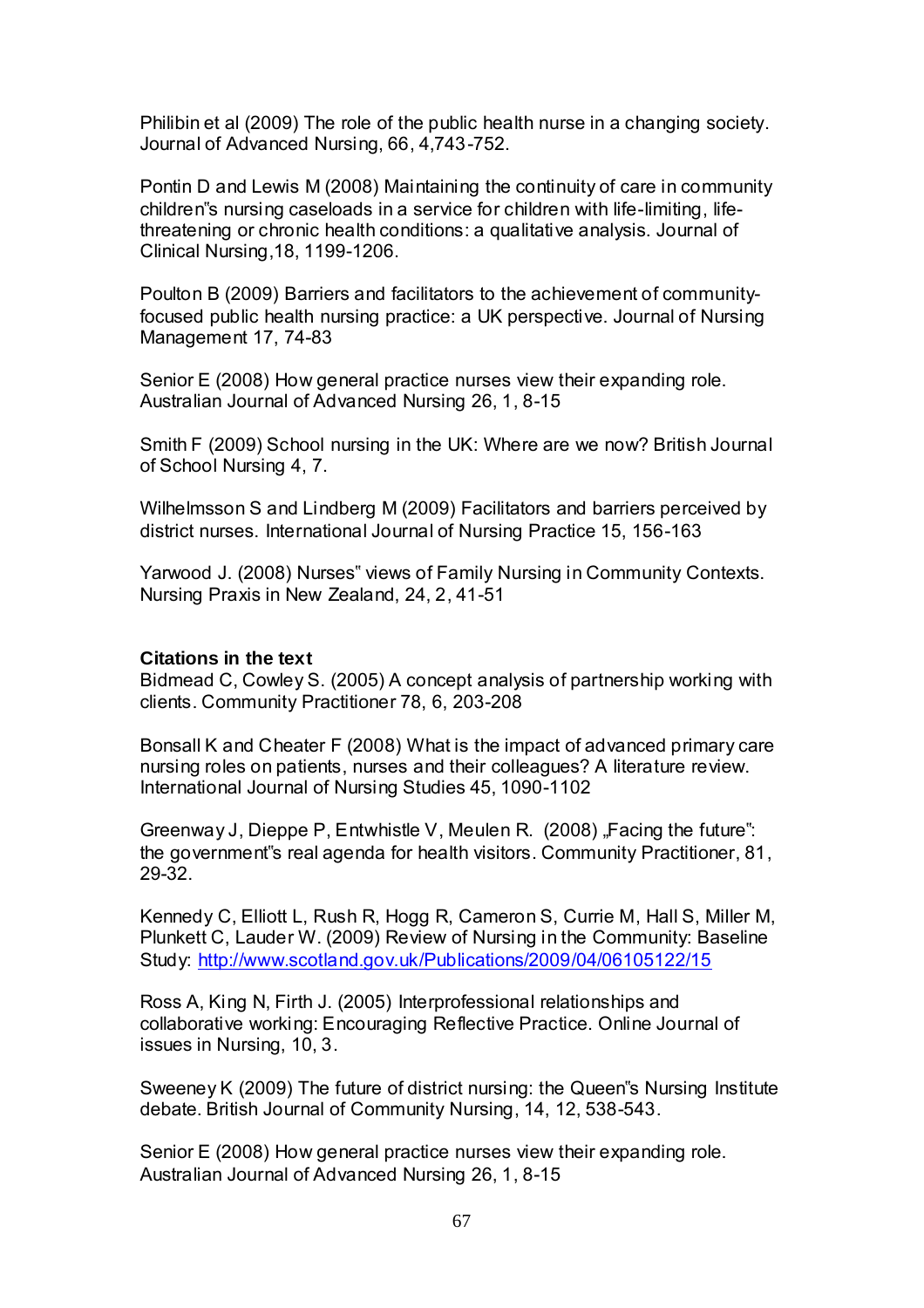Philibin et al (2009) The role of the public health nurse in a changing society. Journal of Advanced Nursing, 66, 4,743-752.

Pontin D and Lewis M (2008) Maintaining the continuity of care in community children"s nursing caseloads in a service for children with life-limiting, lifethreatening or chronic health conditions: a qualitative analysis. Journal of Clinical Nursing,18, 1199-1206.

Poulton B (2009) Barriers and facilitators to the achievement of communityfocused public health nursing practice: a UK perspective. Journal of Nursing Management 17, 74-83

Senior E (2008) How general practice nurses view their expanding role. Australian Journal of Advanced Nursing 26, 1, 8-15

Smith F (2009) School nursing in the UK: Where are we now? British Journal of School Nursing 4, 7.

Wilhelmsson S and Lindberg M (2009) Facilitators and barriers perceived by district nurses. International Journal of Nursing Practice 15, 156-163

Yarwood J. (2008) Nurses" views of Family Nursing in Community Contexts. Nursing Praxis in New Zealand, 24, 2, 41-51

#### **Citations in the text**

Bidmead C, Cowley S. (2005) A concept analysis of partnership working with clients. Community Practitioner 78, 6, 203-208

Bonsall K and Cheater F (2008) What is the impact of advanced primary care nursing roles on patients, nurses and their colleagues? A literature review. International Journal of Nursing Studies 45, 1090-1102

Greenway J, Dieppe P, Entwhistle V, Meulen R.  $(2008)$ , Facing the future": the government"s real agenda for health visitors. Community Practitioner, 81, 29-32.

Kennedy C, Elliott L, Rush R, Hogg R, Cameron S, Currie M, Hall S, Miller M, Plunkett C, Lauder W. (2009) Review of Nursing in the Community: Baseline Study:<http://www.scotland.gov.uk/Publications/2009/04/06105122/15>

Ross A, King N, Firth J. (2005) Interprofessional relationships and collaborative working: Encouraging Reflective Practice. Online Journal of issues in Nursing, 10, 3.

Sweeney K (2009) The future of district nursing: the Queen"s Nursing Institute debate. British Journal of Community Nursing, 14, 12, 538-543.

Senior E (2008) How general practice nurses view their expanding role. Australian Journal of Advanced Nursing 26, 1, 8-15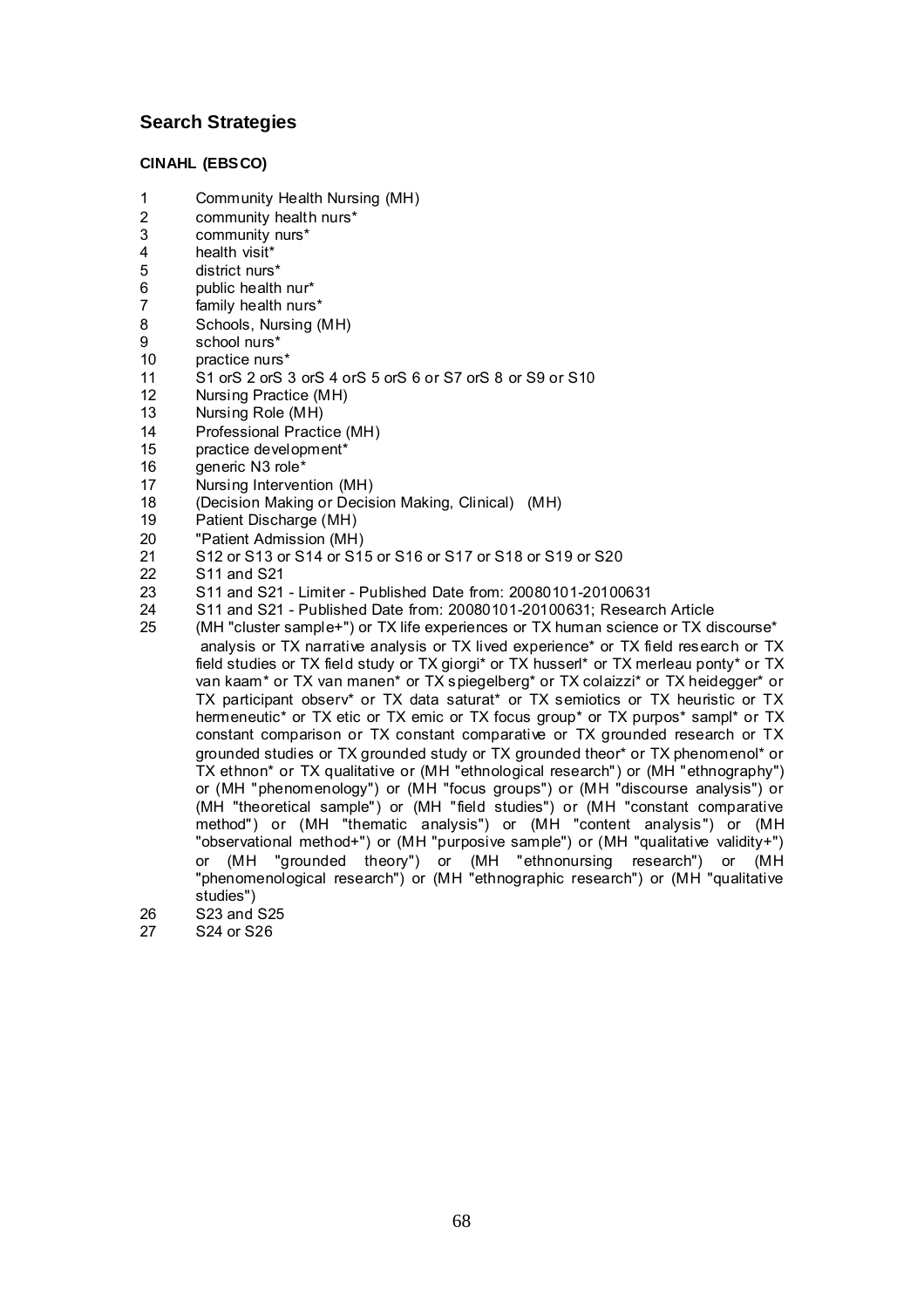#### **Search Strategies**

#### **CINAHL (EBSCO)**

- 1 Community Health Nursing (MH)<br>2 community health nurs\*
- 2 community health nurs\*<br>3 community nurs\*
- $3$  community nurs\*<br>4 health visit\*
- 4 health visit\*<br>5 district nurs
- 5 district nurs<sup>\*</sup><br>6 bublic health
- 6 public health nur\*<br>7 family health nurs
- 7 family health nurs\*<br>8 Schools Nursing (I
- 8 Schools, Nursing (MH)<br>9 school nurs\*
- 9 school nurs\*<br>10 practice nurs
- 10 practice nurs\*<br>11 S1 orS 2 orS
- 11 S1 orS 2 orS 3 orS 4 orS 5 orS 6 or S7 orS 8 or S9 or S10<br>12 Nursing Practice (MH)
- 12 Nursing Practice (MH)<br>13 Nursing Role (MH)
- 13 Nursing Role (MH)<br>14 Professional Practi
- 14 Professional Practice (MH)<br>15 practice development\*
- 15 practice development\*<br>16 deneric N3 role\*
- 16 generic N3 role<sup>\*</sup><br>17 Nursing Interver
- 17 Nursing Intervention (MH)<br>18 (Decision Making or Decis
- 18 (Decision Making or Decision Making, Clinical) (MH)<br>19 Patient Discharge (MH)
- 19 Patient Discharge (MH)<br>20 Patient Admission (MH)
- 20 "Patient Admission (MH)<br>21 S12 or S13 or S14 or S1
- 21 S12 or S13 or S14 or S15 or S16 or S17 or S18 or S19 or S20<br>22 S11 and S21
- 22 S11 and S21<br>23 S11 and S21
- 23 S11 and S21 Limiter Published Date from: 20080101-20100631
- 24 S11 and S21 Published Date from: 20080101-20100631; Research Article<br>25 (MH "cluster sample+") or TX life experiences or TX human science or TX di
- (MH "cluster sample+") or TX life experiences or TX human science or TX discourse\* analysis or TX narrative analysis or TX lived experience\* or TX field research or TX field studies or TX field study or TX giorgi\* or TX husserl\* or TX merleau ponty\* or TX van kaam\* or TX van manen\* or TX spiegelberg\* or TX colaizzi\* or TX heidegger\* or TX participant observ\* or TX data saturat\* or TX semiotics or TX heuristic or TX hermeneutic\* or TX etic or TX emic or TX focus group\* or TX purpos\* sampl\* or TX constant comparison or TX constant comparative or TX grounded research or TX grounded studies or TX grounded study or TX grounded theor\* or TX phenomenol\* or TX ethnon\* or TX qualitative or (MH "ethnological research") or (MH "ethnography") or (MH "phenomenology") or (MH "focus groups") or (MH "discourse analysis") or (MH "theoretical sample") or (MH "field studies") or (MH "constant comparative method") or (MH "thematic analysis") or (MH "content analysis") or (MH "observational method+") or (MH "purposive sample") or (MH "qualitative validity+") or (MH "grounded theory") or (MH "ethnonursing research") or (MH "phenomenological research") or (MH "ethnographic research") or (MH "qualitative studies")
- 26 S23 and S25<br>27 S24 or S26
- S24 or S26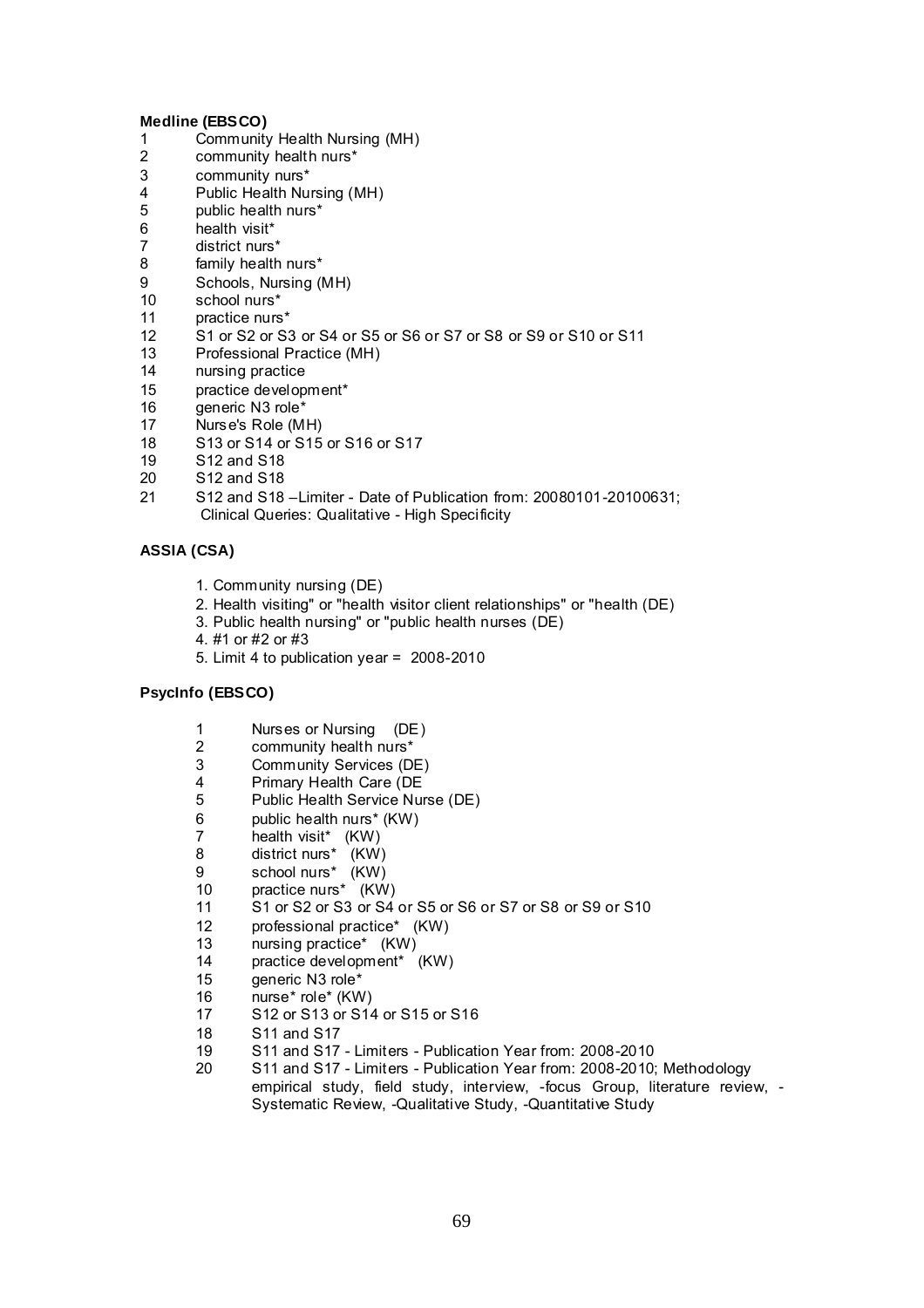#### **Medline (EBSCO)**

- 1 Community Health Nursing (MH)<br>2 community health nurs\*
- 2 community health nurs\*<br>3 community nurs\*
- 3 community nurs\*<br>4 Public Health Nu
- 4 Public Health Nursing (MH)<br>5 public health nurs\*
- 5 public health nurs\*<br>6 health visit\*
- 6 health visit\*<br>7 district nurs
- 7 district nurs\*<br>8 family health
- 8 family health nurs\*<br>9 Schools, Nursing (I
- 9 Schools, Nursing (MH)<br>10 school nurs\*
- 10 school nurs\*<br>11 practice nurs
- 11 practice nurs\*<br>12 S1 or S2 or S3
- 12 S1 or S2 or S3 or S4 or S5 or S6 or S7 or S8 or S9 or S10 or S11<br>13 Professional Practice (MH)
- 13 Professional Practice (MH)<br>14 Dursing practice
- 14 nursing practice<br>15 practice develop
- 15 practice development\*<br>16 oeneric N3 role\*
- 16 generic N3 role\*<br>17 Nurse's Role (M
- 17 Nurse's Role (MH)<br>18 S13 or S14 or S15
- 18 S13 or S14 or S15 or S16 or S17<br>19 S12 and S18
- 19 S12 and S18<br>20 S12 and S18
- S<sub>12</sub> and S<sub>18</sub>
- 21 S12 and S18 –Limiter Date of Publication from: 20080101-20100631; Clinical Queries: Qualitative - High Specificity

#### **ASSIA (CSA)**

- 1. Community nursing (DE)
- 2. Health visiting" or "health visitor client relationships" or "health (DE)
- 3. Public health nursing" or "public health nurses (DE)
- 4. #1 or #2 or #3
- 5. Limit 4 to publication year = 2008-2010

#### **PsycInfo (EBSCO)**

- 1 Nurses or Nursing (DE)<br>2 community health nurs\*
- 2 community health nurs\*<br>3 Community Services (D
- 3 Community Services (DE)<br>4 Primary Health Care (DE
- 4 Primary Health Care (DE<br>5 Public Health Service Nu
- 5 Public Health Service Nurse (DE)
- 6 public health nurs\* (KW)
- 7 health visit\* (KW)
- 8 district nurs\* (KW)
- 9 school nurs\* (KW)
- 10 practice nurs\* (KW)
- 11 S1 or S2 or S3 or S4 or S5 or S6 or S7 or S8 or S9 or S10<br>12 orofessional practice\* (KW)
- 12 professional practice\* (KW)<br>13 nursing practice\* (KW)
- 13 nursing practice\* (KW)<br>14 practice development\*
- practice development\* (KW)
- 15 generic N3 role\*
- 16 nurse\* role\* (KW)
- 17 S12 or S13 or S14 or S15 or S16
- 18 S11 and S17<br>19 S11 and S17
- 19 S11 and S17 Limiters Publication Year from: 2008-2010
- 20 S11 and S17 Limiters Publication Year from: 2008-2010; Methodology empirical study, field study, interview, -focus Group, literature review, - Systematic Review, -Qualitative Study, -Quantitative Study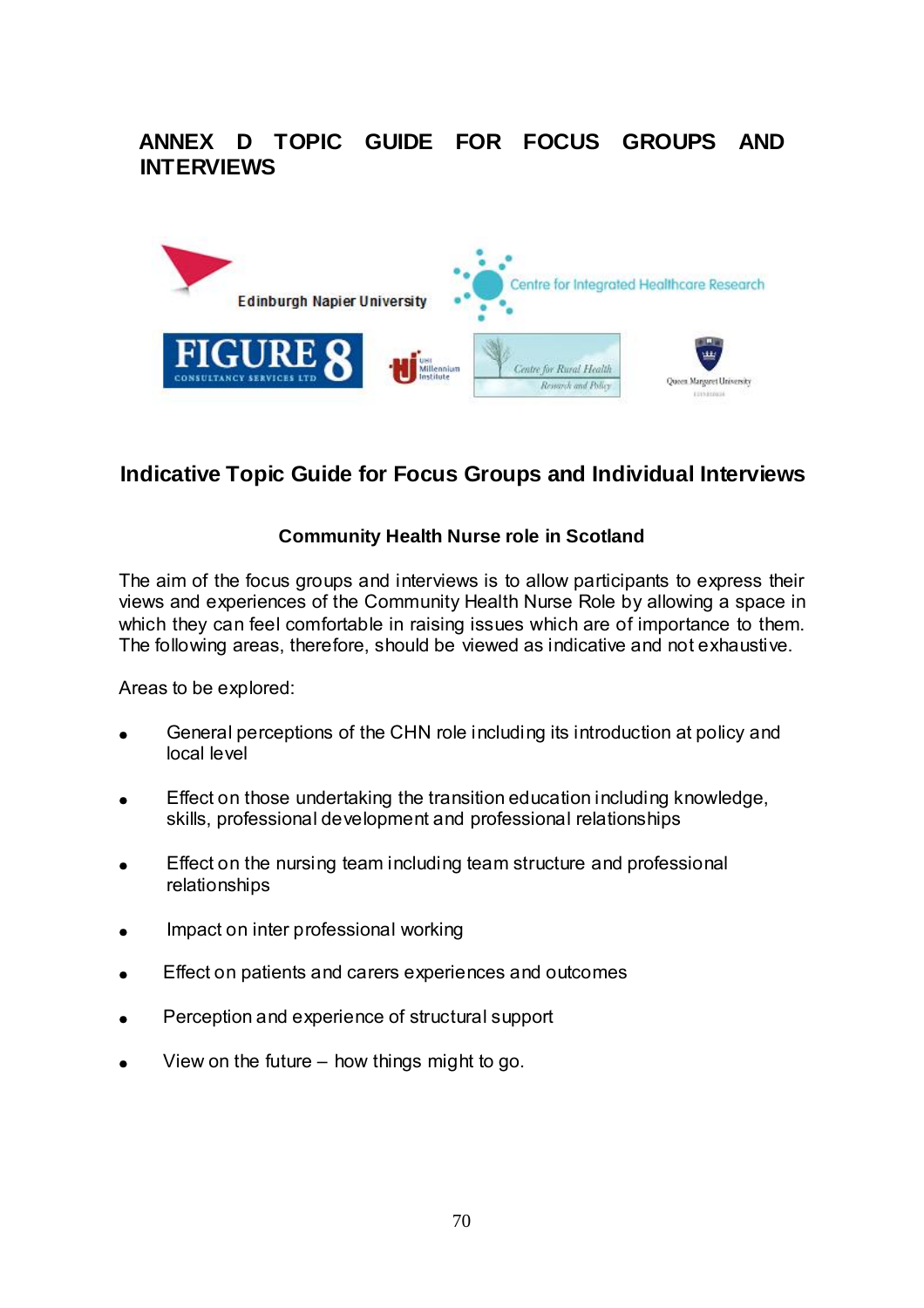# **ANNEX D TOPIC GUIDE FOR FOCUS GROUPS AND INTERVIEWS**



# **Indicative Topic Guide for Focus Groups and Individual Interviews**

## **Community Health Nurse role in Scotland**

The aim of the focus groups and interviews is to allow participants to express their views and experiences of the Community Health Nurse Role by allowing a space in which they can feel comfortable in raising issues which are of importance to them. The following areas, therefore, should be viewed as indicative and not exhaustive.

Areas to be explored:

- General perceptions of the CHN role including its introduction at policy and local level
- Effect on those undertaking the transition education including knowledge, skills, professional development and professional relationships
- Effect on the nursing team including team structure and professional relationships
- Impact on inter professional working  $\bullet$
- Effect on patients and carers experiences and outcomes  $\bullet$
- Perception and experience of structural support
- View on the future how things might to go.